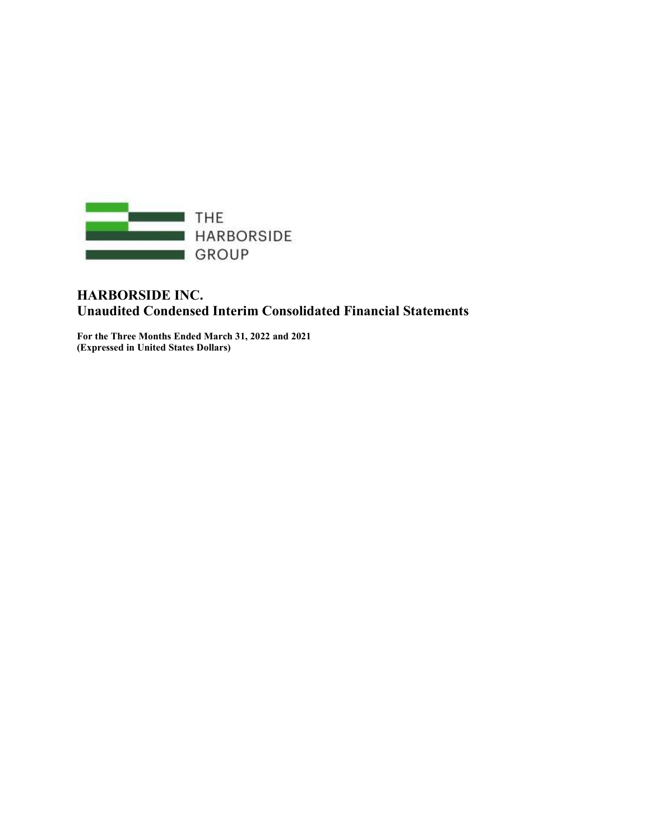

## HARBORSIDE INC. Unaudited Condensed Interim Consolidated Financial Statements

For the Three Months Ended March 31, 2022 and 2021 (Expressed in United States Dollars)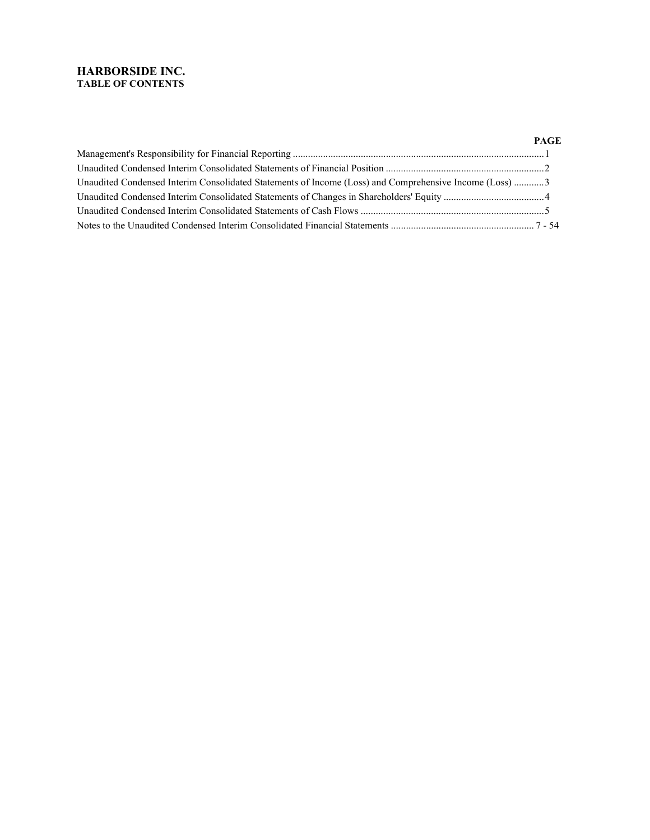## HARBORSIDE INC. TABLE OF CONTENTS

|                                                                                                        | PAGE |
|--------------------------------------------------------------------------------------------------------|------|
|                                                                                                        |      |
|                                                                                                        |      |
| Unaudited Condensed Interim Consolidated Statements of Income (Loss) and Comprehensive Income (Loss) 3 |      |
|                                                                                                        |      |
|                                                                                                        |      |
|                                                                                                        |      |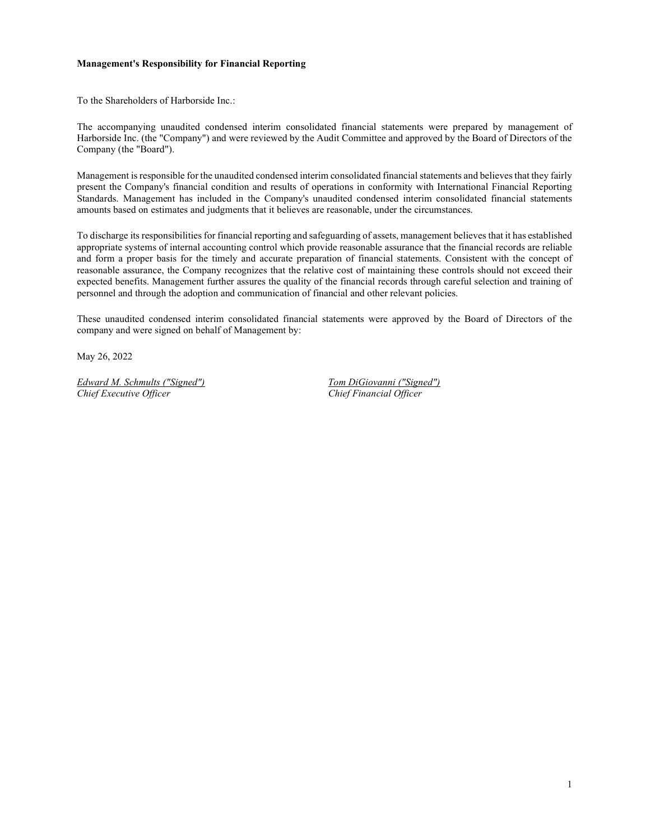#### Management's Responsibility for Financial Reporting

To the Shareholders of Harborside Inc.:

The accompanying unaudited condensed interim consolidated financial statements were prepared by management of Harborside Inc. (the "Company") and were reviewed by the Audit Committee and approved by the Board of Directors of the Company (the "Board").

Management is responsible for the unaudited condensed interim consolidated financial statements and believes that they fairly present the Company's financial condition and results of operations in conformity with International Financial Reporting Standards. Management has included in the Company's unaudited condensed interim consolidated financial statements amounts based on estimates and judgments that it believes are reasonable, under the circumstances.

To discharge its responsibilities for financial reporting and safeguarding of assets, management believes that it has established appropriate systems of internal accounting control which provide reasonable assurance that the financial records are reliable and form a proper basis for the timely and accurate preparation of financial statements. Consistent with the concept of reasonable assurance, the Company recognizes that the relative cost of maintaining these controls should not exceed their expected benefits. Management further assures the quality of the financial records through careful selection and training of personnel and through the adoption and communication of financial and other relevant policies.

These unaudited condensed interim consolidated financial statements were approved by the Board of Directors of the company and were signed on behalf of Management by:

May 26, 2022

Edward M. Schmults ("Signed") [30] Tom DiGiovanni ("Signed") Chief Executive Officer Chief Financial Officer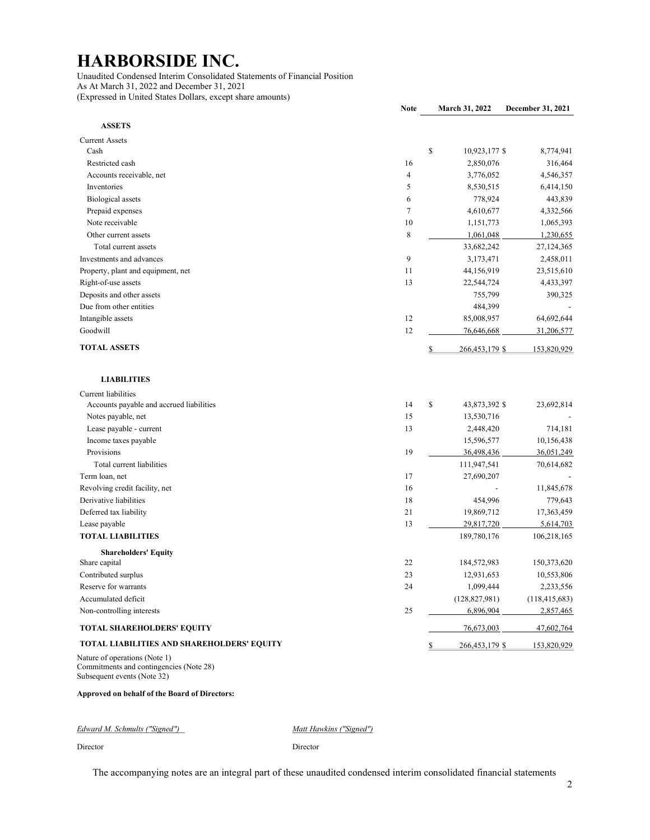Unaudited Condensed Interim Consolidated Statements of Financial Position As At March 31, 2022 and December 31, 2021 (Expressed in United States Dollars, except share amounts)

|                                                                          | <b>Note</b> | March 31, 2022       | December 31, 2021 |
|--------------------------------------------------------------------------|-------------|----------------------|-------------------|
| <b>ASSETS</b>                                                            |             |                      |                   |
| <b>Current Assets</b>                                                    |             |                      |                   |
| Cash                                                                     |             | \$<br>10,923,177 \$  | 8,774,941         |
| Restricted cash                                                          | 16          | 2,850,076            | 316,464           |
| Accounts receivable, net                                                 | 4           | 3,776,052            | 4,546,357         |
| Inventories                                                              | 5           | 8,530,515            | 6,414,150         |
| <b>Biological</b> assets                                                 | 6           | 778,924              | 443,839           |
| Prepaid expenses                                                         | $\tau$      | 4,610,677            | 4,332,566         |
| Note receivable                                                          | 10          | 1,151,773            | 1,065,393         |
| Other current assets                                                     | 8           | 1,061,048            | 1,230,655         |
| Total current assets                                                     |             | 33,682,242           | 27,124,365        |
| Investments and advances                                                 | 9           | 3,173,471            | 2,458,011         |
| Property, plant and equipment, net                                       | 11          | 44,156,919           | 23,515,610        |
| Right-of-use assets                                                      | 13          | 22,544,724           | 4,433,397         |
| Deposits and other assets                                                |             | 755,799              | 390,325           |
| Due from other entities                                                  |             | 484,399              |                   |
| Intangible assets                                                        | 12          | 85,008,957           | 64,692,644        |
| Goodwill                                                                 | 12          | 76,646,668           | 31,206,577        |
| <b>TOTAL ASSETS</b>                                                      |             | \$<br>266,453,179 \$ | 153,820,929       |
| <b>LIABILITIES</b>                                                       |             |                      |                   |
| Current liabilities                                                      |             |                      |                   |
| Accounts payable and accrued liabilities                                 | 14          | \$<br>43,873,392 \$  | 23,692,814        |
| Notes payable, net                                                       | 15          | 13,530,716           |                   |
| Lease payable - current                                                  | 13          | 2,448,420            | 714,181           |
| Income taxes payable                                                     |             | 15,596,577           | 10,156,438        |
| Provisions                                                               | 19          | 36,498,436           | 36,051,249        |
| Total current liabilities                                                |             | 111,947,541          | 70,614,682        |
| Term loan, net                                                           | 17          | 27,690,207           |                   |
| Revolving credit facility, net                                           | 16          |                      | 11,845,678        |
| Derivative liabilities                                                   | 18          | 454,996              | 779,643           |
| Deferred tax liability                                                   | 21          | 19,869,712           | 17,363,459        |
| Lease payable                                                            | 13          | 29,817,720           | 5,614,703         |
| <b>TOTAL LIABILITIES</b>                                                 |             | 189,780,176          | 106,218,165       |
| <b>Shareholders' Equity</b>                                              |             |                      |                   |
| Share capital                                                            | 22          | 184,572,983          | 150,373,620       |
| Contributed surplus                                                      | 23          | 12,931,653           | 10,553,806        |
| Reserve for warrants                                                     | 24          | 1,099,444            | 2,233,556         |
| Accumulated deficit                                                      |             | (128, 827, 981)      | (118, 415, 683)   |
| Non-controlling interests                                                | 25          | 6,896,904            | 2,857,465         |
| <b>TOTAL SHAREHOLDERS' EQUITY</b>                                        |             | 76,673,003           | 47,602,764        |
| TOTAL LIABILITIES AND SHAREHOLDERS' EQUITY                               |             | \$<br>266,453,179 \$ | 153,820,929       |
| Nature of operations (Note 1)<br>Commitments and contingencies (Note 28) |             |                      |                   |

Subsequent events (Note 32)

#### Approved on behalf of the Board of Directors:

Edward M. Schmults ("Signed") Matt Hawkins ("Signed")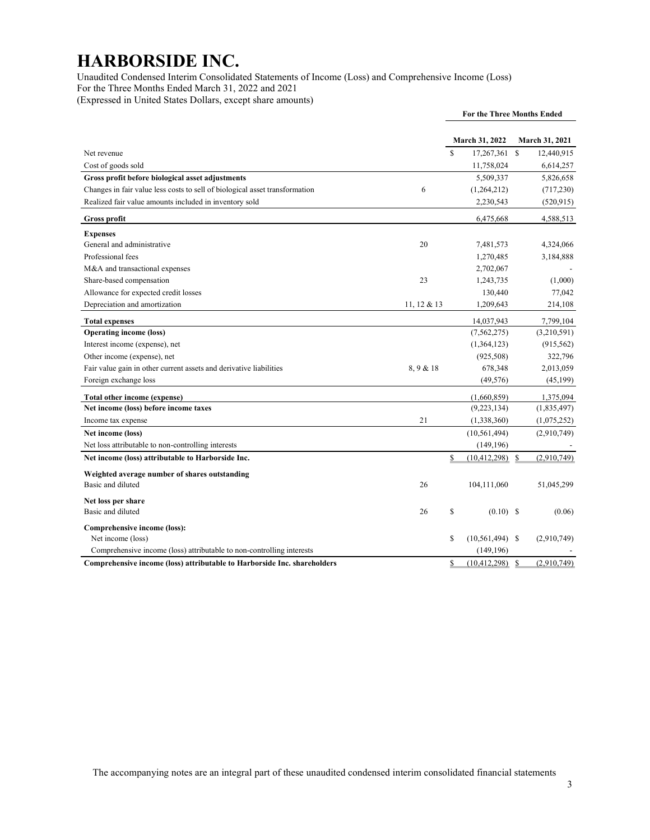Unaudited Condensed Interim Consolidated Statements of Income (Loss) and Comprehensive Income (Loss) For the Three Months Ended March 31, 2022 and 2021 (Expressed in United States Dollars, except share amounts)

|                                                                             |             | <b>For the Three Months Ended</b> |                   |              |                |
|-----------------------------------------------------------------------------|-------------|-----------------------------------|-------------------|--------------|----------------|
|                                                                             |             |                                   | March 31, 2022    |              | March 31, 2021 |
| Net revenue                                                                 |             | $\mathbf{\hat{s}}$                | 17,267,361        | <sup>S</sup> | 12,440,915     |
| Cost of goods sold                                                          |             |                                   | 11,758,024        |              | 6,614,257      |
| Gross profit before biological asset adjustments                            |             |                                   | 5,509,337         |              | 5,826,658      |
| Changes in fair value less costs to sell of biological asset transformation | 6           |                                   | (1,264,212)       |              | (717, 230)     |
| Realized fair value amounts included in inventory sold                      |             |                                   | 2,230,543         |              | (520, 915)     |
| <b>Gross profit</b>                                                         |             |                                   | 6,475,668         |              | 4,588,513      |
| <b>Expenses</b>                                                             |             |                                   |                   |              |                |
| General and administrative                                                  | 20          |                                   | 7,481,573         |              | 4,324,066      |
| Professional fees                                                           |             |                                   | 1,270,485         |              | 3,184,888      |
| M&A and transactional expenses                                              |             |                                   | 2,702,067         |              |                |
| Share-based compensation                                                    | 23          |                                   | 1,243,735         |              | (1,000)        |
| Allowance for expected credit losses                                        |             |                                   | 130,440           |              | 77,042         |
| Depreciation and amortization                                               | 11, 12 & 13 |                                   | 1,209,643         |              | 214,108        |
| <b>Total expenses</b>                                                       |             |                                   | 14,037,943        |              | 7.799.104      |
| <b>Operating income (loss)</b>                                              |             |                                   | (7, 562, 275)     |              | (3,210,591)    |
| Interest income (expense), net                                              |             |                                   | (1,364,123)       |              | (915, 562)     |
| Other income (expense), net                                                 |             |                                   | (925,508)         |              | 322,796        |
| Fair value gain in other current assets and derivative liabilities          | 8,9 & 18    |                                   | 678,348           |              | 2,013,059      |
| Foreign exchange loss                                                       |             |                                   | (49, 576)         |              | (45,199)       |
| Total other income (expense)                                                |             |                                   | (1,660,859)       |              | 1,375,094      |
| Net income (loss) before income taxes                                       |             |                                   | (9,223,134)       |              | (1,835,497)    |
| Income tax expense                                                          | 21          |                                   | (1,338,360)       |              | (1,075,252)    |
| Net income (loss)                                                           |             |                                   | (10, 561, 494)    |              | (2,910,749)    |
| Net loss attributable to non-controlling interests                          |             |                                   | (149, 196)        |              |                |
| Net income (loss) attributable to Harborside Inc.                           |             | \$                                | (10, 412, 298)    | $\mathbf S$  | (2,910,749)    |
| Weighted average number of shares outstanding                               |             |                                   |                   |              |                |
| Basic and diluted                                                           | 26          |                                   | 104,111,060       |              | 51,045,299     |
| Net loss per share                                                          |             |                                   |                   |              |                |
| Basic and diluted                                                           | 26          | \$                                | $(0.10)$ \$       |              | (0.06)         |
| Comprehensive income (loss):                                                |             |                                   |                   |              |                |
| Net income (loss)                                                           |             | \$                                | $(10,561,494)$ \$ |              | (2,910,749)    |
| Comprehensive income (loss) attributable to non-controlling interests       |             |                                   | (149, 196)        |              |                |
| Comprehensive income (loss) attributable to Harborside Inc. shareholders    |             | \$                                | (10, 412, 298)    | $\mathbb{S}$ | (2,910,749)    |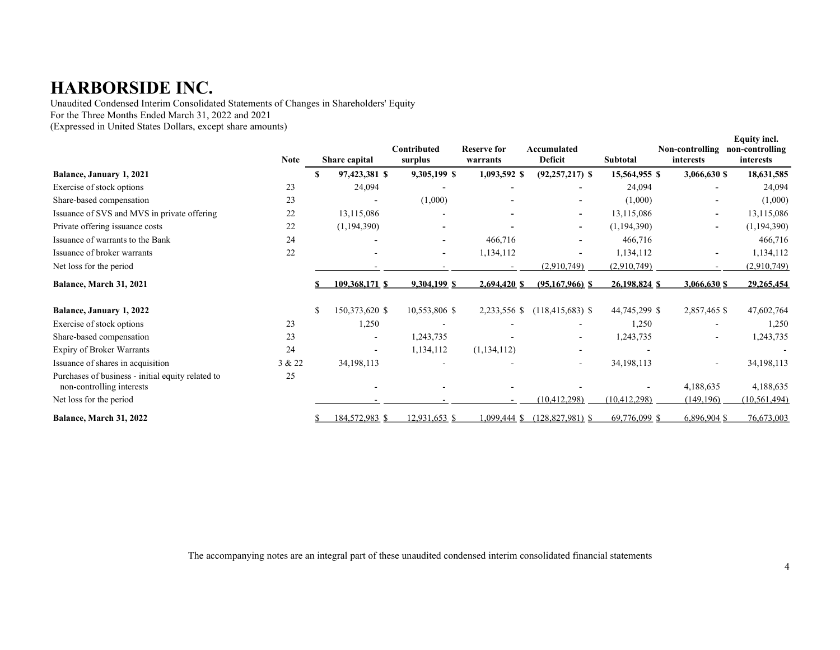Unaudited Condensed Interim Consolidated Statements of Changes in Shareholders' Equity For the Three Months Ended March 31, 2022 and 2021

(Expressed in United States Dollars, except share amounts)

|                                                                                | <b>Note</b> | Share capital  | Contributed<br>surplus | <b>Reserve for</b><br>warrants | Accumulated<br>Deficit   | Subtotal       | Non-controlling<br>interests | Equity incl.<br>non-controlling<br>interests |
|--------------------------------------------------------------------------------|-------------|----------------|------------------------|--------------------------------|--------------------------|----------------|------------------------------|----------------------------------------------|
| Balance, January 1, 2021                                                       |             | 97,423,381 \$  | 9,305,199 \$           | 1,093,592 \$                   | $(92, 257, 217)$ \$      | 15,564,955 \$  | 3,066,630 \$                 | 18,631,585                                   |
| Exercise of stock options                                                      | 23          | 24,094         |                        |                                |                          | 24,094         |                              | 24,094                                       |
| Share-based compensation                                                       | 23          | $\blacksquare$ | (1,000)                |                                |                          | (1,000)        |                              | (1,000)                                      |
| Issuance of SVS and MVS in private offering                                    | 22          | 13,115,086     |                        |                                | $\overline{\phantom{a}}$ | 13,115,086     |                              | 13,115,086                                   |
| Private offering issuance costs                                                | 22          | (1,194,390)    |                        |                                | $\overline{\phantom{a}}$ | (1,194,390)    |                              | (1, 194, 390)                                |
| Issuance of warrants to the Bank                                               | 24          |                |                        | 466,716                        |                          | 466,716        |                              | 466,716                                      |
| Issuance of broker warrants                                                    | 22          |                | $\sim$                 | 1,134,112                      |                          | 1,134,112      |                              | 1,134,112                                    |
| Net loss for the period                                                        |             |                |                        |                                | (2,910,749)              | (2,910,749)    |                              | (2,910,749)                                  |
| Balance, March 31, 2021                                                        |             | 109.368.171 S  | 9.304.199 S            | 2.694.420 S                    | $(95.167.966)$ S         | 26,198,824 \$  | 3,066,630 S                  | 29.265.454                                   |
| Balance, January 1, 2022                                                       |             | 150,373,620 \$ | 10,553,806 \$          | 2,233,556 \$                   | $(118, 415, 683)$ \$     | 44,745,299 \$  | 2,857,465 \$                 | 47,602,764                                   |
| Exercise of stock options                                                      | 23          | 1,250          |                        |                                |                          | 1,250          |                              | 1,250                                        |
| Share-based compensation                                                       | 23          |                | 1,243,735              |                                | $\overline{\phantom{a}}$ | 1,243,735      |                              | 1,243,735                                    |
| Expiry of Broker Warrants                                                      | 24          | $\blacksquare$ | 1,134,112              | (1, 134, 112)                  |                          |                |                              |                                              |
| Issuance of shares in acquisition                                              | 3 & 22      | 34, 198, 113   |                        |                                |                          | 34, 198, 113   |                              | 34, 198, 113                                 |
| Purchases of business - initial equity related to<br>non-controlling interests | 25          |                |                        |                                |                          |                | 4,188,635                    | 4,188,635                                    |
| Net loss for the period                                                        |             |                |                        |                                | (10, 412, 298)           | (10, 412, 298) | (149, 196)                   | (10, 561, 494)                               |
| Balance, March 31, 2022                                                        |             | 184,572,983 \$ | 12,931,653 \$          | .099.444                       | $(128, 827, 981)$ \$     | 69,776,099 \$  | $6,896,904$ \$               | 76,673,003                                   |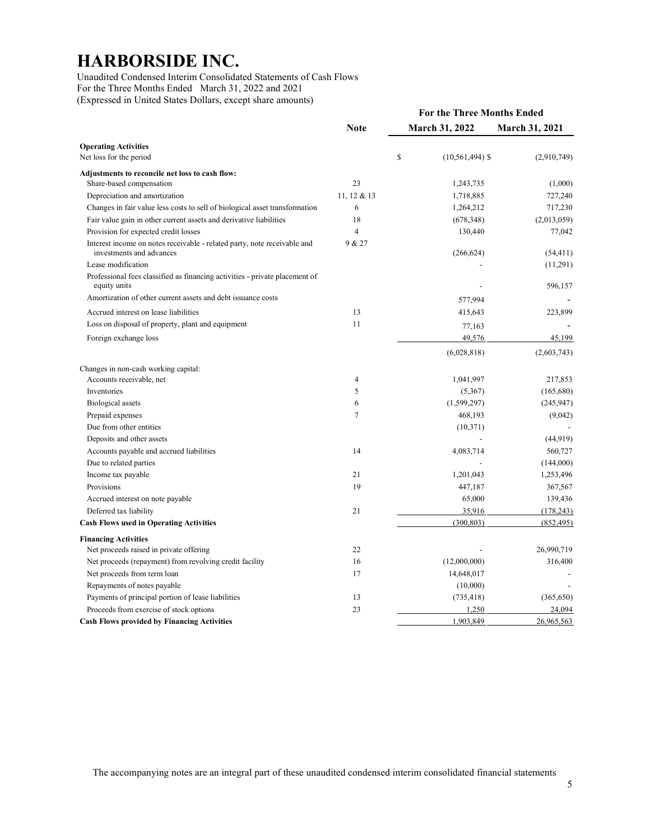Unaudited Condensed Interim Consolidated Statements of Cash Flows For the Three Months Ended March 31, 2022 and 2021 (Expressed in United States Dollars, except share amounts)

| <b>Note</b><br>March 31, 2022<br><b>March 31, 2021</b><br><b>Operating Activities</b><br>\$<br>Net loss for the period<br>$(10, 561, 494)$ \$<br>(2,910,749)<br>Adjustments to reconcile net loss to cash flow:<br>23<br>(1,000)<br>Share-based compensation<br>1,243,735<br>11.12 & 13<br>Depreciation and amortization<br>1,718,885<br>727,240<br>Changes in fair value less costs to sell of biological asset transformation<br>6<br>717,230<br>1,264,212<br>18<br>Fair value gain in other current assets and derivative liabilities<br>(678, 348)<br>(2,013,059)<br>$\overline{4}$<br>Provision for expected credit losses<br>130,440<br>77,042<br>9 & 27<br>Interest income on notes receivable - related party, note receivable and<br>investments and advances<br>(266, 624)<br>(54, 411)<br>Lease modification<br>(11,291)<br>Professional fees classified as financing activities - private placement of<br>596,157<br>equity units<br>Amortization of other current assets and debt issuance costs<br>577,994<br>Accrued interest on lease liabilities<br>13<br>223,899<br>415,643<br>Loss on disposal of property, plant and equipment<br>11<br>77,163<br>49,576<br>45,199<br>Foreign exchange loss<br>(6,028,818)<br>(2,603,743)<br>Changes in non-cash working capital:<br>Accounts receivable, net<br>4<br>217,853<br>1,041,997<br>5<br>Inventories<br>(165,680)<br>(5,367)<br><b>Biological</b> assets<br>6<br>(1,599,297)<br>(245, 947)<br>Prepaid expenses<br>7<br>468,193<br>(9,042)<br>Due from other entities<br>(10,371)<br>Deposits and other assets<br>(44, 919)<br>14<br>Accounts payable and accrued liabilities<br>4,083,714<br>560,727<br>Due to related parties<br>(144,000)<br>21<br>1,201,043<br>1,253,496<br>Income tax payable<br>Provisions<br>19<br>367,567<br>447,187<br>Accrued interest on note payable<br>65,000<br>139,436<br>21<br>Deferred tax liability<br>35,916<br>(178, 243)<br>(852, 495)<br><b>Cash Flows used in Operating Activities</b><br>(300, 803)<br><b>Financing Activities</b><br>26,990,719<br>Net proceeds raised in private offering<br>22<br>Net proceeds (repayment) from revolving credit facility<br>16<br>(12,000,000)<br>316,400<br>Net proceeds from term loan<br>17<br>14,648,017<br>Repayments of notes payable<br>(10,000)<br>13<br>Payments of principal portion of lease liabilities<br>(365, 650)<br>(735, 418)<br>Proceeds from exercise of stock options<br>23<br>1,250<br>24,094<br>1,903,849<br><b>Cash Flows provided by Financing Activities</b><br>26,965,563 |  | <b>For the Three Months Ended</b> |  |  |  |
|-----------------------------------------------------------------------------------------------------------------------------------------------------------------------------------------------------------------------------------------------------------------------------------------------------------------------------------------------------------------------------------------------------------------------------------------------------------------------------------------------------------------------------------------------------------------------------------------------------------------------------------------------------------------------------------------------------------------------------------------------------------------------------------------------------------------------------------------------------------------------------------------------------------------------------------------------------------------------------------------------------------------------------------------------------------------------------------------------------------------------------------------------------------------------------------------------------------------------------------------------------------------------------------------------------------------------------------------------------------------------------------------------------------------------------------------------------------------------------------------------------------------------------------------------------------------------------------------------------------------------------------------------------------------------------------------------------------------------------------------------------------------------------------------------------------------------------------------------------------------------------------------------------------------------------------------------------------------------------------------------------------------------------------------------------------------------------------------------------------------------------------------------------------------------------------------------------------------------------------------------------------------------------------------------------------------------------------------------------------------------------------------------------------------------------------------------------------------------------------------------------------------------------------------------|--|-----------------------------------|--|--|--|
|                                                                                                                                                                                                                                                                                                                                                                                                                                                                                                                                                                                                                                                                                                                                                                                                                                                                                                                                                                                                                                                                                                                                                                                                                                                                                                                                                                                                                                                                                                                                                                                                                                                                                                                                                                                                                                                                                                                                                                                                                                                                                                                                                                                                                                                                                                                                                                                                                                                                                                                                               |  |                                   |  |  |  |
|                                                                                                                                                                                                                                                                                                                                                                                                                                                                                                                                                                                                                                                                                                                                                                                                                                                                                                                                                                                                                                                                                                                                                                                                                                                                                                                                                                                                                                                                                                                                                                                                                                                                                                                                                                                                                                                                                                                                                                                                                                                                                                                                                                                                                                                                                                                                                                                                                                                                                                                                               |  |                                   |  |  |  |
|                                                                                                                                                                                                                                                                                                                                                                                                                                                                                                                                                                                                                                                                                                                                                                                                                                                                                                                                                                                                                                                                                                                                                                                                                                                                                                                                                                                                                                                                                                                                                                                                                                                                                                                                                                                                                                                                                                                                                                                                                                                                                                                                                                                                                                                                                                                                                                                                                                                                                                                                               |  |                                   |  |  |  |
|                                                                                                                                                                                                                                                                                                                                                                                                                                                                                                                                                                                                                                                                                                                                                                                                                                                                                                                                                                                                                                                                                                                                                                                                                                                                                                                                                                                                                                                                                                                                                                                                                                                                                                                                                                                                                                                                                                                                                                                                                                                                                                                                                                                                                                                                                                                                                                                                                                                                                                                                               |  |                                   |  |  |  |
|                                                                                                                                                                                                                                                                                                                                                                                                                                                                                                                                                                                                                                                                                                                                                                                                                                                                                                                                                                                                                                                                                                                                                                                                                                                                                                                                                                                                                                                                                                                                                                                                                                                                                                                                                                                                                                                                                                                                                                                                                                                                                                                                                                                                                                                                                                                                                                                                                                                                                                                                               |  |                                   |  |  |  |
|                                                                                                                                                                                                                                                                                                                                                                                                                                                                                                                                                                                                                                                                                                                                                                                                                                                                                                                                                                                                                                                                                                                                                                                                                                                                                                                                                                                                                                                                                                                                                                                                                                                                                                                                                                                                                                                                                                                                                                                                                                                                                                                                                                                                                                                                                                                                                                                                                                                                                                                                               |  |                                   |  |  |  |
|                                                                                                                                                                                                                                                                                                                                                                                                                                                                                                                                                                                                                                                                                                                                                                                                                                                                                                                                                                                                                                                                                                                                                                                                                                                                                                                                                                                                                                                                                                                                                                                                                                                                                                                                                                                                                                                                                                                                                                                                                                                                                                                                                                                                                                                                                                                                                                                                                                                                                                                                               |  |                                   |  |  |  |
|                                                                                                                                                                                                                                                                                                                                                                                                                                                                                                                                                                                                                                                                                                                                                                                                                                                                                                                                                                                                                                                                                                                                                                                                                                                                                                                                                                                                                                                                                                                                                                                                                                                                                                                                                                                                                                                                                                                                                                                                                                                                                                                                                                                                                                                                                                                                                                                                                                                                                                                                               |  |                                   |  |  |  |
|                                                                                                                                                                                                                                                                                                                                                                                                                                                                                                                                                                                                                                                                                                                                                                                                                                                                                                                                                                                                                                                                                                                                                                                                                                                                                                                                                                                                                                                                                                                                                                                                                                                                                                                                                                                                                                                                                                                                                                                                                                                                                                                                                                                                                                                                                                                                                                                                                                                                                                                                               |  |                                   |  |  |  |
|                                                                                                                                                                                                                                                                                                                                                                                                                                                                                                                                                                                                                                                                                                                                                                                                                                                                                                                                                                                                                                                                                                                                                                                                                                                                                                                                                                                                                                                                                                                                                                                                                                                                                                                                                                                                                                                                                                                                                                                                                                                                                                                                                                                                                                                                                                                                                                                                                                                                                                                                               |  |                                   |  |  |  |
|                                                                                                                                                                                                                                                                                                                                                                                                                                                                                                                                                                                                                                                                                                                                                                                                                                                                                                                                                                                                                                                                                                                                                                                                                                                                                                                                                                                                                                                                                                                                                                                                                                                                                                                                                                                                                                                                                                                                                                                                                                                                                                                                                                                                                                                                                                                                                                                                                                                                                                                                               |  |                                   |  |  |  |
|                                                                                                                                                                                                                                                                                                                                                                                                                                                                                                                                                                                                                                                                                                                                                                                                                                                                                                                                                                                                                                                                                                                                                                                                                                                                                                                                                                                                                                                                                                                                                                                                                                                                                                                                                                                                                                                                                                                                                                                                                                                                                                                                                                                                                                                                                                                                                                                                                                                                                                                                               |  |                                   |  |  |  |
|                                                                                                                                                                                                                                                                                                                                                                                                                                                                                                                                                                                                                                                                                                                                                                                                                                                                                                                                                                                                                                                                                                                                                                                                                                                                                                                                                                                                                                                                                                                                                                                                                                                                                                                                                                                                                                                                                                                                                                                                                                                                                                                                                                                                                                                                                                                                                                                                                                                                                                                                               |  |                                   |  |  |  |
|                                                                                                                                                                                                                                                                                                                                                                                                                                                                                                                                                                                                                                                                                                                                                                                                                                                                                                                                                                                                                                                                                                                                                                                                                                                                                                                                                                                                                                                                                                                                                                                                                                                                                                                                                                                                                                                                                                                                                                                                                                                                                                                                                                                                                                                                                                                                                                                                                                                                                                                                               |  |                                   |  |  |  |
|                                                                                                                                                                                                                                                                                                                                                                                                                                                                                                                                                                                                                                                                                                                                                                                                                                                                                                                                                                                                                                                                                                                                                                                                                                                                                                                                                                                                                                                                                                                                                                                                                                                                                                                                                                                                                                                                                                                                                                                                                                                                                                                                                                                                                                                                                                                                                                                                                                                                                                                                               |  |                                   |  |  |  |
|                                                                                                                                                                                                                                                                                                                                                                                                                                                                                                                                                                                                                                                                                                                                                                                                                                                                                                                                                                                                                                                                                                                                                                                                                                                                                                                                                                                                                                                                                                                                                                                                                                                                                                                                                                                                                                                                                                                                                                                                                                                                                                                                                                                                                                                                                                                                                                                                                                                                                                                                               |  |                                   |  |  |  |
|                                                                                                                                                                                                                                                                                                                                                                                                                                                                                                                                                                                                                                                                                                                                                                                                                                                                                                                                                                                                                                                                                                                                                                                                                                                                                                                                                                                                                                                                                                                                                                                                                                                                                                                                                                                                                                                                                                                                                                                                                                                                                                                                                                                                                                                                                                                                                                                                                                                                                                                                               |  |                                   |  |  |  |
|                                                                                                                                                                                                                                                                                                                                                                                                                                                                                                                                                                                                                                                                                                                                                                                                                                                                                                                                                                                                                                                                                                                                                                                                                                                                                                                                                                                                                                                                                                                                                                                                                                                                                                                                                                                                                                                                                                                                                                                                                                                                                                                                                                                                                                                                                                                                                                                                                                                                                                                                               |  |                                   |  |  |  |
|                                                                                                                                                                                                                                                                                                                                                                                                                                                                                                                                                                                                                                                                                                                                                                                                                                                                                                                                                                                                                                                                                                                                                                                                                                                                                                                                                                                                                                                                                                                                                                                                                                                                                                                                                                                                                                                                                                                                                                                                                                                                                                                                                                                                                                                                                                                                                                                                                                                                                                                                               |  |                                   |  |  |  |
|                                                                                                                                                                                                                                                                                                                                                                                                                                                                                                                                                                                                                                                                                                                                                                                                                                                                                                                                                                                                                                                                                                                                                                                                                                                                                                                                                                                                                                                                                                                                                                                                                                                                                                                                                                                                                                                                                                                                                                                                                                                                                                                                                                                                                                                                                                                                                                                                                                                                                                                                               |  |                                   |  |  |  |
|                                                                                                                                                                                                                                                                                                                                                                                                                                                                                                                                                                                                                                                                                                                                                                                                                                                                                                                                                                                                                                                                                                                                                                                                                                                                                                                                                                                                                                                                                                                                                                                                                                                                                                                                                                                                                                                                                                                                                                                                                                                                                                                                                                                                                                                                                                                                                                                                                                                                                                                                               |  |                                   |  |  |  |
|                                                                                                                                                                                                                                                                                                                                                                                                                                                                                                                                                                                                                                                                                                                                                                                                                                                                                                                                                                                                                                                                                                                                                                                                                                                                                                                                                                                                                                                                                                                                                                                                                                                                                                                                                                                                                                                                                                                                                                                                                                                                                                                                                                                                                                                                                                                                                                                                                                                                                                                                               |  |                                   |  |  |  |
|                                                                                                                                                                                                                                                                                                                                                                                                                                                                                                                                                                                                                                                                                                                                                                                                                                                                                                                                                                                                                                                                                                                                                                                                                                                                                                                                                                                                                                                                                                                                                                                                                                                                                                                                                                                                                                                                                                                                                                                                                                                                                                                                                                                                                                                                                                                                                                                                                                                                                                                                               |  |                                   |  |  |  |
|                                                                                                                                                                                                                                                                                                                                                                                                                                                                                                                                                                                                                                                                                                                                                                                                                                                                                                                                                                                                                                                                                                                                                                                                                                                                                                                                                                                                                                                                                                                                                                                                                                                                                                                                                                                                                                                                                                                                                                                                                                                                                                                                                                                                                                                                                                                                                                                                                                                                                                                                               |  |                                   |  |  |  |
|                                                                                                                                                                                                                                                                                                                                                                                                                                                                                                                                                                                                                                                                                                                                                                                                                                                                                                                                                                                                                                                                                                                                                                                                                                                                                                                                                                                                                                                                                                                                                                                                                                                                                                                                                                                                                                                                                                                                                                                                                                                                                                                                                                                                                                                                                                                                                                                                                                                                                                                                               |  |                                   |  |  |  |
|                                                                                                                                                                                                                                                                                                                                                                                                                                                                                                                                                                                                                                                                                                                                                                                                                                                                                                                                                                                                                                                                                                                                                                                                                                                                                                                                                                                                                                                                                                                                                                                                                                                                                                                                                                                                                                                                                                                                                                                                                                                                                                                                                                                                                                                                                                                                                                                                                                                                                                                                               |  |                                   |  |  |  |
|                                                                                                                                                                                                                                                                                                                                                                                                                                                                                                                                                                                                                                                                                                                                                                                                                                                                                                                                                                                                                                                                                                                                                                                                                                                                                                                                                                                                                                                                                                                                                                                                                                                                                                                                                                                                                                                                                                                                                                                                                                                                                                                                                                                                                                                                                                                                                                                                                                                                                                                                               |  |                                   |  |  |  |
|                                                                                                                                                                                                                                                                                                                                                                                                                                                                                                                                                                                                                                                                                                                                                                                                                                                                                                                                                                                                                                                                                                                                                                                                                                                                                                                                                                                                                                                                                                                                                                                                                                                                                                                                                                                                                                                                                                                                                                                                                                                                                                                                                                                                                                                                                                                                                                                                                                                                                                                                               |  |                                   |  |  |  |
|                                                                                                                                                                                                                                                                                                                                                                                                                                                                                                                                                                                                                                                                                                                                                                                                                                                                                                                                                                                                                                                                                                                                                                                                                                                                                                                                                                                                                                                                                                                                                                                                                                                                                                                                                                                                                                                                                                                                                                                                                                                                                                                                                                                                                                                                                                                                                                                                                                                                                                                                               |  |                                   |  |  |  |
|                                                                                                                                                                                                                                                                                                                                                                                                                                                                                                                                                                                                                                                                                                                                                                                                                                                                                                                                                                                                                                                                                                                                                                                                                                                                                                                                                                                                                                                                                                                                                                                                                                                                                                                                                                                                                                                                                                                                                                                                                                                                                                                                                                                                                                                                                                                                                                                                                                                                                                                                               |  |                                   |  |  |  |
|                                                                                                                                                                                                                                                                                                                                                                                                                                                                                                                                                                                                                                                                                                                                                                                                                                                                                                                                                                                                                                                                                                                                                                                                                                                                                                                                                                                                                                                                                                                                                                                                                                                                                                                                                                                                                                                                                                                                                                                                                                                                                                                                                                                                                                                                                                                                                                                                                                                                                                                                               |  |                                   |  |  |  |
|                                                                                                                                                                                                                                                                                                                                                                                                                                                                                                                                                                                                                                                                                                                                                                                                                                                                                                                                                                                                                                                                                                                                                                                                                                                                                                                                                                                                                                                                                                                                                                                                                                                                                                                                                                                                                                                                                                                                                                                                                                                                                                                                                                                                                                                                                                                                                                                                                                                                                                                                               |  |                                   |  |  |  |
|                                                                                                                                                                                                                                                                                                                                                                                                                                                                                                                                                                                                                                                                                                                                                                                                                                                                                                                                                                                                                                                                                                                                                                                                                                                                                                                                                                                                                                                                                                                                                                                                                                                                                                                                                                                                                                                                                                                                                                                                                                                                                                                                                                                                                                                                                                                                                                                                                                                                                                                                               |  |                                   |  |  |  |
|                                                                                                                                                                                                                                                                                                                                                                                                                                                                                                                                                                                                                                                                                                                                                                                                                                                                                                                                                                                                                                                                                                                                                                                                                                                                                                                                                                                                                                                                                                                                                                                                                                                                                                                                                                                                                                                                                                                                                                                                                                                                                                                                                                                                                                                                                                                                                                                                                                                                                                                                               |  |                                   |  |  |  |
|                                                                                                                                                                                                                                                                                                                                                                                                                                                                                                                                                                                                                                                                                                                                                                                                                                                                                                                                                                                                                                                                                                                                                                                                                                                                                                                                                                                                                                                                                                                                                                                                                                                                                                                                                                                                                                                                                                                                                                                                                                                                                                                                                                                                                                                                                                                                                                                                                                                                                                                                               |  |                                   |  |  |  |
|                                                                                                                                                                                                                                                                                                                                                                                                                                                                                                                                                                                                                                                                                                                                                                                                                                                                                                                                                                                                                                                                                                                                                                                                                                                                                                                                                                                                                                                                                                                                                                                                                                                                                                                                                                                                                                                                                                                                                                                                                                                                                                                                                                                                                                                                                                                                                                                                                                                                                                                                               |  |                                   |  |  |  |
|                                                                                                                                                                                                                                                                                                                                                                                                                                                                                                                                                                                                                                                                                                                                                                                                                                                                                                                                                                                                                                                                                                                                                                                                                                                                                                                                                                                                                                                                                                                                                                                                                                                                                                                                                                                                                                                                                                                                                                                                                                                                                                                                                                                                                                                                                                                                                                                                                                                                                                                                               |  |                                   |  |  |  |
|                                                                                                                                                                                                                                                                                                                                                                                                                                                                                                                                                                                                                                                                                                                                                                                                                                                                                                                                                                                                                                                                                                                                                                                                                                                                                                                                                                                                                                                                                                                                                                                                                                                                                                                                                                                                                                                                                                                                                                                                                                                                                                                                                                                                                                                                                                                                                                                                                                                                                                                                               |  |                                   |  |  |  |
|                                                                                                                                                                                                                                                                                                                                                                                                                                                                                                                                                                                                                                                                                                                                                                                                                                                                                                                                                                                                                                                                                                                                                                                                                                                                                                                                                                                                                                                                                                                                                                                                                                                                                                                                                                                                                                                                                                                                                                                                                                                                                                                                                                                                                                                                                                                                                                                                                                                                                                                                               |  |                                   |  |  |  |
|                                                                                                                                                                                                                                                                                                                                                                                                                                                                                                                                                                                                                                                                                                                                                                                                                                                                                                                                                                                                                                                                                                                                                                                                                                                                                                                                                                                                                                                                                                                                                                                                                                                                                                                                                                                                                                                                                                                                                                                                                                                                                                                                                                                                                                                                                                                                                                                                                                                                                                                                               |  |                                   |  |  |  |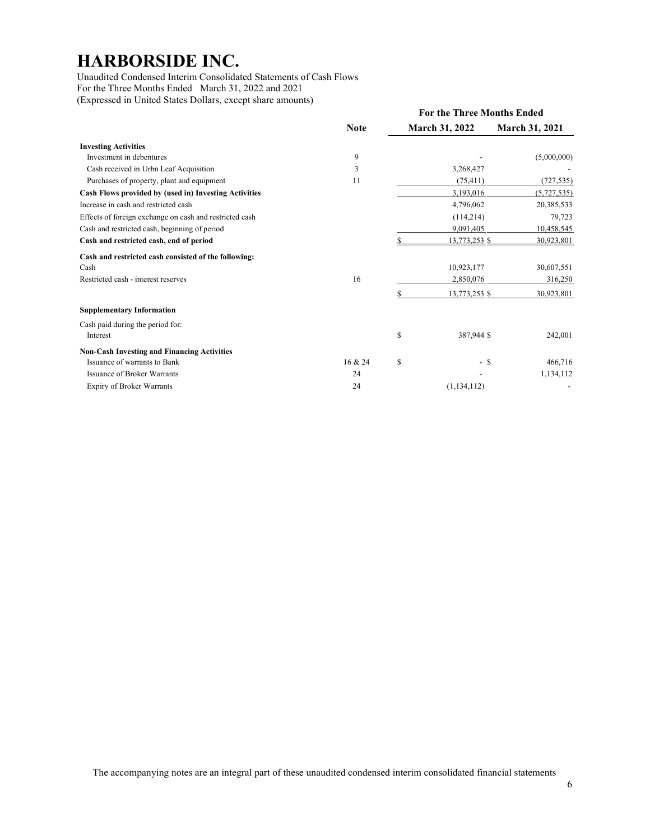Unaudited Condensed Interim Consolidated Statements of Cash Flows For the Three Months Ended March 31, 2022 and 2021 (Expressed in United States Dollars, except share amounts)

|                                                         |             | <b>For the Three Months Ended</b> |                       |                       |  |
|---------------------------------------------------------|-------------|-----------------------------------|-----------------------|-----------------------|--|
|                                                         | <b>Note</b> |                                   | <b>March 31, 2022</b> | <b>March 31, 2021</b> |  |
| <b>Investing Activities</b>                             |             |                                   |                       |                       |  |
| Investment in debentures                                | 9           |                                   |                       | (5,000,000)           |  |
| Cash received in Urbn Leaf Acquisition                  | 3           |                                   | 3,268,427             |                       |  |
| Purchases of property, plant and equipment              | 11          |                                   | (75, 411)             | (727, 535)            |  |
| Cash Flows provided by (used in) Investing Activities   |             |                                   | 3,193,016             | (5,727,535)           |  |
| Increase in cash and restricted cash                    |             |                                   | 4,796,062             | 20,385,533            |  |
| Effects of foreign exchange on cash and restricted cash |             |                                   | (114,214)             | 79,723                |  |
| Cash and restricted cash, beginning of period           |             |                                   | 9,091,405             | 10,458,545            |  |
| Cash and restricted cash, end of period                 |             |                                   | 13,773,253 \$         | 30,923,801            |  |
| Cash and restricted cash consisted of the following:    |             |                                   |                       |                       |  |
| Cash                                                    |             |                                   | 10,923,177            | 30,607,551            |  |
| Restricted cash - interest reserves                     | 16          |                                   | 2,850,076             | 316,250               |  |
|                                                         |             |                                   | 13,773,253 \$         | 30,923,801            |  |
| <b>Supplementary Information</b>                        |             |                                   |                       |                       |  |
| Cash paid during the period for:                        |             |                                   |                       |                       |  |
| Interest                                                |             | \$                                | 387,944 \$            | 242,001               |  |
| <b>Non-Cash Investing and Financing Activities</b>      |             |                                   |                       |                       |  |
| Issuance of warrants to Bank                            | 16 & 24     | \$                                | - \$                  | 466,716               |  |
| Issuance of Broker Warrants                             | 24          |                                   |                       | 1,134,112             |  |
| <b>Expiry of Broker Warrants</b>                        | 24          |                                   | (1, 134, 112)         |                       |  |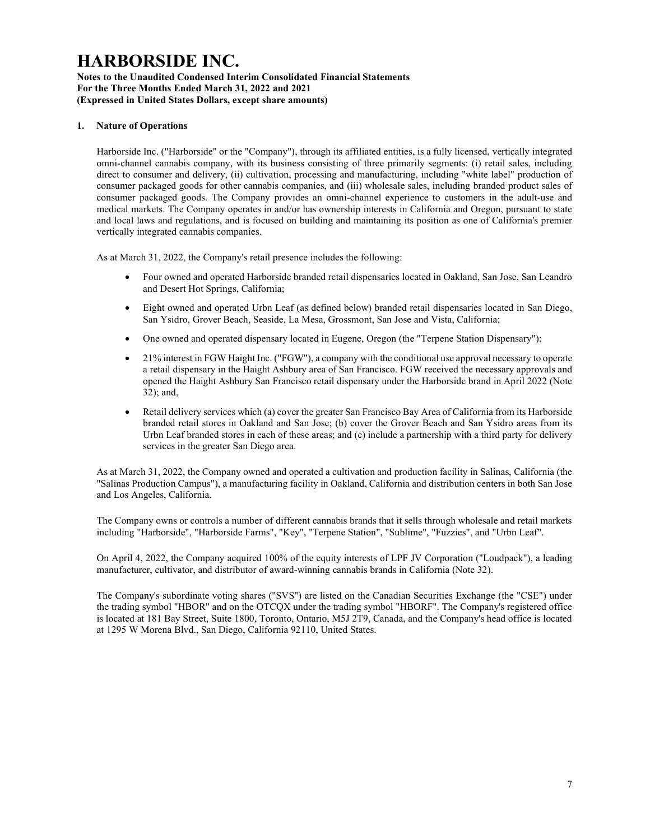### Notes to the Unaudited Condensed Interim Consolidated Financial Statements For the Three Months Ended March 31, 2022 and 2021 (Expressed in United States Dollars, except share amounts)

### 1. Nature of Operations

Harborside Inc. ("Harborside" or the "Company"), through its affiliated entities, is a fully licensed, vertically integrated omni-channel cannabis company, with its business consisting of three primarily segments: (i) retail sales, including direct to consumer and delivery, (ii) cultivation, processing and manufacturing, including "white label" production of consumer packaged goods for other cannabis companies, and (iii) wholesale sales, including branded product sales of consumer packaged goods. The Company provides an omni-channel experience to customers in the adult-use and medical markets. The Company operates in and/or has ownership interests in California and Oregon, pursuant to state and local laws and regulations, and is focused on building and maintaining its position as one of California's premier vertically integrated cannabis companies.

As at March 31, 2022, the Company's retail presence includes the following:

- Four owned and operated Harborside branded retail dispensaries located in Oakland, San Jose, San Leandro and Desert Hot Springs, California;
- Eight owned and operated Urbn Leaf (as defined below) branded retail dispensaries located in San Diego, San Ysidro, Grover Beach, Seaside, La Mesa, Grossmont, San Jose and Vista, California;
- One owned and operated dispensary located in Eugene, Oregon (the "Terpene Station Dispensary");
- 21% interest in FGW Haight Inc. ("FGW"), a company with the conditional use approval necessary to operate a retail dispensary in the Haight Ashbury area of San Francisco. FGW received the necessary approvals and opened the Haight Ashbury San Francisco retail dispensary under the Harborside brand in April 2022 (Note 32); and,
- Retail delivery services which (a) cover the greater San Francisco Bay Area of California from its Harborside branded retail stores in Oakland and San Jose; (b) cover the Grover Beach and San Ysidro areas from its Urbn Leaf branded stores in each of these areas; and (c) include a partnership with a third party for delivery services in the greater San Diego area.

As at March 31, 2022, the Company owned and operated a cultivation and production facility in Salinas, California (the "Salinas Production Campus"), a manufacturing facility in Oakland, California and distribution centers in both San Jose and Los Angeles, California.

The Company owns or controls a number of different cannabis brands that it sells through wholesale and retail markets including "Harborside", "Harborside Farms", "Key", "Terpene Station", "Sublime", "Fuzzies", and "Urbn Leaf".

On April 4, 2022, the Company acquired 100% of the equity interests of LPF JV Corporation ("Loudpack"), a leading manufacturer, cultivator, and distributor of award-winning cannabis brands in California (Note 32).

The Company's subordinate voting shares ("SVS") are listed on the Canadian Securities Exchange (the "CSE") under the trading symbol "HBOR" and on the OTCQX under the trading symbol "HBORF". The Company's registered office is located at 181 Bay Street, Suite 1800, Toronto, Ontario, M5J 2T9, Canada, and the Company's head office is located at 1295 W Morena Blvd., San Diego, California 92110, United States.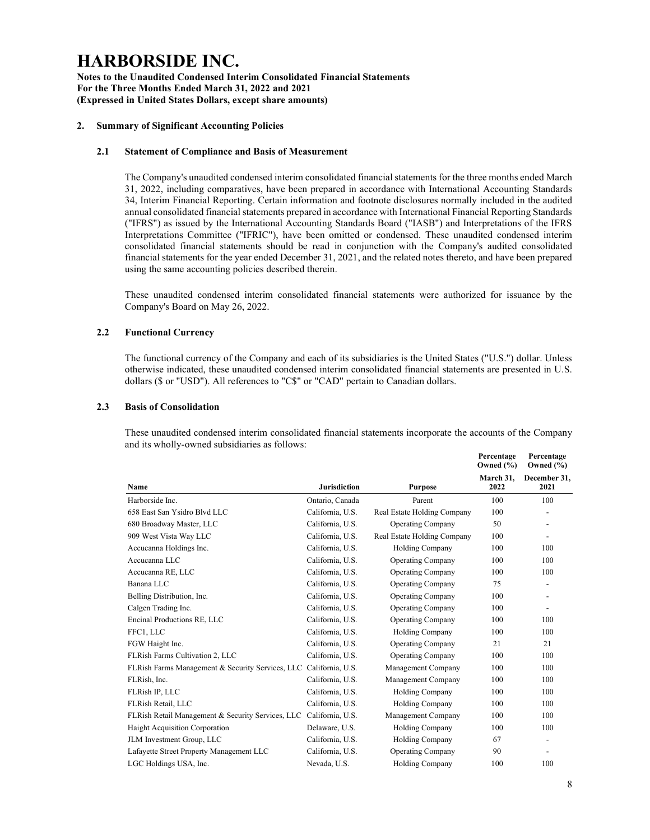Notes to the Unaudited Condensed Interim Consolidated Financial Statements For the Three Months Ended March 31, 2022 and 2021 (Expressed in United States Dollars, except share amounts)

### 2. Summary of Significant Accounting Policies

### 2.1 Statement of Compliance and Basis of Measurement

The Company's unaudited condensed interim consolidated financial statements for the three months ended March 31, 2022, including comparatives, have been prepared in accordance with International Accounting Standards 34, Interim Financial Reporting. Certain information and footnote disclosures normally included in the audited annual consolidated financial statements prepared in accordance with International Financial Reporting Standards ("IFRS") as issued by the International Accounting Standards Board ("IASB") and Interpretations of the IFRS Interpretations Committee ("IFRIC"), have been omitted or condensed. These unaudited condensed interim consolidated financial statements should be read in conjunction with the Company's audited consolidated financial statements for the year ended December 31, 2021, and the related notes thereto, and have been prepared using the same accounting policies described therein.

These unaudited condensed interim consolidated financial statements were authorized for issuance by the Company's Board on May 26, 2022.

## 2.2 Functional Currency

The functional currency of the Company and each of its subsidiaries is the United States ("U.S.") dollar. Unless otherwise indicated, these unaudited condensed interim consolidated financial statements are presented in U.S. dollars (\$ or "USD"). All references to "C\$" or "CAD" pertain to Canadian dollars.

### 2.3 Basis of Consolidation

These unaudited condensed interim consolidated financial statements incorporate the accounts of the Company and its wholly-owned subsidiaries as follows:

|                                                   |                     |                             | Percentage<br>Owned $(\% )$ | Percentage<br>Owned $(\% )$ |
|---------------------------------------------------|---------------------|-----------------------------|-----------------------------|-----------------------------|
| Name                                              | <b>Jurisdiction</b> | <b>Purpose</b>              | March 31,<br>2022           | December 31,<br>2021        |
| Harborside Inc.                                   | Ontario, Canada     | Parent                      | 100                         | 100                         |
| 658 East San Ysidro Blvd LLC                      | California, U.S.    | Real Estate Holding Company | 100                         | $\overline{\phantom{0}}$    |
| 680 Broadway Master, LLC                          | California, U.S.    | <b>Operating Company</b>    | 50                          | $\overline{\phantom{a}}$    |
| 909 West Vista Way LLC                            | California, U.S.    | Real Estate Holding Company | 100                         | $\overline{\phantom{0}}$    |
| Accucanna Holdings Inc.                           | California, U.S.    | Holding Company             | 100                         | 100                         |
| Accucanna LLC                                     | California, U.S.    | <b>Operating Company</b>    | 100                         | 100                         |
| Accucanna RE, LLC                                 | California, U.S.    | <b>Operating Company</b>    | 100                         | 100                         |
| Banana LLC                                        | California, U.S.    | <b>Operating Company</b>    | 75                          | $\overline{a}$              |
| Belling Distribution, Inc.                        | California, U.S.    | <b>Operating Company</b>    | 100                         | $\overline{\phantom{0}}$    |
| Calgen Trading Inc.                               | California, U.S.    | <b>Operating Company</b>    | 100                         | $\overline{\phantom{0}}$    |
| Encinal Productions RE, LLC                       | California, U.S.    | <b>Operating Company</b>    | 100                         | 100                         |
| FFC1, LLC                                         | California, U.S.    | <b>Holding Company</b>      | 100                         | 100                         |
| FGW Haight Inc.                                   | California, U.S.    | <b>Operating Company</b>    | 21                          | 21                          |
| FLRish Farms Cultivation 2, LLC                   | California, U.S.    | <b>Operating Company</b>    | 100                         | 100                         |
| FLRish Farms Management & Security Services, LLC  | California, U.S.    | Management Company          | 100                         | 100                         |
| FLRish, Inc.                                      | California, U.S.    | Management Company          | 100                         | 100                         |
| FLRish IP, LLC                                    | California, U.S.    | <b>Holding Company</b>      | 100                         | 100                         |
| FLRish Retail, LLC                                | California, U.S.    | <b>Holding Company</b>      | 100                         | 100                         |
| FLRish Retail Management & Security Services, LLC | California, U.S.    | Management Company          | 100                         | 100                         |
| Haight Acquisition Corporation                    | Delaware, U.S.      | <b>Holding Company</b>      | 100                         | 100                         |
| JLM Investment Group, LLC                         | California, U.S.    | <b>Holding Company</b>      | 67                          | $\overline{a}$              |
| Lafayette Street Property Management LLC          | California, U.S.    | <b>Operating Company</b>    | 90                          | $\overline{\phantom{0}}$    |
| LGC Holdings USA, Inc.                            | Nevada, U.S.        | <b>Holding Company</b>      | 100                         | 100                         |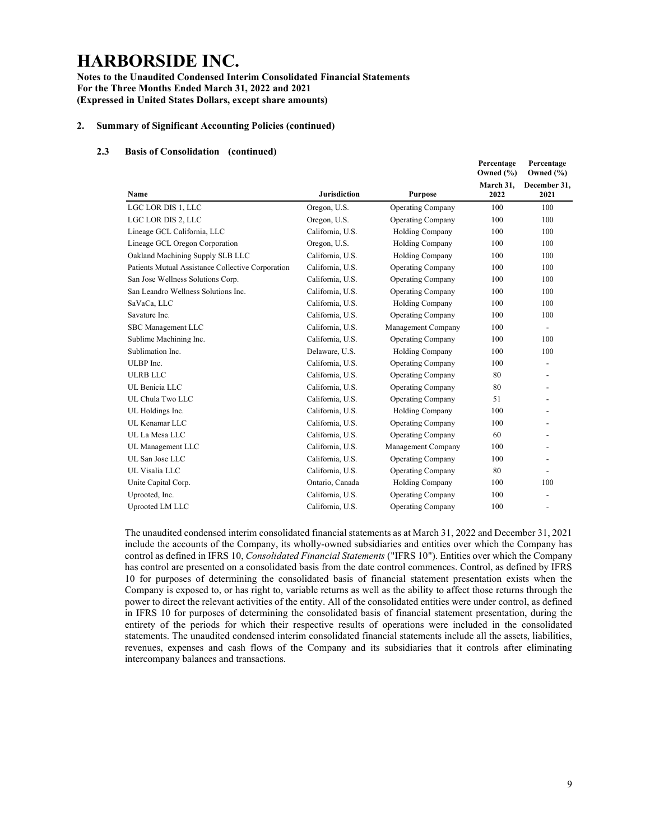Notes to the Unaudited Condensed Interim Consolidated Financial Statements For the Three Months Ended March 31, 2022 and 2021 (Expressed in United States Dollars, except share amounts)

#### 2. Summary of Significant Accounting Policies (continued)

#### 2.3 Basis of Consolidation (continued)

|                                                   |                     |                          | Percentage<br>Owned $(\% )$ | Percentage<br>Owned (%)  |
|---------------------------------------------------|---------------------|--------------------------|-----------------------------|--------------------------|
| Name                                              | <b>Jurisdiction</b> | <b>Purpose</b>           | March 31,<br>2022           | December 31,<br>2021     |
| LGC LOR DIS 1, LLC                                | Oregon, U.S.        | <b>Operating Company</b> | 100                         | 100                      |
| LGC LOR DIS 2, LLC                                | Oregon, U.S.        | <b>Operating Company</b> | 100                         | 100                      |
| Lineage GCL California, LLC                       | California, U.S.    | <b>Holding Company</b>   | 100                         | 100                      |
| Lineage GCL Oregon Corporation                    | Oregon, U.S.        | <b>Holding Company</b>   | 100                         | 100                      |
| Oakland Machining Supply SLB LLC                  | California, U.S.    | <b>Holding Company</b>   | 100                         | 100                      |
| Patients Mutual Assistance Collective Corporation | California, U.S.    | <b>Operating Company</b> | 100                         | 100                      |
| San Jose Wellness Solutions Corp.                 | California, U.S.    | <b>Operating Company</b> | 100                         | 100                      |
| San Leandro Wellness Solutions Inc.               | California, U.S.    | <b>Operating Company</b> | 100                         | 100                      |
| SaVaCa, LLC                                       | California, U.S.    | <b>Holding Company</b>   | 100                         | 100                      |
| Savature Inc.                                     | California, U.S.    | <b>Operating Company</b> | 100                         | 100                      |
| SBC Management LLC                                | California, U.S.    | Management Company       | 100                         | $\overline{\phantom{a}}$ |
| Sublime Machining Inc.                            | California, U.S.    | <b>Operating Company</b> | 100                         | 100                      |
| Sublimation Inc.                                  | Delaware, U.S.      | <b>Holding Company</b>   | 100                         | 100                      |
| ULBP Inc.                                         | California, U.S.    | <b>Operating Company</b> | 100                         | $\overline{\phantom{0}}$ |
| <b>ULRB LLC</b>                                   | California, U.S.    | <b>Operating Company</b> | 80                          | $\overline{a}$           |
| UL Benicia LLC                                    | California, U.S.    | <b>Operating Company</b> | 80                          |                          |
| UL Chula Two LLC                                  | California, U.S.    | <b>Operating Company</b> | 51                          | $\overline{a}$           |
| UL Holdings Inc.                                  | California, U.S.    | <b>Holding Company</b>   | 100                         |                          |
| UL Kenamar LLC                                    | California, U.S.    | <b>Operating Company</b> | 100                         |                          |
| UL La Mesa LLC                                    | California, U.S.    | <b>Operating Company</b> | 60                          |                          |
| UL Management LLC                                 | California, U.S.    | Management Company       | 100                         |                          |
| UL San Jose LLC                                   | California, U.S.    | <b>Operating Company</b> | 100                         |                          |
| UL Visalia LLC                                    | California, U.S.    | <b>Operating Company</b> | 80                          |                          |
| Unite Capital Corp.                               | Ontario, Canada     | <b>Holding Company</b>   | 100                         | 100                      |
| Uprooted, Inc.                                    | California, U.S.    | Operating Company        | 100                         | $\overline{a}$           |
| Uprooted LM LLC                                   | California, U.S.    | <b>Operating Company</b> | 100                         | $\overline{a}$           |

The unaudited condensed interim consolidated financial statements as at March 31, 2022 and December 31, 2021 include the accounts of the Company, its wholly-owned subsidiaries and entities over which the Company has control as defined in IFRS 10, Consolidated Financial Statements ("IFRS 10"). Entities over which the Company has control are presented on a consolidated basis from the date control commences. Control, as defined by IFRS 10 for purposes of determining the consolidated basis of financial statement presentation exists when the Company is exposed to, or has right to, variable returns as well as the ability to affect those returns through the power to direct the relevant activities of the entity. All of the consolidated entities were under control, as defined in IFRS 10 for purposes of determining the consolidated basis of financial statement presentation, during the entirety of the periods for which their respective results of operations were included in the consolidated statements. The unaudited condensed interim consolidated financial statements include all the assets, liabilities, revenues, expenses and cash flows of the Company and its subsidiaries that it controls after eliminating intercompany balances and transactions.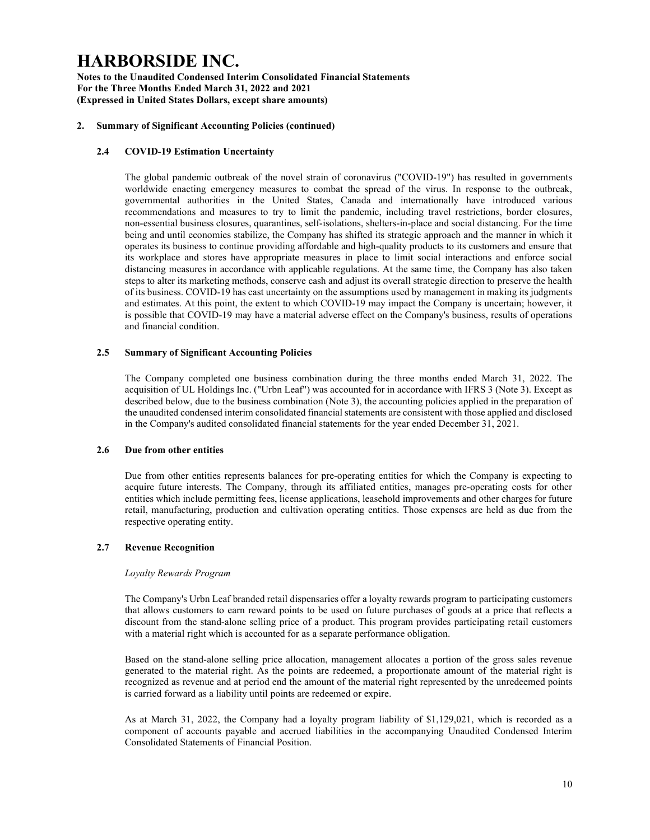Notes to the Unaudited Condensed Interim Consolidated Financial Statements For the Three Months Ended March 31, 2022 and 2021 (Expressed in United States Dollars, except share amounts)

### 2. Summary of Significant Accounting Policies (continued)

### 2.4 COVID-19 Estimation Uncertainty

The global pandemic outbreak of the novel strain of coronavirus ("COVID-19") has resulted in governments worldwide enacting emergency measures to combat the spread of the virus. In response to the outbreak, governmental authorities in the United States, Canada and internationally have introduced various recommendations and measures to try to limit the pandemic, including travel restrictions, border closures, non-essential business closures, quarantines, self-isolations, shelters-in-place and social distancing. For the time being and until economies stabilize, the Company has shifted its strategic approach and the manner in which it operates its business to continue providing affordable and high-quality products to its customers and ensure that its workplace and stores have appropriate measures in place to limit social interactions and enforce social distancing measures in accordance with applicable regulations. At the same time, the Company has also taken steps to alter its marketing methods, conserve cash and adjust its overall strategic direction to preserve the health of its business. COVID-19 has cast uncertainty on the assumptions used by management in making its judgments and estimates. At this point, the extent to which COVID-19 may impact the Company is uncertain; however, it is possible that COVID-19 may have a material adverse effect on the Company's business, results of operations and financial condition.

#### 2.5 Summary of Significant Accounting Policies

The Company completed one business combination during the three months ended March 31, 2022. The acquisition of UL Holdings Inc. ("Urbn Leaf") was accounted for in accordance with IFRS 3 (Note 3). Except as described below, due to the business combination (Note 3), the accounting policies applied in the preparation of the unaudited condensed interim consolidated financial statements are consistent with those applied and disclosed in the Company's audited consolidated financial statements for the year ended December 31, 2021.

#### 2.6 Due from other entities

Due from other entities represents balances for pre-operating entities for which the Company is expecting to acquire future interests. The Company, through its affiliated entities, manages pre-operating costs for other entities which include permitting fees, license applications, leasehold improvements and other charges for future retail, manufacturing, production and cultivation operating entities. Those expenses are held as due from the respective operating entity.

### 2.7 Revenue Recognition

#### Loyalty Rewards Program

The Company's Urbn Leaf branded retail dispensaries offer a loyalty rewards program to participating customers that allows customers to earn reward points to be used on future purchases of goods at a price that reflects a discount from the stand-alone selling price of a product. This program provides participating retail customers with a material right which is accounted for as a separate performance obligation.

Based on the stand-alone selling price allocation, management allocates a portion of the gross sales revenue generated to the material right. As the points are redeemed, a proportionate amount of the material right is recognized as revenue and at period end the amount of the material right represented by the unredeemed points is carried forward as a liability until points are redeemed or expire.

As at March 31, 2022, the Company had a loyalty program liability of \$1,129,021, which is recorded as a component of accounts payable and accrued liabilities in the accompanying Unaudited Condensed Interim Consolidated Statements of Financial Position.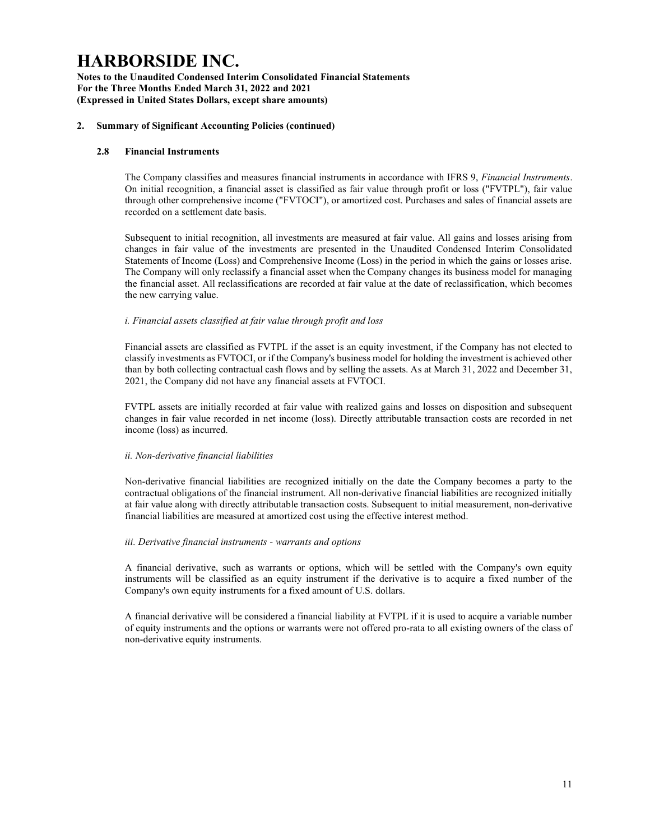Notes to the Unaudited Condensed Interim Consolidated Financial Statements For the Three Months Ended March 31, 2022 and 2021 (Expressed in United States Dollars, except share amounts)

### 2. Summary of Significant Accounting Policies (continued)

### 2.8 Financial Instruments

The Company classifies and measures financial instruments in accordance with IFRS 9, Financial Instruments. On initial recognition, a financial asset is classified as fair value through profit or loss ("FVTPL"), fair value through other comprehensive income ("FVTOCI"), or amortized cost. Purchases and sales of financial assets are recorded on a settlement date basis.

Subsequent to initial recognition, all investments are measured at fair value. All gains and losses arising from changes in fair value of the investments are presented in the Unaudited Condensed Interim Consolidated Statements of Income (Loss) and Comprehensive Income (Loss) in the period in which the gains or losses arise. The Company will only reclassify a financial asset when the Company changes its business model for managing the financial asset. All reclassifications are recorded at fair value at the date of reclassification, which becomes the new carrying value.

#### i. Financial assets classified at fair value through profit and loss

Financial assets are classified as FVTPL if the asset is an equity investment, if the Company has not elected to classify investments as FVTOCI, or if the Company's business model for holding the investment is achieved other than by both collecting contractual cash flows and by selling the assets. As at March 31, 2022 and December 31, 2021, the Company did not have any financial assets at FVTOCI.

FVTPL assets are initially recorded at fair value with realized gains and losses on disposition and subsequent changes in fair value recorded in net income (loss). Directly attributable transaction costs are recorded in net income (loss) as incurred.

#### ii. Non-derivative financial liabilities

Non-derivative financial liabilities are recognized initially on the date the Company becomes a party to the contractual obligations of the financial instrument. All non-derivative financial liabilities are recognized initially at fair value along with directly attributable transaction costs. Subsequent to initial measurement, non-derivative financial liabilities are measured at amortized cost using the effective interest method.

#### iii. Derivative financial instruments - warrants and options

A financial derivative, such as warrants or options, which will be settled with the Company's own equity instruments will be classified as an equity instrument if the derivative is to acquire a fixed number of the Company's own equity instruments for a fixed amount of U.S. dollars.

A financial derivative will be considered a financial liability at FVTPL if it is used to acquire a variable number of equity instruments and the options or warrants were not offered pro-rata to all existing owners of the class of non-derivative equity instruments.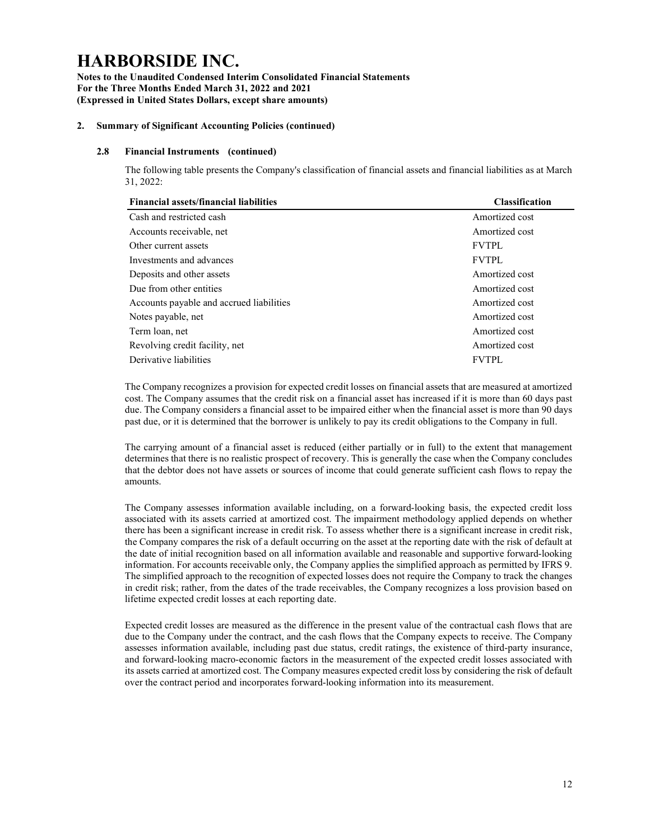Notes to the Unaudited Condensed Interim Consolidated Financial Statements For the Three Months Ended March 31, 2022 and 2021 (Expressed in United States Dollars, except share amounts)

### 2. Summary of Significant Accounting Policies (continued)

### 2.8 Financial Instruments (continued)

The following table presents the Company's classification of financial assets and financial liabilities as at March 31, 2022:

| <b>Financial assets/financial liabilities</b> | <b>Classification</b> |
|-----------------------------------------------|-----------------------|
| Cash and restricted cash                      | Amortized cost        |
| Accounts receivable, net                      | Amortized cost        |
| Other current assets                          | <b>FVTPL</b>          |
| Investments and advances                      | <b>FVTPL</b>          |
| Deposits and other assets                     | Amortized cost        |
| Due from other entities                       | Amortized cost        |
| Accounts payable and accrued liabilities      | Amortized cost        |
| Notes payable, net                            | Amortized cost        |
| Term loan, net                                | Amortized cost        |
| Revolving credit facility, net                | Amortized cost        |
| Derivative liabilities                        | <b>FVTPL</b>          |
|                                               |                       |

The Company recognizes a provision for expected credit losses on financial assets that are measured at amortized cost. The Company assumes that the credit risk on a financial asset has increased if it is more than 60 days past due. The Company considers a financial asset to be impaired either when the financial asset is more than 90 days past due, or it is determined that the borrower is unlikely to pay its credit obligations to the Company in full.

The carrying amount of a financial asset is reduced (either partially or in full) to the extent that management determines that there is no realistic prospect of recovery. This is generally the case when the Company concludes that the debtor does not have assets or sources of income that could generate sufficient cash flows to repay the amounts.

The Company assesses information available including, on a forward-looking basis, the expected credit loss associated with its assets carried at amortized cost. The impairment methodology applied depends on whether there has been a significant increase in credit risk. To assess whether there is a significant increase in credit risk, the Company compares the risk of a default occurring on the asset at the reporting date with the risk of default at the date of initial recognition based on all information available and reasonable and supportive forward-looking information. For accounts receivable only, the Company applies the simplified approach as permitted by IFRS 9. The simplified approach to the recognition of expected losses does not require the Company to track the changes in credit risk; rather, from the dates of the trade receivables, the Company recognizes a loss provision based on lifetime expected credit losses at each reporting date.

Expected credit losses are measured as the difference in the present value of the contractual cash flows that are due to the Company under the contract, and the cash flows that the Company expects to receive. The Company assesses information available, including past due status, credit ratings, the existence of third-party insurance, and forward-looking macro-economic factors in the measurement of the expected credit losses associated with its assets carried at amortized cost. The Company measures expected credit loss by considering the risk of default over the contract period and incorporates forward-looking information into its measurement.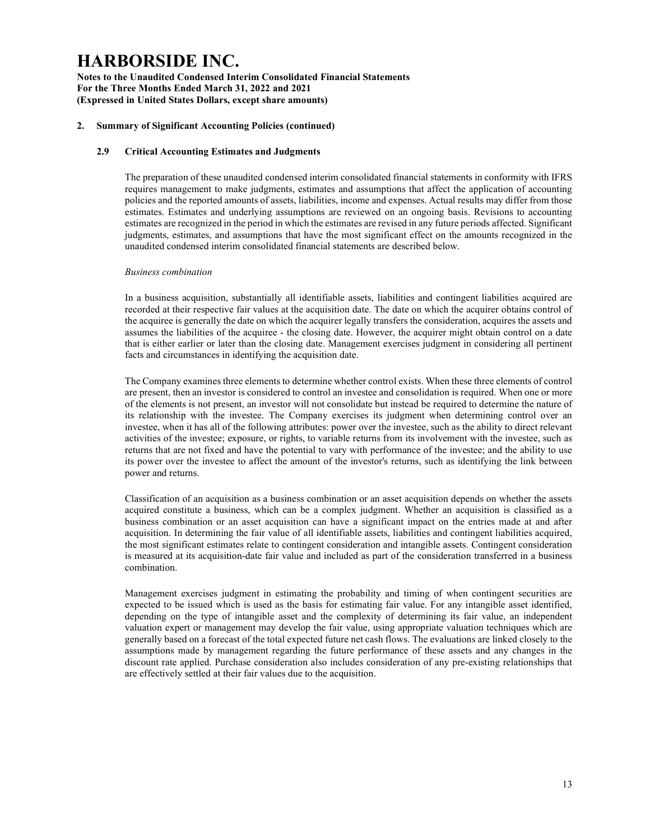Notes to the Unaudited Condensed Interim Consolidated Financial Statements For the Three Months Ended March 31, 2022 and 2021 (Expressed in United States Dollars, except share amounts)

### 2. Summary of Significant Accounting Policies (continued)

### 2.9 Critical Accounting Estimates and Judgments

The preparation of these unaudited condensed interim consolidated financial statements in conformity with IFRS requires management to make judgments, estimates and assumptions that affect the application of accounting policies and the reported amounts of assets, liabilities, income and expenses. Actual results may differ from those estimates. Estimates and underlying assumptions are reviewed on an ongoing basis. Revisions to accounting estimates are recognized in the period in which the estimates are revised in any future periods affected. Significant judgments, estimates, and assumptions that have the most significant effect on the amounts recognized in the unaudited condensed interim consolidated financial statements are described below.

#### Business combination

In a business acquisition, substantially all identifiable assets, liabilities and contingent liabilities acquired are recorded at their respective fair values at the acquisition date. The date on which the acquirer obtains control of the acquiree is generally the date on which the acquirer legally transfers the consideration, acquires the assets and assumes the liabilities of the acquiree - the closing date. However, the acquirer might obtain control on a date that is either earlier or later than the closing date. Management exercises judgment in considering all pertinent facts and circumstances in identifying the acquisition date.

The Company examines three elements to determine whether control exists. When these three elements of control are present, then an investor is considered to control an investee and consolidation is required. When one or more of the elements is not present, an investor will not consolidate but instead be required to determine the nature of its relationship with the investee. The Company exercises its judgment when determining control over an investee, when it has all of the following attributes: power over the investee, such as the ability to direct relevant activities of the investee; exposure, or rights, to variable returns from its involvement with the investee, such as returns that are not fixed and have the potential to vary with performance of the investee; and the ability to use its power over the investee to affect the amount of the investor's returns, such as identifying the link between power and returns.

Classification of an acquisition as a business combination or an asset acquisition depends on whether the assets acquired constitute a business, which can be a complex judgment. Whether an acquisition is classified as a business combination or an asset acquisition can have a significant impact on the entries made at and after acquisition. In determining the fair value of all identifiable assets, liabilities and contingent liabilities acquired, the most significant estimates relate to contingent consideration and intangible assets. Contingent consideration is measured at its acquisition-date fair value and included as part of the consideration transferred in a business combination.

Management exercises judgment in estimating the probability and timing of when contingent securities are expected to be issued which is used as the basis for estimating fair value. For any intangible asset identified, depending on the type of intangible asset and the complexity of determining its fair value, an independent valuation expert or management may develop the fair value, using appropriate valuation techniques which are generally based on a forecast of the total expected future net cash flows. The evaluations are linked closely to the assumptions made by management regarding the future performance of these assets and any changes in the discount rate applied. Purchase consideration also includes consideration of any pre-existing relationships that are effectively settled at their fair values due to the acquisition.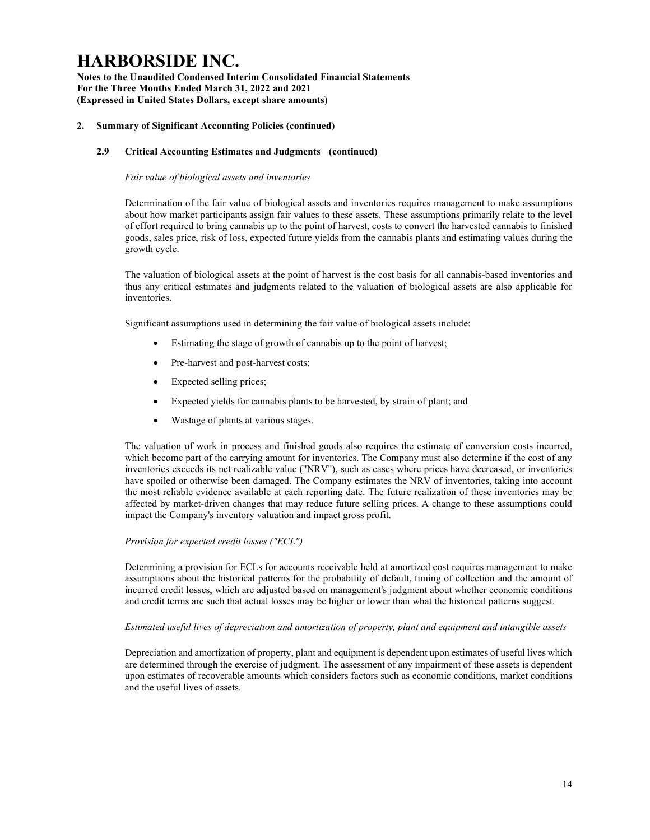Notes to the Unaudited Condensed Interim Consolidated Financial Statements For the Three Months Ended March 31, 2022 and 2021 (Expressed in United States Dollars, except share amounts)

### 2. Summary of Significant Accounting Policies (continued)

### 2.9 Critical Accounting Estimates and Judgments (continued)

#### Fair value of biological assets and inventories

Determination of the fair value of biological assets and inventories requires management to make assumptions about how market participants assign fair values to these assets. These assumptions primarily relate to the level of effort required to bring cannabis up to the point of harvest, costs to convert the harvested cannabis to finished goods, sales price, risk of loss, expected future yields from the cannabis plants and estimating values during the growth cycle.

The valuation of biological assets at the point of harvest is the cost basis for all cannabis-based inventories and thus any critical estimates and judgments related to the valuation of biological assets are also applicable for inventories.

Significant assumptions used in determining the fair value of biological assets include:

- Estimating the stage of growth of cannabis up to the point of harvest;
- Pre-harvest and post-harvest costs;
- Expected selling prices;
- Expected yields for cannabis plants to be harvested, by strain of plant; and
- Wastage of plants at various stages.

The valuation of work in process and finished goods also requires the estimate of conversion costs incurred, which become part of the carrying amount for inventories. The Company must also determine if the cost of any inventories exceeds its net realizable value ("NRV"), such as cases where prices have decreased, or inventories have spoiled or otherwise been damaged. The Company estimates the NRV of inventories, taking into account the most reliable evidence available at each reporting date. The future realization of these inventories may be affected by market-driven changes that may reduce future selling prices. A change to these assumptions could impact the Company's inventory valuation and impact gross profit.

#### Provision for expected credit losses ("ECL")

Determining a provision for ECLs for accounts receivable held at amortized cost requires management to make assumptions about the historical patterns for the probability of default, timing of collection and the amount of incurred credit losses, which are adjusted based on management's judgment about whether economic conditions and credit terms are such that actual losses may be higher or lower than what the historical patterns suggest.

#### Estimated useful lives of depreciation and amortization of property, plant and equipment and intangible assets

Depreciation and amortization of property, plant and equipment is dependent upon estimates of useful lives which are determined through the exercise of judgment. The assessment of any impairment of these assets is dependent upon estimates of recoverable amounts which considers factors such as economic conditions, market conditions and the useful lives of assets.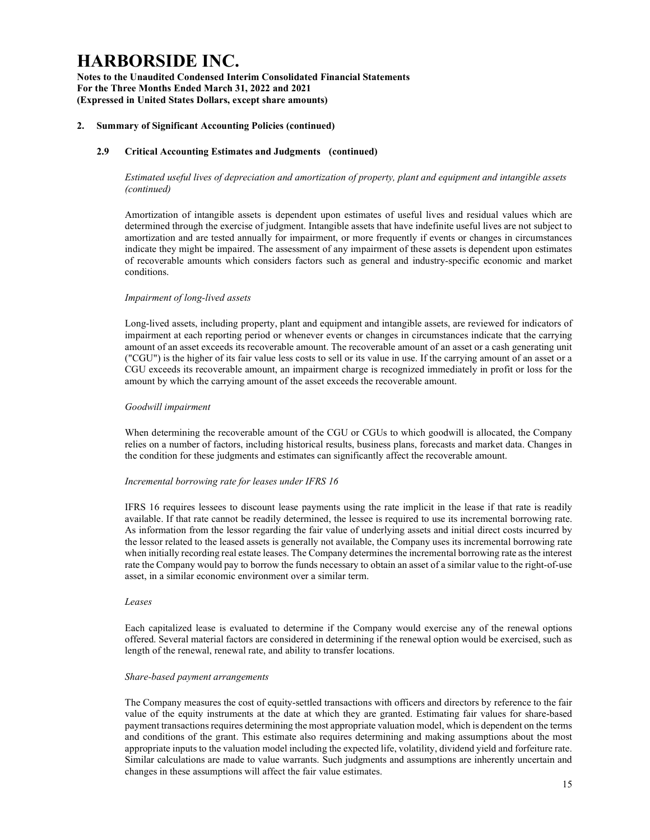Notes to the Unaudited Condensed Interim Consolidated Financial Statements For the Three Months Ended March 31, 2022 and 2021 (Expressed in United States Dollars, except share amounts)

### 2. Summary of Significant Accounting Policies (continued)

### 2.9 Critical Accounting Estimates and Judgments (continued)

Estimated useful lives of depreciation and amortization of property, plant and equipment and intangible assets (continued)

Amortization of intangible assets is dependent upon estimates of useful lives and residual values which are determined through the exercise of judgment. Intangible assets that have indefinite useful lives are not subject to amortization and are tested annually for impairment, or more frequently if events or changes in circumstances indicate they might be impaired. The assessment of any impairment of these assets is dependent upon estimates of recoverable amounts which considers factors such as general and industry-specific economic and market conditions.

#### Impairment of long-lived assets

Long-lived assets, including property, plant and equipment and intangible assets, are reviewed for indicators of impairment at each reporting period or whenever events or changes in circumstances indicate that the carrying amount of an asset exceeds its recoverable amount. The recoverable amount of an asset or a cash generating unit ("CGU") is the higher of its fair value less costs to sell or its value in use. If the carrying amount of an asset or a CGU exceeds its recoverable amount, an impairment charge is recognized immediately in profit or loss for the amount by which the carrying amount of the asset exceeds the recoverable amount.

#### Goodwill impairment

When determining the recoverable amount of the CGU or CGUs to which goodwill is allocated, the Company relies on a number of factors, including historical results, business plans, forecasts and market data. Changes in the condition for these judgments and estimates can significantly affect the recoverable amount.

#### Incremental borrowing rate for leases under IFRS 16

IFRS 16 requires lessees to discount lease payments using the rate implicit in the lease if that rate is readily available. If that rate cannot be readily determined, the lessee is required to use its incremental borrowing rate. As information from the lessor regarding the fair value of underlying assets and initial direct costs incurred by the lessor related to the leased assets is generally not available, the Company uses its incremental borrowing rate when initially recording real estate leases. The Company determines the incremental borrowing rate as the interest rate the Company would pay to borrow the funds necessary to obtain an asset of a similar value to the right-of-use asset, in a similar economic environment over a similar term.

#### Leases

Each capitalized lease is evaluated to determine if the Company would exercise any of the renewal options offered. Several material factors are considered in determining if the renewal option would be exercised, such as length of the renewal, renewal rate, and ability to transfer locations.

#### Share-based payment arrangements

The Company measures the cost of equity-settled transactions with officers and directors by reference to the fair value of the equity instruments at the date at which they are granted. Estimating fair values for share-based payment transactions requires determining the most appropriate valuation model, which is dependent on the terms and conditions of the grant. This estimate also requires determining and making assumptions about the most appropriate inputs to the valuation model including the expected life, volatility, dividend yield and forfeiture rate. Similar calculations are made to value warrants. Such judgments and assumptions are inherently uncertain and changes in these assumptions will affect the fair value estimates.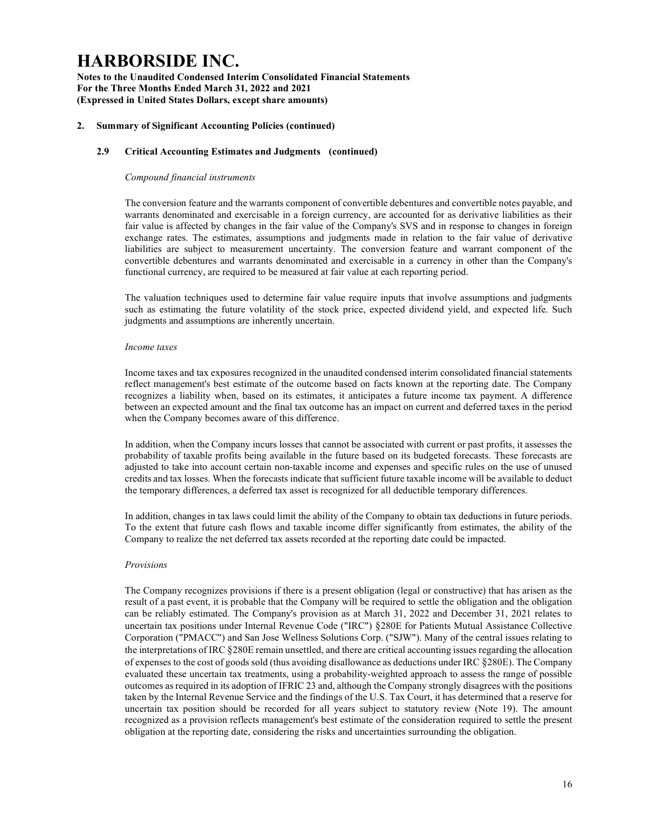Notes to the Unaudited Condensed Interim Consolidated Financial Statements For the Three Months Ended March 31, 2022 and 2021 (Expressed in United States Dollars, except share amounts)

#### 2. Summary of Significant Accounting Policies (continued)

#### 2.9 Critical Accounting Estimates and Judgments (continued)

#### Compound financial instruments

The conversion feature and the warrants component of convertible debentures and convertible notes payable, and warrants denominated and exercisable in a foreign currency, are accounted for as derivative liabilities as their fair value is affected by changes in the fair value of the Company's SVS and in response to changes in foreign exchange rates. The estimates, assumptions and judgments made in relation to the fair value of derivative liabilities are subject to measurement uncertainty. The conversion feature and warrant component of the convertible debentures and warrants denominated and exercisable in a currency in other than the Company's functional currency, are required to be measured at fair value at each reporting period.

The valuation techniques used to determine fair value require inputs that involve assumptions and judgments such as estimating the future volatility of the stock price, expected dividend yield, and expected life. Such judgments and assumptions are inherently uncertain.

#### Income taxes

Income taxes and tax exposures recognized in the unaudited condensed interim consolidated financial statements reflect management's best estimate of the outcome based on facts known at the reporting date. The Company recognizes a liability when, based on its estimates, it anticipates a future income tax payment. A difference between an expected amount and the final tax outcome has an impact on current and deferred taxes in the period when the Company becomes aware of this difference.

In addition, when the Company incurs losses that cannot be associated with current or past profits, it assesses the probability of taxable profits being available in the future based on its budgeted forecasts. These forecasts are adjusted to take into account certain non-taxable income and expenses and specific rules on the use of unused credits and tax losses. When the forecasts indicate that sufficient future taxable income will be available to deduct the temporary differences, a deferred tax asset is recognized for all deductible temporary differences.

In addition, changes in tax laws could limit the ability of the Company to obtain tax deductions in future periods. To the extent that future cash flows and taxable income differ significantly from estimates, the ability of the Company to realize the net deferred tax assets recorded at the reporting date could be impacted.

#### Provisions

The Company recognizes provisions if there is a present obligation (legal or constructive) that has arisen as the result of a past event, it is probable that the Company will be required to settle the obligation and the obligation can be reliably estimated. The Company's provision as at March 31, 2022 and December 31, 2021 relates to uncertain tax positions under Internal Revenue Code ("IRC") §280E for Patients Mutual Assistance Collective Corporation ("PMACC") and San Jose Wellness Solutions Corp. ("SJW"). Many of the central issues relating to the interpretations of IRC §280E remain unsettled, and there are critical accounting issues regarding the allocation of expenses to the cost of goods sold (thus avoiding disallowance as deductions under IRC §280E). The Company evaluated these uncertain tax treatments, using a probability-weighted approach to assess the range of possible outcomes as required in its adoption of IFRIC 23 and, although the Company strongly disagrees with the positions taken by the Internal Revenue Service and the findings of the U.S. Tax Court, it has determined that a reserve for uncertain tax position should be recorded for all years subject to statutory review (Note 19). The amount recognized as a provision reflects management's best estimate of the consideration required to settle the present obligation at the reporting date, considering the risks and uncertainties surrounding the obligation.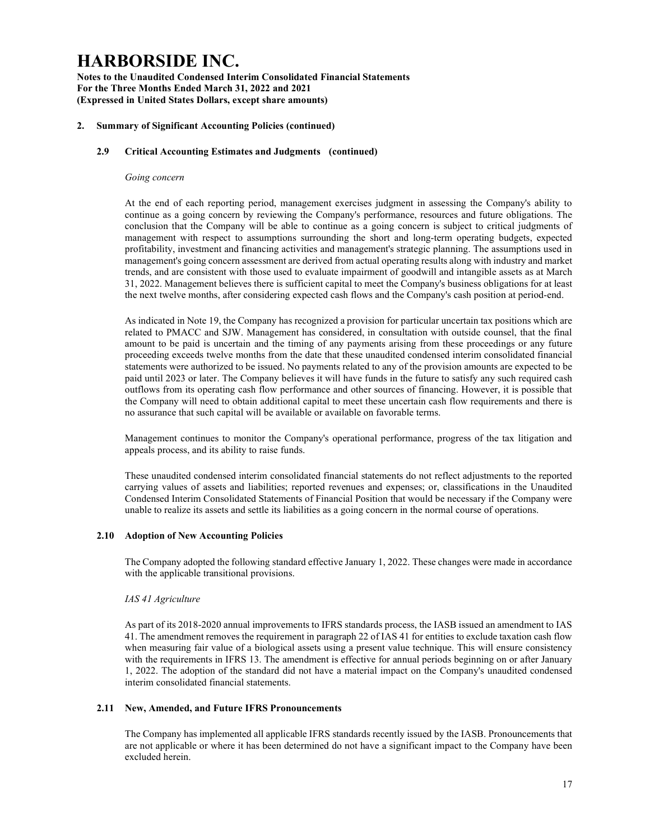Notes to the Unaudited Condensed Interim Consolidated Financial Statements For the Three Months Ended March 31, 2022 and 2021 (Expressed in United States Dollars, except share amounts)

#### 2. Summary of Significant Accounting Policies (continued)

### 2.9 Critical Accounting Estimates and Judgments (continued)

#### Going concern

At the end of each reporting period, management exercises judgment in assessing the Company's ability to continue as a going concern by reviewing the Company's performance, resources and future obligations. The conclusion that the Company will be able to continue as a going concern is subject to critical judgments of management with respect to assumptions surrounding the short and long-term operating budgets, expected profitability, investment and financing activities and management's strategic planning. The assumptions used in management's going concern assessment are derived from actual operating results along with industry and market trends, and are consistent with those used to evaluate impairment of goodwill and intangible assets as at March 31, 2022. Management believes there is sufficient capital to meet the Company's business obligations for at least the next twelve months, after considering expected cash flows and the Company's cash position at period-end.

As indicated in Note 19, the Company has recognized a provision for particular uncertain tax positions which are related to PMACC and SJW. Management has considered, in consultation with outside counsel, that the final amount to be paid is uncertain and the timing of any payments arising from these proceedings or any future proceeding exceeds twelve months from the date that these unaudited condensed interim consolidated financial statements were authorized to be issued. No payments related to any of the provision amounts are expected to be paid until 2023 or later. The Company believes it will have funds in the future to satisfy any such required cash outflows from its operating cash flow performance and other sources of financing. However, it is possible that the Company will need to obtain additional capital to meet these uncertain cash flow requirements and there is no assurance that such capital will be available or available on favorable terms.

Management continues to monitor the Company's operational performance, progress of the tax litigation and appeals process, and its ability to raise funds.

These unaudited condensed interim consolidated financial statements do not reflect adjustments to the reported carrying values of assets and liabilities; reported revenues and expenses; or, classifications in the Unaudited Condensed Interim Consolidated Statements of Financial Position that would be necessary if the Company were unable to realize its assets and settle its liabilities as a going concern in the normal course of operations.

#### 2.10 Adoption of New Accounting Policies

The Company adopted the following standard effective January 1, 2022. These changes were made in accordance with the applicable transitional provisions.

#### IAS 41 Agriculture

As part of its 2018-2020 annual improvements to IFRS standards process, the IASB issued an amendment to IAS 41. The amendment removes the requirement in paragraph 22 of IAS 41 for entities to exclude taxation cash flow when measuring fair value of a biological assets using a present value technique. This will ensure consistency with the requirements in IFRS 13. The amendment is effective for annual periods beginning on or after January 1, 2022. The adoption of the standard did not have a material impact on the Company's unaudited condensed interim consolidated financial statements.

#### 2.11 New, Amended, and Future IFRS Pronouncements

The Company has implemented all applicable IFRS standards recently issued by the IASB. Pronouncements that are not applicable or where it has been determined do not have a significant impact to the Company have been excluded herein.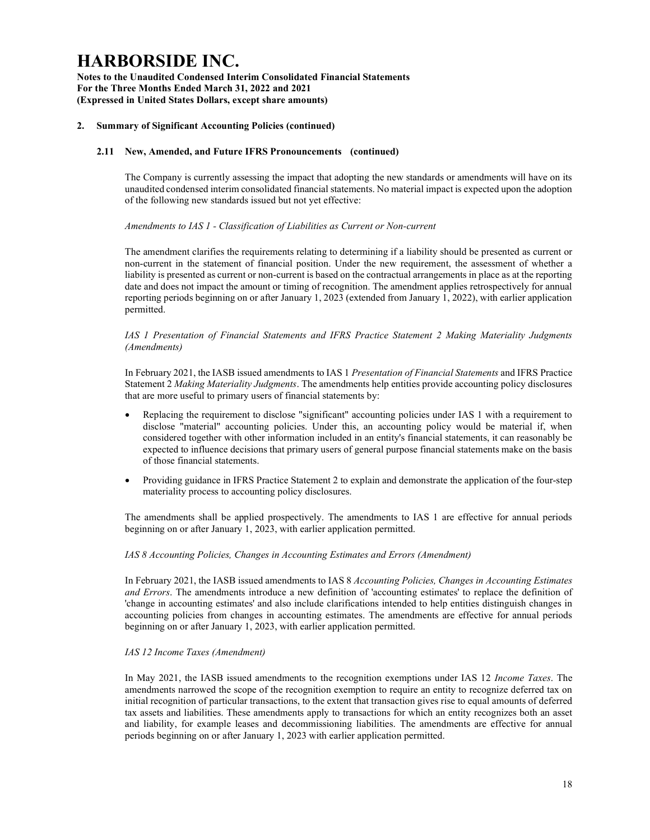Notes to the Unaudited Condensed Interim Consolidated Financial Statements For the Three Months Ended March 31, 2022 and 2021 (Expressed in United States Dollars, except share amounts)

### 2. Summary of Significant Accounting Policies (continued)

### 2.11 New, Amended, and Future IFRS Pronouncements (continued)

The Company is currently assessing the impact that adopting the new standards or amendments will have on its unaudited condensed interim consolidated financial statements. No material impact is expected upon the adoption of the following new standards issued but not yet effective:

### Amendments to IAS 1 - Classification of Liabilities as Current or Non-current

The amendment clarifies the requirements relating to determining if a liability should be presented as current or non-current in the statement of financial position. Under the new requirement, the assessment of whether a liability is presented as current or non-current is based on the contractual arrangements in place as at the reporting date and does not impact the amount or timing of recognition. The amendment applies retrospectively for annual reporting periods beginning on or after January 1, 2023 (extended from January 1, 2022), with earlier application permitted.

#### IAS 1 Presentation of Financial Statements and IFRS Practice Statement 2 Making Materiality Judgments (Amendments)

In February 2021, the IASB issued amendments to IAS 1 Presentation of Financial Statements and IFRS Practice Statement 2 Making Materiality Judgments. The amendments help entities provide accounting policy disclosures that are more useful to primary users of financial statements by:

- Replacing the requirement to disclose "significant" accounting policies under IAS 1 with a requirement to disclose "material" accounting policies. Under this, an accounting policy would be material if, when considered together with other information included in an entity's financial statements, it can reasonably be expected to influence decisions that primary users of general purpose financial statements make on the basis of those financial statements.
- Providing guidance in IFRS Practice Statement 2 to explain and demonstrate the application of the four-step materiality process to accounting policy disclosures.

The amendments shall be applied prospectively. The amendments to IAS 1 are effective for annual periods beginning on or after January 1, 2023, with earlier application permitted.

#### IAS 8 Accounting Policies, Changes in Accounting Estimates and Errors (Amendment)

In February 2021, the IASB issued amendments to IAS 8 Accounting Policies, Changes in Accounting Estimates and Errors. The amendments introduce a new definition of 'accounting estimates' to replace the definition of 'change in accounting estimates' and also include clarifications intended to help entities distinguish changes in accounting policies from changes in accounting estimates. The amendments are effective for annual periods beginning on or after January 1, 2023, with earlier application permitted.

#### IAS 12 Income Taxes (Amendment)

In May 2021, the IASB issued amendments to the recognition exemptions under IAS 12 Income Taxes. The amendments narrowed the scope of the recognition exemption to require an entity to recognize deferred tax on initial recognition of particular transactions, to the extent that transaction gives rise to equal amounts of deferred tax assets and liabilities. These amendments apply to transactions for which an entity recognizes both an asset and liability, for example leases and decommissioning liabilities. The amendments are effective for annual periods beginning on or after January 1, 2023 with earlier application permitted.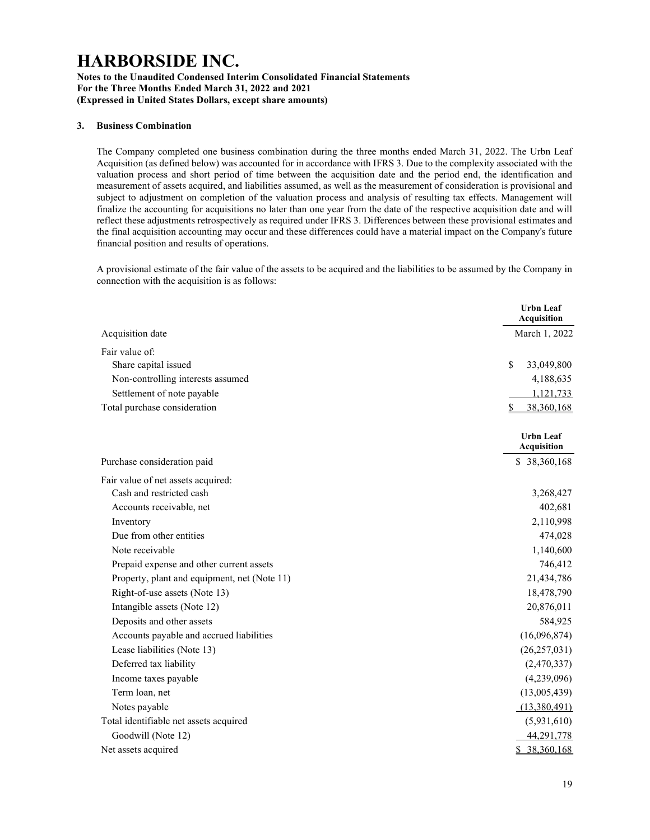### Notes to the Unaudited Condensed Interim Consolidated Financial Statements For the Three Months Ended March 31, 2022 and 2021 (Expressed in United States Dollars, except share amounts)

#### 3. Business Combination

The Company completed one business combination during the three months ended March 31, 2022. The Urbn Leaf Acquisition (as defined below) was accounted for in accordance with IFRS 3. Due to the complexity associated with the valuation process and short period of time between the acquisition date and the period end, the identification and measurement of assets acquired, and liabilities assumed, as well as the measurement of consideration is provisional and subject to adjustment on completion of the valuation process and analysis of resulting tax effects. Management will finalize the accounting for acquisitions no later than one year from the date of the respective acquisition date and will reflect these adjustments retrospectively as required under IFRS 3. Differences between these provisional estimates and the final acquisition accounting may occur and these differences could have a material impact on the Company's future financial position and results of operations.

A provisional estimate of the fair value of the assets to be acquired and the liabilities to be assumed by the Company in connection with the acquisition is as follows:

|                                              | <b>Urbn Leaf</b><br><b>Acquisition</b> |
|----------------------------------------------|----------------------------------------|
| Acquisition date                             | March 1, 2022                          |
| Fair value of:                               |                                        |
| Share capital issued                         | $\mathbf S$<br>33,049,800              |
| Non-controlling interests assumed            | 4,188,635                              |
| Settlement of note payable                   | 1,121,733                              |
| Total purchase consideration                 | \$<br>38,360,168                       |
|                                              | <b>Urbn</b> Leaf<br><b>Acquisition</b> |
| Purchase consideration paid                  | \$38,360,168                           |
| Fair value of net assets acquired:           |                                        |
| Cash and restricted cash                     | 3,268,427                              |
| Accounts receivable, net                     | 402,681                                |
| Inventory                                    | 2,110,998                              |
| Due from other entities                      | 474,028                                |
| Note receivable                              | 1,140,600                              |
| Prepaid expense and other current assets     | 746,412                                |
| Property, plant and equipment, net (Note 11) | 21,434,786                             |
| Right-of-use assets (Note 13)                | 18,478,790                             |
| Intangible assets (Note 12)                  | 20,876,011                             |
| Deposits and other assets                    | 584,925                                |
| Accounts payable and accrued liabilities     | (16,096,874)                           |
| Lease liabilities (Note 13)                  | (26, 257, 031)                         |
| Deferred tax liability                       | (2,470,337)                            |
| Income taxes payable                         | (4,239,096)                            |
| Term loan, net                               | (13,005,439)                           |
| Notes payable                                | (13,380,491)                           |
| Total identifiable net assets acquired       | (5,931,610)                            |
| Goodwill (Note 12)                           | 44,291,778                             |
| Net assets acquired                          | \$38,360,168                           |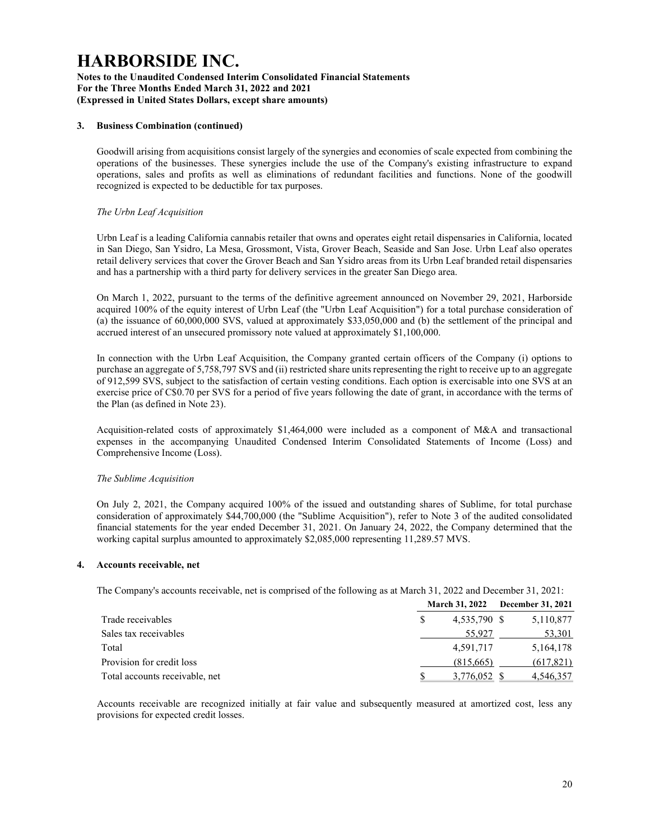### Notes to the Unaudited Condensed Interim Consolidated Financial Statements For the Three Months Ended March 31, 2022 and 2021 (Expressed in United States Dollars, except share amounts)

### 3. Business Combination (continued)

Goodwill arising from acquisitions consist largely of the synergies and economies of scale expected from combining the operations of the businesses. These synergies include the use of the Company's existing infrastructure to expand operations, sales and profits as well as eliminations of redundant facilities and functions. None of the goodwill recognized is expected to be deductible for tax purposes.

### The Urbn Leaf Acquisition

Urbn Leaf is a leading California cannabis retailer that owns and operates eight retail dispensaries in California, located in San Diego, San Ysidro, La Mesa, Grossmont, Vista, Grover Beach, Seaside and San Jose. Urbn Leaf also operates retail delivery services that cover the Grover Beach and San Ysidro areas from its Urbn Leaf branded retail dispensaries and has a partnership with a third party for delivery services in the greater San Diego area.

On March 1, 2022, pursuant to the terms of the definitive agreement announced on November 29, 2021, Harborside acquired 100% of the equity interest of Urbn Leaf (the "Urbn Leaf Acquisition") for a total purchase consideration of (a) the issuance of 60,000,000 SVS, valued at approximately \$33,050,000 and (b) the settlement of the principal and accrued interest of an unsecured promissory note valued at approximately \$1,100,000.

In connection with the Urbn Leaf Acquisition, the Company granted certain officers of the Company (i) options to purchase an aggregate of 5,758,797 SVS and (ii) restricted share units representing the right to receive up to an aggregate of 912,599 SVS, subject to the satisfaction of certain vesting conditions. Each option is exercisable into one SVS at an exercise price of C\$0.70 per SVS for a period of five years following the date of grant, in accordance with the terms of the Plan (as defined in Note 23).

Acquisition-related costs of approximately \$1,464,000 were included as a component of M&A and transactional expenses in the accompanying Unaudited Condensed Interim Consolidated Statements of Income (Loss) and Comprehensive Income (Loss).

## The Sublime Acquisition

On July 2, 2021, the Company acquired 100% of the issued and outstanding shares of Sublime, for total purchase consideration of approximately \$44,700,000 (the "Sublime Acquisition"), refer to Note 3 of the audited consolidated financial statements for the year ended December 31, 2021. On January 24, 2022, the Company determined that the working capital surplus amounted to approximately \$2,085,000 representing 11,289.57 MVS.

#### 4. Accounts receivable, net

The Company's accounts receivable, net is comprised of the following as at March 31, 2022 and December 31, 2021:

|                                | December 31, 2021<br><b>March 31, 2022</b> |  |             |
|--------------------------------|--------------------------------------------|--|-------------|
| Trade receivables              | 4,535,790 \$                               |  | 5,110,877   |
| Sales tax receivables          | 55,927                                     |  | 53,301      |
| Total                          | 4,591,717                                  |  | 5, 164, 178 |
| Provision for credit loss      | (815,665)                                  |  | (617, 821)  |
| Total accounts receivable, net | 3,776,052                                  |  | 4,546,357   |

Accounts receivable are recognized initially at fair value and subsequently measured at amortized cost, less any provisions for expected credit losses.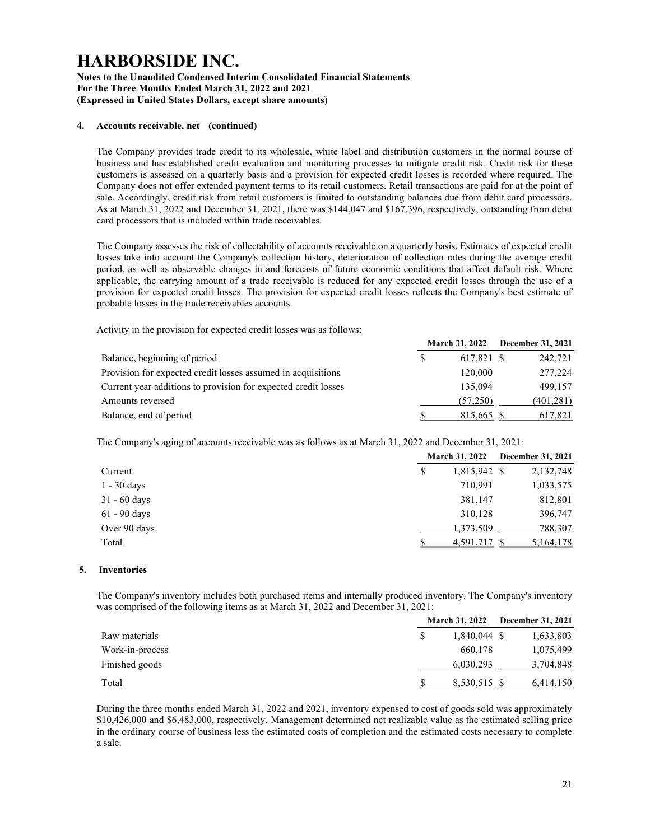#### Notes to the Unaudited Condensed Interim Consolidated Financial Statements For the Three Months Ended March 31, 2022 and 2021 (Expressed in United States Dollars, except share amounts)

### 4. Accounts receivable, net (continued)

The Company provides trade credit to its wholesale, white label and distribution customers in the normal course of business and has established credit evaluation and monitoring processes to mitigate credit risk. Credit risk for these customers is assessed on a quarterly basis and a provision for expected credit losses is recorded where required. The Company does not offer extended payment terms to its retail customers. Retail transactions are paid for at the point of sale. Accordingly, credit risk from retail customers is limited to outstanding balances due from debit card processors. As at March 31, 2022 and December 31, 2021, there was \$144,047 and \$167,396, respectively, outstanding from debit card processors that is included within trade receivables.

The Company assesses the risk of collectability of accounts receivable on a quarterly basis. Estimates of expected credit losses take into account the Company's collection history, deterioration of collection rates during the average credit period, as well as observable changes in and forecasts of future economic conditions that affect default risk. Where applicable, the carrying amount of a trade receivable is reduced for any expected credit losses through the use of a provision for expected credit losses. The provision for expected credit losses reflects the Company's best estimate of probable losses in the trade receivables accounts.

Activity in the provision for expected credit losses was as follows:

|                                                                |            | March 31, $2022$ December 31, $2021$ |
|----------------------------------------------------------------|------------|--------------------------------------|
| Balance, beginning of period                                   | 617.821 \$ | 242,721                              |
| Provision for expected credit losses assumed in acquisitions   | 120,000    | 277,224                              |
| Current year additions to provision for expected credit losses | 135,094    | 499.157                              |
| Amounts reversed                                               | (57.250)   | (401, 281)                           |
| Balance, end of period                                         | 815,665 \$ | 617,821                              |

The Company's aging of accounts receivable was as follows as at March 31, 2022 and December 31, 2021:

|                |   | <b>March 31, 2022</b> | December 31, 2021 |
|----------------|---|-----------------------|-------------------|
| Current        | S | 1,815,942 \$          | 2,132,748         |
| $1 - 30$ days  |   | 710,991               | 1,033,575         |
| $31 - 60$ days |   | 381,147               | 812,801           |
| $61 - 90$ days |   | 310,128               | 396,747           |
| Over 90 days   |   | 1,373,509             | 788,307           |
| Total          |   | 4,591,717 \$          | 5,164,178         |

#### 5. Inventories

The Company's inventory includes both purchased items and internally produced inventory. The Company's inventory was comprised of the following items as at March 31, 2022 and December 31, 2021:

|                 | <b>March 31, 2022</b> | <b>December 31, 2021</b> |
|-----------------|-----------------------|--------------------------|
| Raw materials   | 1.840.044 \$          | 1,633,803                |
| Work-in-process | 660.178               | 1,075,499                |
| Finished goods  | 6,030,293             | 3,704,848                |
| Total           | 8,530,515 \$          | 6,414,150                |

During the three months ended March 31, 2022 and 2021, inventory expensed to cost of goods sold was approximately \$10,426,000 and \$6,483,000, respectively. Management determined net realizable value as the estimated selling price in the ordinary course of business less the estimated costs of completion and the estimated costs necessary to complete a sale.

March 31, 2022 December 31, 2021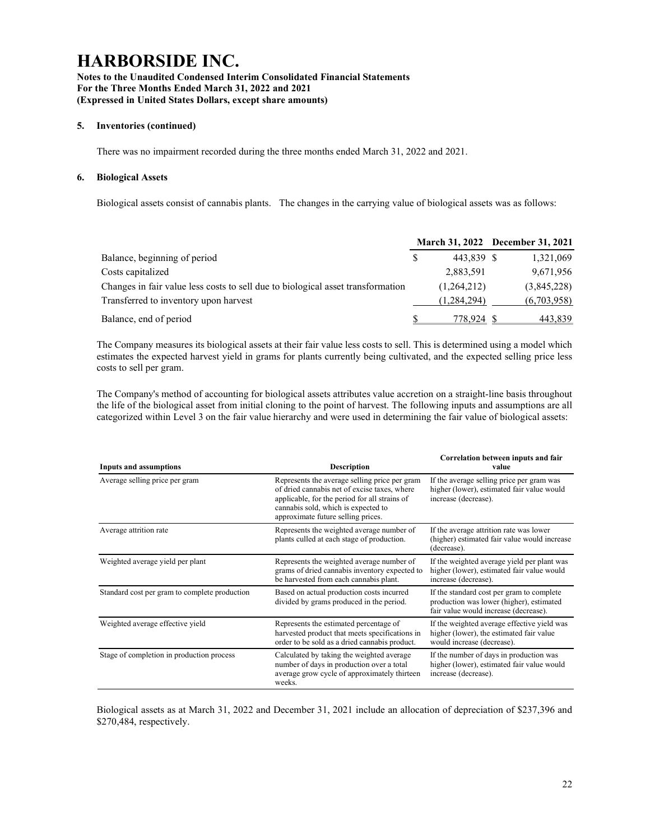### Notes to the Unaudited Condensed Interim Consolidated Financial Statements For the Three Months Ended March 31, 2022 and 2021 (Expressed in United States Dollars, except share amounts)

### 5. Inventories (continued)

There was no impairment recorded during the three months ended March 31, 2022 and 2021.

### 6. Biological Assets

Biological assets consist of cannabis plants. The changes in the carrying value of biological assets was as follows:

|                                                                                 |               | March 31, 2022 December 31, 2021 |
|---------------------------------------------------------------------------------|---------------|----------------------------------|
| Balance, beginning of period                                                    | 443.839 \$    | 1,321,069                        |
| Costs capitalized                                                               | 2,883,591     | 9,671,956                        |
| Changes in fair value less costs to sell due to biological asset transformation | (1,264,212)   | (3,845,228)                      |
| Transferred to inventory upon harvest                                           | (1, 284, 294) | (6,703,958)                      |
| Balance, end of period                                                          | 778.924       | 443,839                          |

The Company measures its biological assets at their fair value less costs to sell. This is determined using a model which estimates the expected harvest yield in grams for plants currently being cultivated, and the expected selling price less costs to sell per gram.

The Company's method of accounting for biological assets attributes value accretion on a straight-line basis throughout the life of the biological asset from initial cloning to the point of harvest. The following inputs and assumptions are all categorized within Level 3 on the fair value hierarchy and were used in determining the fair value of biological assets:

| <b>Inputs and assumptions</b>                 | <b>Description</b>                                                                                                                                                                                                          | Correlation between inputs and fair<br>value                                                                                   |
|-----------------------------------------------|-----------------------------------------------------------------------------------------------------------------------------------------------------------------------------------------------------------------------------|--------------------------------------------------------------------------------------------------------------------------------|
| Average selling price per gram                | Represents the average selling price per gram<br>of dried cannabis net of excise taxes, where<br>applicable, for the period for all strains of<br>cannabis sold, which is expected to<br>approximate future selling prices. | If the average selling price per gram was<br>higher (lower), estimated fair value would<br>increase (decrease).                |
| Average attrition rate                        | Represents the weighted average number of<br>plants culled at each stage of production.                                                                                                                                     | If the average attrition rate was lower<br>(higher) estimated fair value would increase<br>(decrease).                         |
| Weighted average yield per plant              | Represents the weighted average number of<br>grams of dried cannabis inventory expected to<br>be harvested from each cannabis plant.                                                                                        | If the weighted average yield per plant was<br>higher (lower), estimated fair value would<br>increase (decrease).              |
| Standard cost per gram to complete production | Based on actual production costs incurred<br>divided by grams produced in the period.                                                                                                                                       | If the standard cost per gram to complete<br>production was lower (higher), estimated<br>fair value would increase (decrease). |
| Weighted average effective yield              | Represents the estimated percentage of<br>harvested product that meets specifications in<br>order to be sold as a dried cannabis product.                                                                                   | If the weighted average effective yield was<br>higher (lower), the estimated fair value<br>would increase (decrease).          |
| Stage of completion in production process     | Calculated by taking the weighted average<br>number of days in production over a total<br>average grow cycle of approximately thirteen<br>weeks.                                                                            | If the number of days in production was<br>higher (lower), estimated fair value would<br>increase (decrease).                  |

Biological assets as at March 31, 2022 and December 31, 2021 include an allocation of depreciation of \$237,396 and \$270,484, respectively.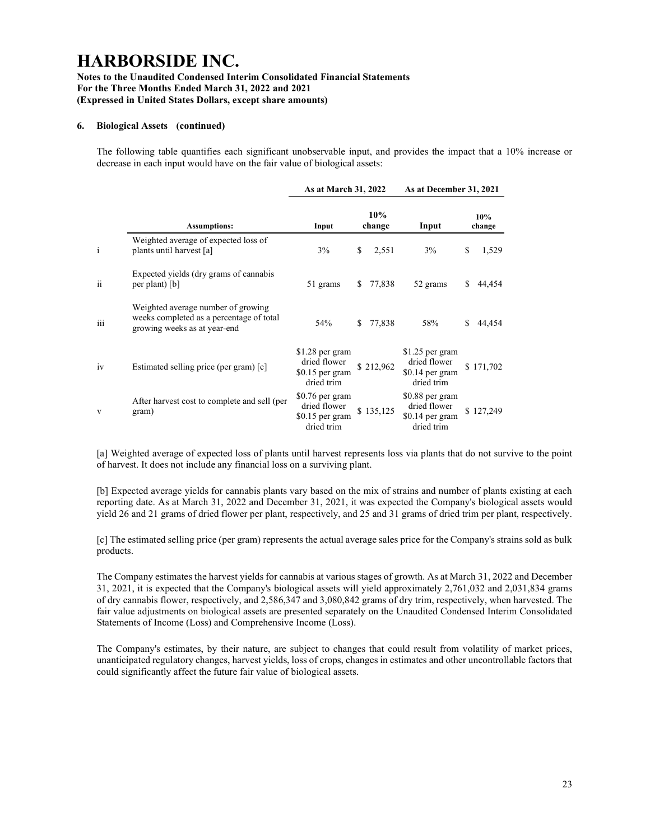### Notes to the Unaudited Condensed Interim Consolidated Financial Statements For the Three Months Ended March 31, 2022 and 2021 (Expressed in United States Dollars, except share amounts)

### 6. Biological Assets (continued)

The following table quantifies each significant unobservable input, and provides the impact that a 10% increase or decrease in each input would have on the fair value of biological assets:

|               |                                                                                                                | As at March 31, 2022                                               |    |               | As at December 31, 2021                                           |   |               |  |
|---------------|----------------------------------------------------------------------------------------------------------------|--------------------------------------------------------------------|----|---------------|-------------------------------------------------------------------|---|---------------|--|
|               | <b>Assumptions:</b>                                                                                            | Input                                                              |    | 10%<br>change | Input                                                             |   | 10%<br>change |  |
| $\mathbf{i}$  | Weighted average of expected loss of<br>plants until harvest [a]                                               | 3%                                                                 | \$ | 2,551         | 3%                                                                | S | 1,529         |  |
| $\mathbf{ii}$ | Expected yields (dry grams of cannabis<br>per plant) [b]                                                       | 51 grams                                                           | S. | 77,838        | 52 grams                                                          | S | 44,454        |  |
| iii           | Weighted average number of growing<br>weeks completed as a percentage of total<br>growing weeks as at year-end | 54%                                                                | S. | 77,838        | 58%                                                               | S | 44,454        |  |
| 1V            | Estimated selling price (per gram) [c]                                                                         | $$1.28$ per gram<br>dried flower<br>$$0.15$ per gram<br>dried trim |    | \$212,962     | $$1.25$ per gram<br>dried flower<br>\$0.14 per gram<br>dried trim |   | \$171,702     |  |
| V             | After harvest cost to complete and sell (per<br>gram)                                                          | \$0.76 per gram<br>dried flower<br>$$0.15$ per gram<br>dried trim  |    | \$135,125     | \$0.88 per gram<br>dried flower<br>$$0.14$ per gram<br>dried trim |   | \$127,249     |  |

[a] Weighted average of expected loss of plants until harvest represents loss via plants that do not survive to the point of harvest. It does not include any financial loss on a surviving plant.

[b] Expected average yields for cannabis plants vary based on the mix of strains and number of plants existing at each reporting date. As at March 31, 2022 and December 31, 2021, it was expected the Company's biological assets would yield 26 and 21 grams of dried flower per plant, respectively, and 25 and 31 grams of dried trim per plant, respectively.

[c] The estimated selling price (per gram) represents the actual average sales price for the Company's strains sold as bulk products.

The Company estimates the harvest yields for cannabis at various stages of growth. As at March 31, 2022 and December 31, 2021, it is expected that the Company's biological assets will yield approximately 2,761,032 and 2,031,834 grams of dry cannabis flower, respectively, and 2,586,347 and 3,080,842 grams of dry trim, respectively, when harvested. The fair value adjustments on biological assets are presented separately on the Unaudited Condensed Interim Consolidated Statements of Income (Loss) and Comprehensive Income (Loss).

The Company's estimates, by their nature, are subject to changes that could result from volatility of market prices, unanticipated regulatory changes, harvest yields, loss of crops, changes in estimates and other uncontrollable factors that could significantly affect the future fair value of biological assets.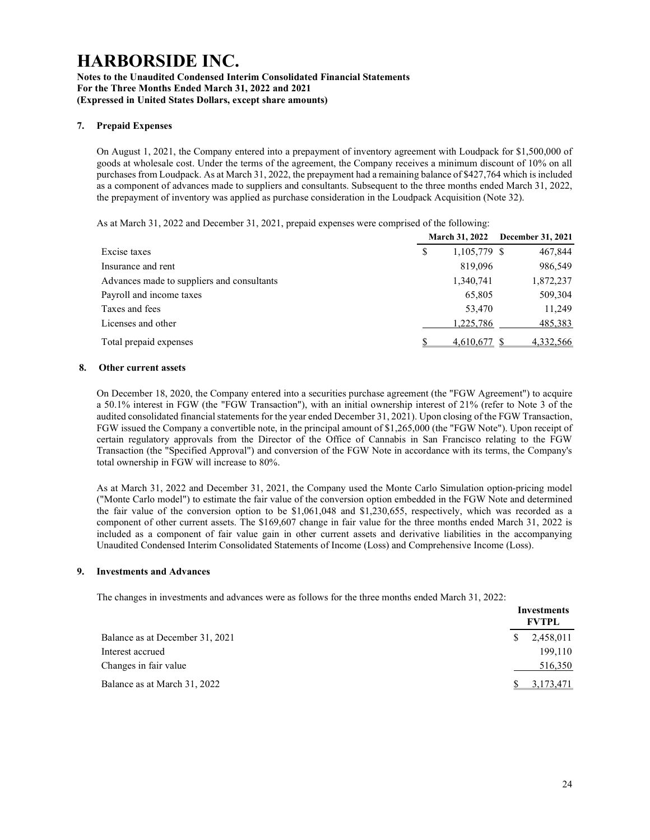#### Notes to the Unaudited Condensed Interim Consolidated Financial Statements For the Three Months Ended March 31, 2022 and 2021 (Expressed in United States Dollars, except share amounts)

### 7. Prepaid Expenses

On August 1, 2021, the Company entered into a prepayment of inventory agreement with Loudpack for \$1,500,000 of goods at wholesale cost. Under the terms of the agreement, the Company receives a minimum discount of 10% on all purchases from Loudpack. As at March 31, 2022, the prepayment had a remaining balance of \$427,764 which is included as a component of advances made to suppliers and consultants. Subsequent to the three months ended March 31, 2022, the prepayment of inventory was applied as purchase consideration in the Loudpack Acquisition (Note 32).

As at March 31, 2022 and December 31, 2021, prepaid expenses were comprised of the following:

|                                            |   |              | March 31, 2022 December 31, 2021 |
|--------------------------------------------|---|--------------|----------------------------------|
| Excise taxes                               | S | 1,105,779 \$ | 467,844                          |
| Insurance and rent                         |   | 819,096      | 986,549                          |
| Advances made to suppliers and consultants |   | 1,340,741    | 1,872,237                        |
| Payroll and income taxes                   |   | 65,805       | 509,304                          |
| Taxes and fees                             |   | 53,470       | 11,249                           |
| Licenses and other                         |   | 1,225,786    | 485,383                          |
| Total prepaid expenses                     |   | 4.610.677    | 4,332,566                        |

#### 8. Other current assets

On December 18, 2020, the Company entered into a securities purchase agreement (the "FGW Agreement") to acquire a 50.1% interest in FGW (the "FGW Transaction"), with an initial ownership interest of 21% (refer to Note 3 of the audited consolidated financial statements for the year ended December 31, 2021). Upon closing of the FGW Transaction, FGW issued the Company a convertible note, in the principal amount of \$1,265,000 (the "FGW Note"). Upon receipt of certain regulatory approvals from the Director of the Office of Cannabis in San Francisco relating to the FGW Transaction (the "Specified Approval") and conversion of the FGW Note in accordance with its terms, the Company's total ownership in FGW will increase to 80%.

As at March 31, 2022 and December 31, 2021, the Company used the Monte Carlo Simulation option-pricing model ("Monte Carlo model") to estimate the fair value of the conversion option embedded in the FGW Note and determined the fair value of the conversion option to be \$1,061,048 and \$1,230,655, respectively, which was recorded as a component of other current assets. The \$169,607 change in fair value for the three months ended March 31, 2022 is included as a component of fair value gain in other current assets and derivative liabilities in the accompanying Unaudited Condensed Interim Consolidated Statements of Income (Loss) and Comprehensive Income (Loss).

#### 9. Investments and Advances

The changes in investments and advances were as follows for the three months ended March 31, 2022:

|                                 |    | Investments<br><b>FVTPL</b> |
|---------------------------------|----|-----------------------------|
| Balance as at December 31, 2021 | S. | 2,458,011                   |
| Interest accrued                |    | 199.110                     |
| Changes in fair value           |    | 516,350                     |
| Balance as at March 31, 2022    |    | 3,173,471                   |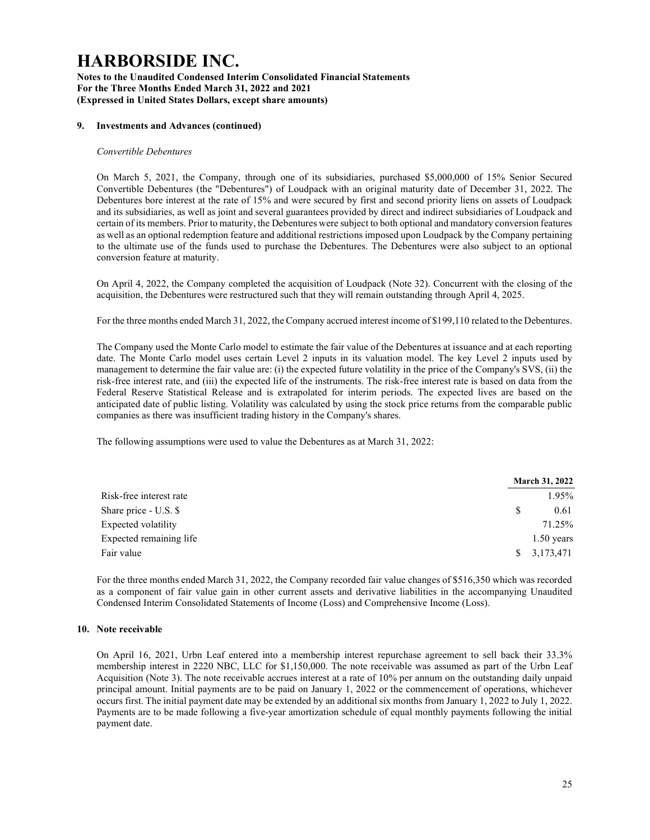Notes to the Unaudited Condensed Interim Consolidated Financial Statements For the Three Months Ended March 31, 2022 and 2021 (Expressed in United States Dollars, except share amounts)

#### 9. Investments and Advances (continued)

#### Convertible Debentures

On March 5, 2021, the Company, through one of its subsidiaries, purchased \$5,000,000 of 15% Senior Secured Convertible Debentures (the "Debentures") of Loudpack with an original maturity date of December 31, 2022. The Debentures bore interest at the rate of 15% and were secured by first and second priority liens on assets of Loudpack and its subsidiaries, as well as joint and several guarantees provided by direct and indirect subsidiaries of Loudpack and certain of its members. Prior to maturity, the Debentures were subject to both optional and mandatory conversion features as well as an optional redemption feature and additional restrictions imposed upon Loudpack by the Company pertaining to the ultimate use of the funds used to purchase the Debentures. The Debentures were also subject to an optional conversion feature at maturity.

On April 4, 2022, the Company completed the acquisition of Loudpack (Note 32). Concurrent with the closing of the acquisition, the Debentures were restructured such that they will remain outstanding through April 4, 2025.

For the three months ended March 31, 2022, the Company accrued interest income of \$199,110 related to the Debentures.

The Company used the Monte Carlo model to estimate the fair value of the Debentures at issuance and at each reporting date. The Monte Carlo model uses certain Level 2 inputs in its valuation model. The key Level 2 inputs used by management to determine the fair value are: (i) the expected future volatility in the price of the Company's SVS, (ii) the risk-free interest rate, and (iii) the expected life of the instruments. The risk-free interest rate is based on data from the Federal Reserve Statistical Release and is extrapolated for interim periods. The expected lives are based on the anticipated date of public listing. Volatility was calculated by using the stock price returns from the comparable public companies as there was insufficient trading history in the Company's shares.

The following assumptions were used to value the Debentures as at March 31, 2022:

|                         | <b>March 31, 2022</b>   |
|-------------------------|-------------------------|
| Risk-free interest rate | 1.95%                   |
| Share price - U.S. \$   | 0.61<br><sup>S</sup>    |
| Expected volatility     | 71.25%                  |
| Expected remaining life | $1.50$ years            |
| Fair value              | $\frac{1}{2}$ 3,173,471 |

For the three months ended March 31, 2022, the Company recorded fair value changes of \$516,350 which was recorded as a component of fair value gain in other current assets and derivative liabilities in the accompanying Unaudited Condensed Interim Consolidated Statements of Income (Loss) and Comprehensive Income (Loss).

### 10. Note receivable

On April 16, 2021, Urbn Leaf entered into a membership interest repurchase agreement to sell back their 33.3% membership interest in 2220 NBC, LLC for \$1,150,000. The note receivable was assumed as part of the Urbn Leaf Acquisition (Note 3). The note receivable accrues interest at a rate of 10% per annum on the outstanding daily unpaid principal amount. Initial payments are to be paid on January 1, 2022 or the commencement of operations, whichever occurs first. The initial payment date may be extended by an additional six months from January 1, 2022 to July 1, 2022. Payments are to be made following a five-year amortization schedule of equal monthly payments following the initial payment date.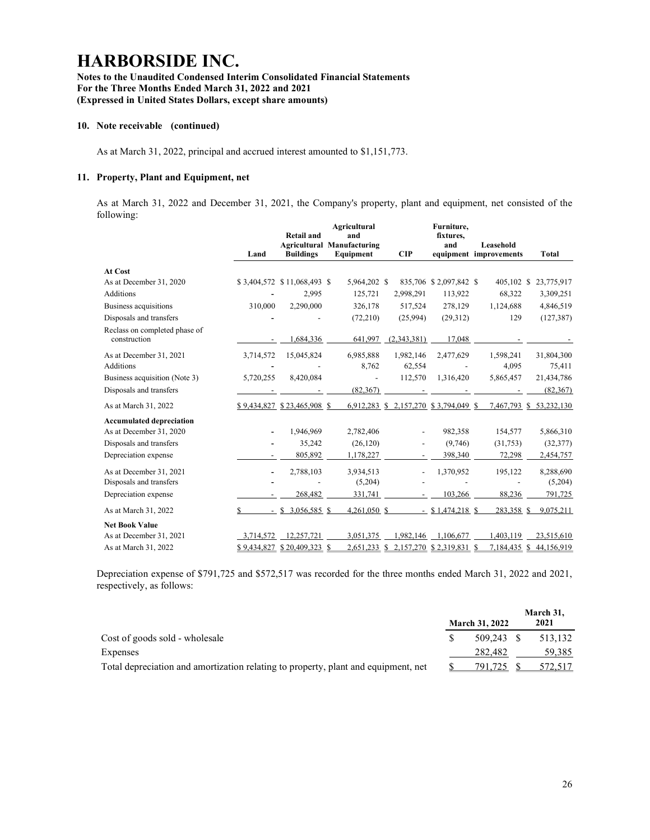### Notes to the Unaudited Condensed Interim Consolidated Financial Statements For the Three Months Ended March 31, 2022 and 2021 (Expressed in United States Dollars, except share amounts)

#### 10. Note receivable (continued)

As at March 31, 2022, principal and accrued interest amounted to \$1,151,773.

### 11. Property, Plant and Equipment, net

As at March 31, 2022 and December 31, 2021, the Company's property, plant and equipment, net consisted of the following:

| c                                             | Land           | <b>Retail and</b><br><b>Buildings</b> | Agricultural<br>and<br><b>Agricultural Manufacturing</b><br>Equipment | CIP                                   | Furniture,<br>fixtures.<br>and | Leasehold<br>equipment improvements | <b>Total</b>            |
|-----------------------------------------------|----------------|---------------------------------------|-----------------------------------------------------------------------|---------------------------------------|--------------------------------|-------------------------------------|-------------------------|
| At Cost                                       |                |                                       |                                                                       |                                       |                                |                                     |                         |
| As at December 31, 2020                       |                | \$3,404,572 \$11,068,493 \$           | 5,964,202 \$                                                          |                                       | 835,706 \$2,097,842 \$         | 405,102 \$                          | 23,775,917              |
| <b>Additions</b>                              |                | 2,995                                 | 125,721                                                               | 2,998,291                             | 113,922                        | 68,322                              | 3,309,251               |
| Business acquisitions                         | 310,000        | 2,290,000                             | 326,178                                                               | 517,524                               | 278,129                        | 1,124,688                           | 4,846,519               |
| Disposals and transfers                       |                |                                       | (72,210)                                                              | (25,994)                              | (29,312)                       | 129                                 | (127, 387)              |
| Reclass on completed phase of<br>construction |                | 1,684,336                             | 641,997                                                               | (2,343,381)                           | 17,048                         |                                     |                         |
| As at December 31, 2021                       | 3,714,572      | 15,045,824                            | 6,985,888                                                             | 1,982,146                             | 2,477,629                      | 1,598,241                           | 31,804,300              |
| <b>Additions</b>                              |                |                                       | 8.762                                                                 | 62,554                                |                                | 4.095                               | 75,411                  |
| Business acquisition (Note 3)                 | 5,720,255      | 8,420,084                             |                                                                       | 112,570                               | 1,316,420                      | 5,865,457                           | 21,434,786              |
| Disposals and transfers                       |                |                                       | (82, 367)                                                             |                                       |                                |                                     | (82, 367)               |
| As at March 31, 2022                          |                | \$9,434,827 \$23,465,908 \$           |                                                                       | 6,912,283 \$ 2,157,270 \$3,794,049 \$ |                                |                                     | 7.467.793 \$ 53.232.130 |
| <b>Accumulated depreciation</b>               |                |                                       |                                                                       |                                       |                                |                                     |                         |
| As at December 31, 2020                       |                | 1,946,969                             | 2,782,406                                                             |                                       | 982,358                        | 154,577                             | 5,866,310               |
| Disposals and transfers                       |                | 35,242                                | (26, 120)                                                             |                                       | (9,746)                        | (31,753)                            | (32, 377)               |
| Depreciation expense                          |                | 805,892                               | 1,178,227                                                             |                                       | 398,340                        | 72,298                              | 2,454,757               |
| As at December 31, 2021                       | $\blacksquare$ | 2,788,103                             | 3,934,513                                                             | $\overline{a}$                        | 1,370,952                      | 195,122                             | 8,288,690               |
| Disposals and transfers                       |                |                                       | (5,204)                                                               |                                       |                                |                                     | (5,204)                 |
| Depreciation expense                          |                | 268,482                               | 331,741                                                               |                                       | 103,266                        | 88,236                              | 791,725                 |
| As at March 31, 2022                          | S              | 3,056,585 \$                          | $4,261,050$ \$                                                        |                                       | $-$ \$1,474,218 \$             | 283,358 \$                          | 9,075,211               |
| <b>Net Book Value</b>                         |                |                                       |                                                                       |                                       |                                |                                     |                         |
| As at December 31, 2021                       | 3,714,572      | 12.257.721                            | 3,051,375                                                             | 1.982.146                             | 1,106,677                      | 1,403,119                           | 23,515,610              |
| As at March 31, 2022                          |                | \$9,434,827 \$20,409,323 \$           | 2,651,233 \$                                                          |                                       | 2,157,270 \$ 2,319,831 \$      | 7,184,435 \$                        | 44,156,919              |

Depreciation expense of \$791,725 and \$572,517 was recorded for the three months ended March 31, 2022 and 2021, respectively, as follows:

|                                                                                    | <b>March 31, 2022</b> | March 31,<br>2021 |
|------------------------------------------------------------------------------------|-----------------------|-------------------|
| Cost of goods sold - wholesale                                                     | 509.243 \$            | 513.132           |
| Expenses                                                                           | 282,482               | 59.385            |
| Total depreciation and amortization relating to property, plant and equipment, net | 791.725               | 572,517           |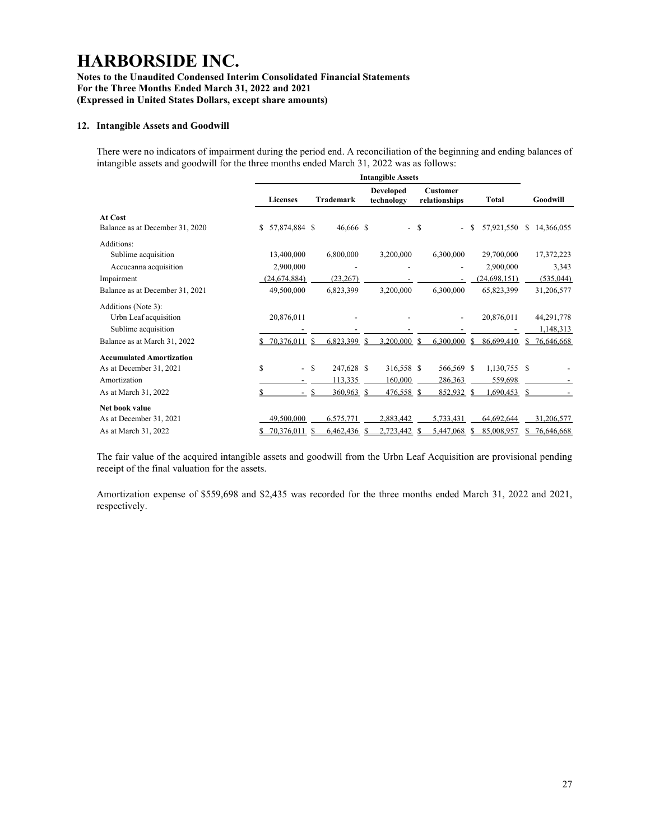### Notes to the Unaudited Condensed Interim Consolidated Financial Statements For the Three Months Ended March 31, 2022 and 2021 (Expressed in United States Dollars, except share amounts)

### 12. Intangible Assets and Goodwill

There were no indicators of impairment during the period end. A reconciliation of the beginning and ending balances of intangible assets and goodwill for the three months ended March 31, 2022 was as follows:

|                                 | <b>Intangible Assets</b> |                                      |                  |                                |                           |                  |                  |
|---------------------------------|--------------------------|--------------------------------------|------------------|--------------------------------|---------------------------|------------------|------------------|
|                                 | <b>Licenses</b>          |                                      | <b>Trademark</b> | <b>Developed</b><br>technology | Customer<br>relationships | Total            | Goodwill         |
| At Cost                         |                          |                                      |                  |                                |                           |                  |                  |
| Balance as at December 31, 2020 | \$                       | 57,874,884 \$                        | 46,666 \$        |                                | - \$                      | 57,921,550<br>S. | 14,366,055<br>\$ |
| Additions:                      |                          |                                      |                  |                                |                           |                  |                  |
| Sublime acquisition             | 13,400,000               |                                      | 6,800,000        | 3,200,000                      | 6,300,000                 | 29,700,000       | 17,372,223       |
| Accucanna acquisition           | 2,900,000                |                                      |                  |                                |                           | 2,900,000        | 3,343            |
| Impairment                      | 24,674,884)              |                                      | (23, 267)        |                                |                           | (24, 698, 151)   | (535, 044)       |
| Balance as at December 31, 2021 | 49,500,000               |                                      | 6,823,399        | 3,200,000                      | 6,300,000                 | 65,823,399       | 31,206,577       |
| Additions (Note 3):             |                          |                                      |                  |                                |                           |                  |                  |
| Urbn Leaf acquisition           | 20,876,011               |                                      |                  |                                |                           | 20,876,011       | 44,291,778       |
| Sublime acquisition             |                          |                                      |                  |                                |                           |                  | 1,148,313        |
| Balance as at March 31, 2022    | 70,376,011               | S                                    | 6,823,399        | 3,200,000 \$<br>S              | 6,300,000                 | S<br>86,699,410  | 76,646,668       |
| <b>Accumulated Amortization</b> |                          |                                      |                  |                                |                           |                  |                  |
| As at December 31, 2021         | \$                       | <b>S</b><br>$\overline{\phantom{a}}$ | 247,628 \$       | 316,558 \$                     | 566,569 \$                | 1,130,755 \$     |                  |
| Amortization                    |                          |                                      | 113,335          | 160,000                        | 286,363                   | 559,698          |                  |
| As at March 31, 2022            |                          |                                      | 360,963          | 476,558 \$<br>-S               | 852,932                   | .690,453<br>-S   | \$.              |
| Net book value                  |                          |                                      |                  |                                |                           |                  |                  |
| As at December 31, 2021         | 49,500,000               |                                      | 6,575,771        | 2,883,442                      | 5,733,431                 | 64,692,644       | 31,206,577       |
| As at March 31, 2022            | 70,376,011               |                                      | 6,462,436        | 2,723,442<br>-S                | 5,447,068<br>-S           | 85,008,957<br>-S | 76,646,668       |

The fair value of the acquired intangible assets and goodwill from the Urbn Leaf Acquisition are provisional pending receipt of the final valuation for the assets.

Amortization expense of \$559,698 and \$2,435 was recorded for the three months ended March 31, 2022 and 2021, respectively.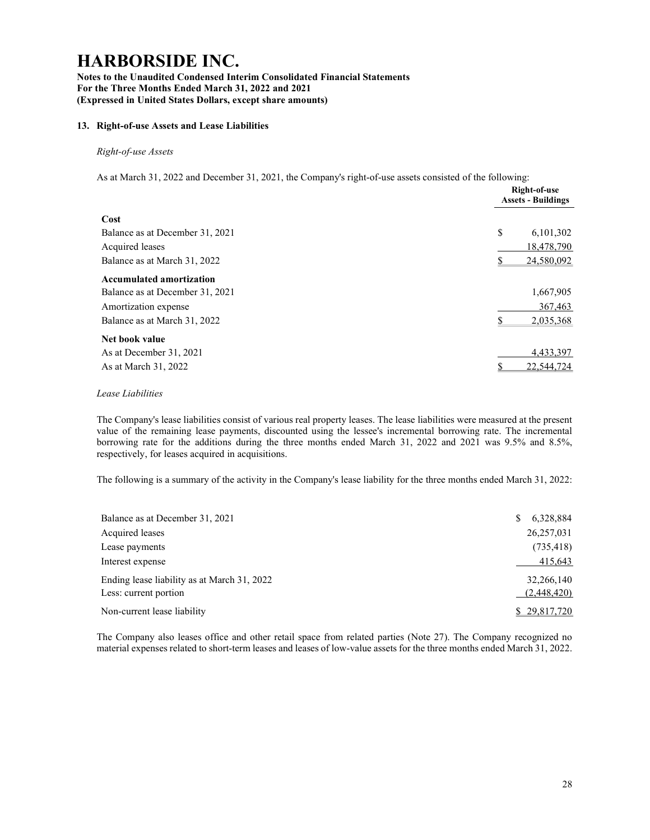Notes to the Unaudited Condensed Interim Consolidated Financial Statements For the Three Months Ended March 31, 2022 and 2021 (Expressed in United States Dollars, except share amounts)

### 13. Right-of-use Assets and Lease Liabilities

### Right-of-use Assets

As at March 31, 2022 and December 31, 2021, the Company's right-of-use assets consisted of the following:

|                                 | Right-of-use<br><b>Assets - Buildings</b> |
|---------------------------------|-------------------------------------------|
| Cost                            |                                           |
| Balance as at December 31, 2021 | \$<br>6,101,302                           |
| Acquired leases                 | 18,478,790                                |
| Balance as at March 31, 2022    | 24,580,092                                |
| <b>Accumulated amortization</b> |                                           |
| Balance as at December 31, 2021 | 1,667,905                                 |
| Amortization expense            | 367,463                                   |
| Balance as at March 31, 2022    | 2,035,368                                 |
| Net book value                  |                                           |
| As at December 31, 2021         | 4,433,397                                 |
| As at March 31, 2022            | 22,544,724                                |

#### Lease Liabilities

The Company's lease liabilities consist of various real property leases. The lease liabilities were measured at the present value of the remaining lease payments, discounted using the lessee's incremental borrowing rate. The incremental borrowing rate for the additions during the three months ended March 31, 2022 and 2021 was 9.5% and 8.5%, respectively, for leases acquired in acquisitions.

The following is a summary of the activity in the Company's lease liability for the three months ended March 31, 2022:

| Balance as at December 31, 2021                                      | 6,328,884<br>S            |
|----------------------------------------------------------------------|---------------------------|
| Acquired leases                                                      | 26,257,031                |
| Lease payments                                                       | (735, 418)                |
| Interest expense                                                     | 415,643                   |
| Ending lease liability as at March 31, 2022<br>Less: current portion | 32,266,140<br>(2,448,420) |
| Non-current lease liability                                          | \$29,817,720              |

The Company also leases office and other retail space from related parties (Note 27). The Company recognized no material expenses related to short-term leases and leases of low-value assets for the three months ended March 31, 2022.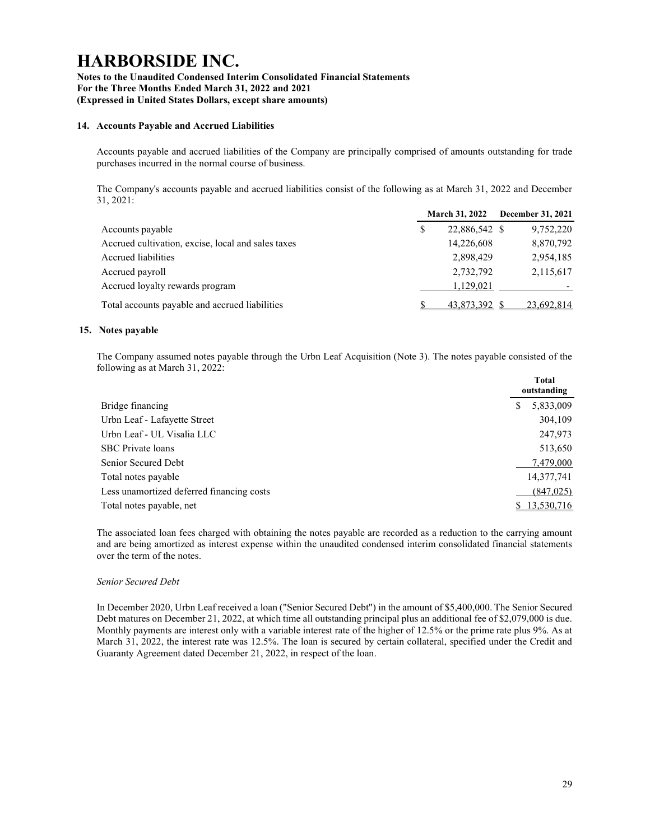### Notes to the Unaudited Condensed Interim Consolidated Financial Statements For the Three Months Ended March 31, 2022 and 2021 (Expressed in United States Dollars, except share amounts)

### 14. Accounts Payable and Accrued Liabilities

Accounts payable and accrued liabilities of the Company are principally comprised of amounts outstanding for trade purchases incurred in the normal course of business.

The Company's accounts payable and accrued liabilities consist of the following as at March 31, 2022 and December 31, 2021:

|                                                    | <b>March 31, 2022</b> | <b>December 31, 2021</b> |
|----------------------------------------------------|-----------------------|--------------------------|
| Accounts payable                                   | 22,886,542 \$         | 9,752,220                |
| Accrued cultivation, excise, local and sales taxes | 14,226,608            | 8,870,792                |
| Accrued liabilities                                | 2,898,429             | 2,954,185                |
| Accrued payroll                                    | 2,732,792             | 2,115,617                |
| Accrued loyalty rewards program                    | 1.129.021             |                          |
| Total accounts payable and accrued liabilities     | 43,873,392 \$         | 23,692,814               |

### 15. Notes payable

The Company assumed notes payable through the Urbn Leaf Acquisition (Note 3). The notes payable consisted of the following as at March 31, 2022:

|                                           | <b>Total</b><br>outstanding |
|-------------------------------------------|-----------------------------|
| Bridge financing                          | 5,833,009<br>S              |
| Urbn Leaf - Lafayette Street              | 304,109                     |
| Urbn Leaf - UL Visalia LLC                | 247,973                     |
| <b>SBC</b> Private loans                  | 513,650                     |
| Senior Secured Debt                       | 7,479,000                   |
| Total notes payable                       | 14,377,741                  |
| Less unamortized deferred financing costs | (847, 025)                  |
| Total notes payable, net                  | \$13,530,716                |

The associated loan fees charged with obtaining the notes payable are recorded as a reduction to the carrying amount and are being amortized as interest expense within the unaudited condensed interim consolidated financial statements over the term of the notes.

#### Senior Secured Debt

In December 2020, Urbn Leaf received a loan ("Senior Secured Debt") in the amount of \$5,400,000. The Senior Secured Debt matures on December 21, 2022, at which time all outstanding principal plus an additional fee of \$2,079,000 is due. Monthly payments are interest only with a variable interest rate of the higher of 12.5% or the prime rate plus 9%. As at March 31, 2022, the interest rate was 12.5%. The loan is secured by certain collateral, specified under the Credit and Guaranty Agreement dated December 21, 2022, in respect of the loan.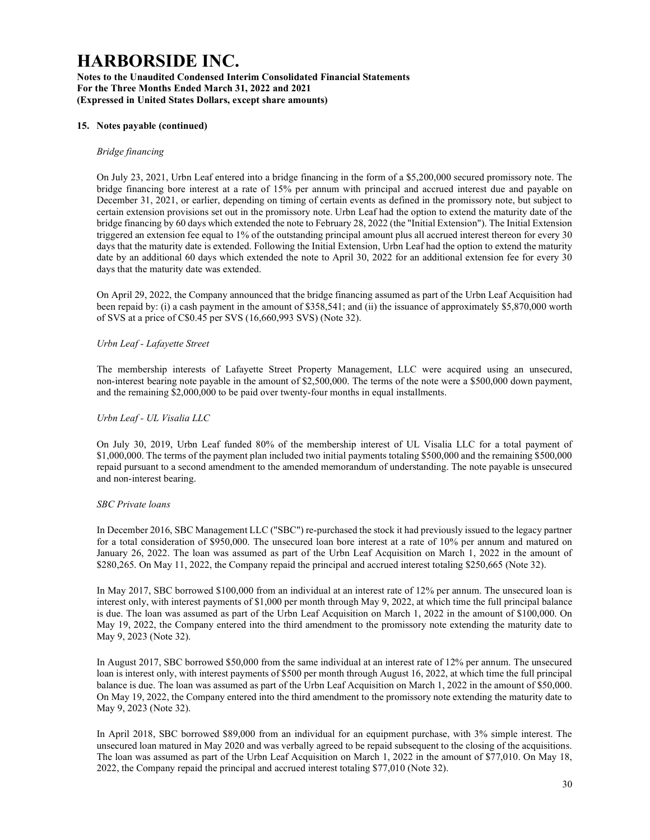Notes to the Unaudited Condensed Interim Consolidated Financial Statements For the Three Months Ended March 31, 2022 and 2021 (Expressed in United States Dollars, except share amounts)

#### 15. Notes payable (continued)

#### Bridge financing

On July 23, 2021, Urbn Leaf entered into a bridge financing in the form of a \$5,200,000 secured promissory note. The bridge financing bore interest at a rate of 15% per annum with principal and accrued interest due and payable on December 31, 2021, or earlier, depending on timing of certain events as defined in the promissory note, but subject to certain extension provisions set out in the promissory note. Urbn Leaf had the option to extend the maturity date of the bridge financing by 60 days which extended the note to February 28, 2022 (the "Initial Extension"). The Initial Extension triggered an extension fee equal to 1% of the outstanding principal amount plus all accrued interest thereon for every 30 days that the maturity date is extended. Following the Initial Extension, Urbn Leaf had the option to extend the maturity date by an additional 60 days which extended the note to April 30, 2022 for an additional extension fee for every 30 days that the maturity date was extended.

On April 29, 2022, the Company announced that the bridge financing assumed as part of the Urbn Leaf Acquisition had been repaid by: (i) a cash payment in the amount of \$358,541; and (ii) the issuance of approximately \$5,870,000 worth of SVS at a price of C\$0.45 per SVS (16,660,993 SVS) (Note 32).

#### Urbn Leaf - Lafayette Street

The membership interests of Lafayette Street Property Management, LLC were acquired using an unsecured, non-interest bearing note payable in the amount of \$2,500,000. The terms of the note were a \$500,000 down payment, and the remaining \$2,000,000 to be paid over twenty-four months in equal installments.

#### Urbn Leaf - UL Visalia LLC

On July 30, 2019, Urbn Leaf funded 80% of the membership interest of UL Visalia LLC for a total payment of \$1,000,000. The terms of the payment plan included two initial payments totaling \$500,000 and the remaining \$500,000 repaid pursuant to a second amendment to the amended memorandum of understanding. The note payable is unsecured and non-interest bearing.

#### SBC Private loans

In December 2016, SBC Management LLC ("SBC") re-purchased the stock it had previously issued to the legacy partner for a total consideration of \$950,000. The unsecured loan bore interest at a rate of 10% per annum and matured on January 26, 2022. The loan was assumed as part of the Urbn Leaf Acquisition on March 1, 2022 in the amount of \$280,265. On May 11, 2022, the Company repaid the principal and accrued interest totaling \$250,665 (Note 32).

In May 2017, SBC borrowed \$100,000 from an individual at an interest rate of 12% per annum. The unsecured loan is interest only, with interest payments of \$1,000 per month through May 9, 2022, at which time the full principal balance is due. The loan was assumed as part of the Urbn Leaf Acquisition on March 1, 2022 in the amount of \$100,000. On May 19, 2022, the Company entered into the third amendment to the promissory note extending the maturity date to May 9, 2023 (Note 32).

In August 2017, SBC borrowed \$50,000 from the same individual at an interest rate of 12% per annum. The unsecured loan is interest only, with interest payments of \$500 per month through August 16, 2022, at which time the full principal balance is due. The loan was assumed as part of the Urbn Leaf Acquisition on March 1, 2022 in the amount of \$50,000. On May 19, 2022, the Company entered into the third amendment to the promissory note extending the maturity date to May 9, 2023 (Note 32).

In April 2018, SBC borrowed \$89,000 from an individual for an equipment purchase, with 3% simple interest. The unsecured loan matured in May 2020 and was verbally agreed to be repaid subsequent to the closing of the acquisitions. The loan was assumed as part of the Urbn Leaf Acquisition on March 1, 2022 in the amount of \$77,010. On May 18, 2022, the Company repaid the principal and accrued interest totaling \$77,010 (Note 32).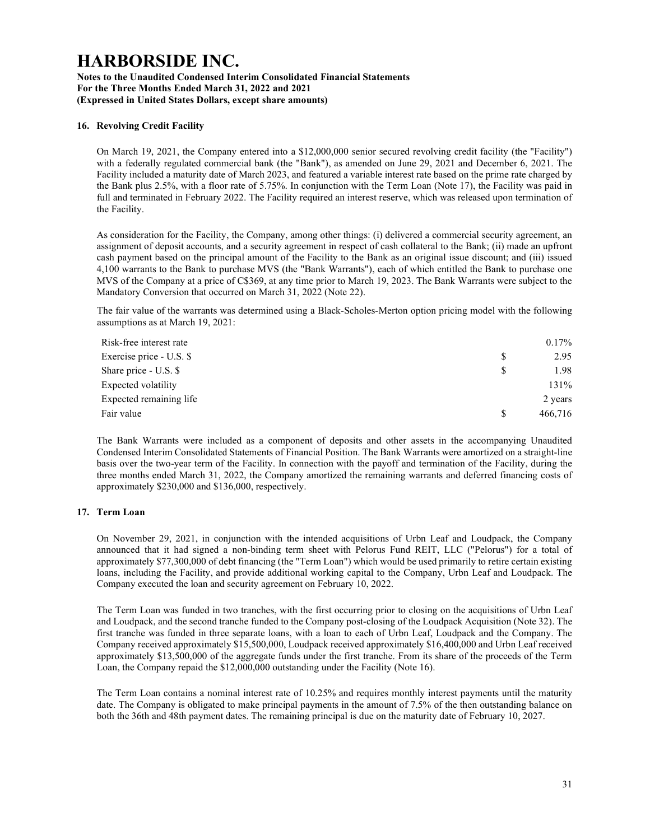#### Notes to the Unaudited Condensed Interim Consolidated Financial Statements For the Three Months Ended March 31, 2022 and 2021 (Expressed in United States Dollars, except share amounts)

### 16. Revolving Credit Facility

On March 19, 2021, the Company entered into a \$12,000,000 senior secured revolving credit facility (the "Facility") with a federally regulated commercial bank (the "Bank"), as amended on June 29, 2021 and December 6, 2021. The Facility included a maturity date of March 2023, and featured a variable interest rate based on the prime rate charged by the Bank plus 2.5%, with a floor rate of 5.75%. In conjunction with the Term Loan (Note 17), the Facility was paid in full and terminated in February 2022. The Facility required an interest reserve, which was released upon termination of the Facility.

As consideration for the Facility, the Company, among other things: (i) delivered a commercial security agreement, an assignment of deposit accounts, and a security agreement in respect of cash collateral to the Bank; (ii) made an upfront cash payment based on the principal amount of the Facility to the Bank as an original issue discount; and (iii) issued 4,100 warrants to the Bank to purchase MVS (the "Bank Warrants"), each of which entitled the Bank to purchase one MVS of the Company at a price of C\$369, at any time prior to March 19, 2023. The Bank Warrants were subject to the Mandatory Conversion that occurred on March 31, 2022 (Note 22).

The fair value of the warrants was determined using a Black-Scholes-Merton option pricing model with the following assumptions as at March 19, 2021:

| Risk-free interest rate  | $0.17\%$ |
|--------------------------|----------|
| Exercise price - U.S. \$ | 2.95     |
| Share price - U.S. \$    | 1.98     |
| Expected volatility      | 131%     |
| Expected remaining life  | 2 years  |
| Fair value               | 466,716  |

The Bank Warrants were included as a component of deposits and other assets in the accompanying Unaudited Condensed Interim Consolidated Statements of Financial Position. The Bank Warrants were amortized on a straight-line basis over the two-year term of the Facility. In connection with the payoff and termination of the Facility, during the three months ended March 31, 2022, the Company amortized the remaining warrants and deferred financing costs of approximately \$230,000 and \$136,000, respectively.

### 17. Term Loan

On November 29, 2021, in conjunction with the intended acquisitions of Urbn Leaf and Loudpack, the Company announced that it had signed a non-binding term sheet with Pelorus Fund REIT, LLC ("Pelorus") for a total of approximately \$77,300,000 of debt financing (the "Term Loan") which would be used primarily to retire certain existing loans, including the Facility, and provide additional working capital to the Company, Urbn Leaf and Loudpack. The Company executed the loan and security agreement on February 10, 2022.

The Term Loan was funded in two tranches, with the first occurring prior to closing on the acquisitions of Urbn Leaf and Loudpack, and the second tranche funded to the Company post-closing of the Loudpack Acquisition (Note 32). The first tranche was funded in three separate loans, with a loan to each of Urbn Leaf, Loudpack and the Company. The Company received approximately \$15,500,000, Loudpack received approximately \$16,400,000 and Urbn Leaf received approximately \$13,500,000 of the aggregate funds under the first tranche. From its share of the proceeds of the Term Loan, the Company repaid the \$12,000,000 outstanding under the Facility (Note 16).

The Term Loan contains a nominal interest rate of 10.25% and requires monthly interest payments until the maturity date. The Company is obligated to make principal payments in the amount of 7.5% of the then outstanding balance on both the 36th and 48th payment dates. The remaining principal is due on the maturity date of February 10, 2027.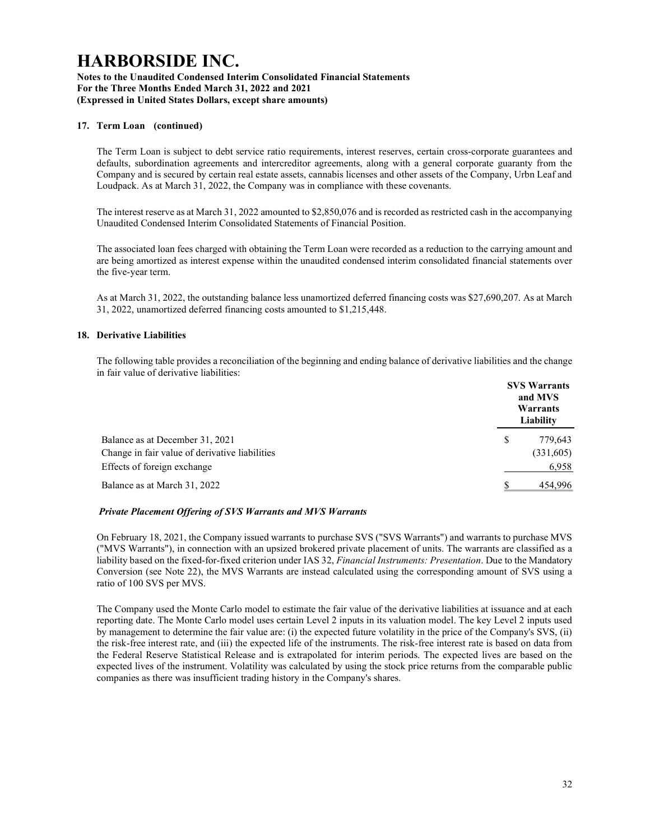### Notes to the Unaudited Condensed Interim Consolidated Financial Statements For the Three Months Ended March 31, 2022 and 2021 (Expressed in United States Dollars, except share amounts)

### 17. Term Loan (continued)

The Term Loan is subject to debt service ratio requirements, interest reserves, certain cross-corporate guarantees and defaults, subordination agreements and intercreditor agreements, along with a general corporate guaranty from the Company and is secured by certain real estate assets, cannabis licenses and other assets of the Company, Urbn Leaf and Loudpack. As at March 31, 2022, the Company was in compliance with these covenants.

The interest reserve as at March 31, 2022 amounted to \$2,850,076 and is recorded as restricted cash in the accompanying Unaudited Condensed Interim Consolidated Statements of Financial Position.

The associated loan fees charged with obtaining the Term Loan were recorded as a reduction to the carrying amount and are being amortized as interest expense within the unaudited condensed interim consolidated financial statements over the five-year term.

As at March 31, 2022, the outstanding balance less unamortized deferred financing costs was \$27,690,207. As at March 31, 2022, unamortized deferred financing costs amounted to \$1,215,448.

#### 18. Derivative Liabilities

The following table provides a reconciliation of the beginning and ending balance of derivative liabilities and the change in fair value of derivative liabilities:

|                                                | <b>SVS Warrants</b><br>and MVS<br>Warrants<br>Liability |
|------------------------------------------------|---------------------------------------------------------|
| Balance as at December 31, 2021                | \$<br>779,643                                           |
| Change in fair value of derivative liabilities | (331,605)                                               |
| Effects of foreign exchange                    | 6,958                                                   |
| Balance as at March 31, 2022                   | 454,996                                                 |

#### Private Placement Offering of SVS Warrants and MVS Warrants

On February 18, 2021, the Company issued warrants to purchase SVS ("SVS Warrants") and warrants to purchase MVS ("MVS Warrants"), in connection with an upsized brokered private placement of units. The warrants are classified as a liability based on the fixed-for-fixed criterion under IAS 32, Financial Instruments: Presentation. Due to the Mandatory Conversion (see Note 22), the MVS Warrants are instead calculated using the corresponding amount of SVS using a ratio of 100 SVS per MVS.

The Company used the Monte Carlo model to estimate the fair value of the derivative liabilities at issuance and at each reporting date. The Monte Carlo model uses certain Level 2 inputs in its valuation model. The key Level 2 inputs used by management to determine the fair value are: (i) the expected future volatility in the price of the Company's SVS, (ii) the risk-free interest rate, and (iii) the expected life of the instruments. The risk-free interest rate is based on data from the Federal Reserve Statistical Release and is extrapolated for interim periods. The expected lives are based on the expected lives of the instrument. Volatility was calculated by using the stock price returns from the comparable public companies as there was insufficient trading history in the Company's shares.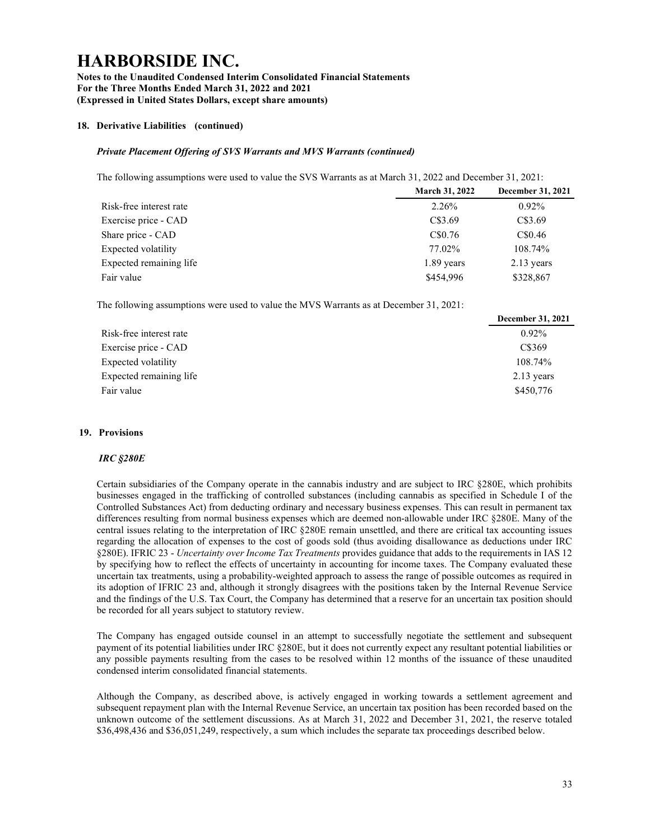Notes to the Unaudited Condensed Interim Consolidated Financial Statements For the Three Months Ended March 31, 2022 and 2021 (Expressed in United States Dollars, except share amounts)

### 18. Derivative Liabilities (continued)

## Private Placement Offering of SVS Warrants and MVS Warrants (continued)

The following assumptions were used to value the SVS Warrants as at March 31, 2022 and December 31, 2021:

|                         | <b>March 31, 2022</b> | December 31, 2021 |
|-------------------------|-----------------------|-------------------|
| Risk-free interest rate | 2.26%                 | $0.92\%$          |
| Exercise price - CAD    | C\$3.69               | C\$3.69           |
| Share price - CAD       | C\$0.76               | C\$0.46           |
| Expected volatility     | 77.02%                | 108.74%           |
| Expected remaining life | 1.89 years            | $2.13$ years      |
| Fair value              | \$454,996             | \$328,867         |

The following assumptions were used to value the MVS Warrants as at December 31, 2021:

|                         | December 31, 2021 |
|-------------------------|-------------------|
| Risk-free interest rate | $0.92\%$          |
| Exercise price - CAD    | C\$369            |
| Expected volatility     | 108.74%           |
| Expected remaining life | $2.13$ years      |
| Fair value              | \$450,776         |

### 19. Provisions

#### IRC §280E

Certain subsidiaries of the Company operate in the cannabis industry and are subject to IRC §280E, which prohibits businesses engaged in the trafficking of controlled substances (including cannabis as specified in Schedule I of the Controlled Substances Act) from deducting ordinary and necessary business expenses. This can result in permanent tax differences resulting from normal business expenses which are deemed non-allowable under IRC §280E. Many of the central issues relating to the interpretation of IRC §280E remain unsettled, and there are critical tax accounting issues regarding the allocation of expenses to the cost of goods sold (thus avoiding disallowance as deductions under IRC §280E). IFRIC 23 - Uncertainty over Income Tax Treatments provides guidance that adds to the requirements in IAS 12 by specifying how to reflect the effects of uncertainty in accounting for income taxes. The Company evaluated these uncertain tax treatments, using a probability-weighted approach to assess the range of possible outcomes as required in its adoption of IFRIC 23 and, although it strongly disagrees with the positions taken by the Internal Revenue Service and the findings of the U.S. Tax Court, the Company has determined that a reserve for an uncertain tax position should be recorded for all years subject to statutory review.

The Company has engaged outside counsel in an attempt to successfully negotiate the settlement and subsequent payment of its potential liabilities under IRC §280E, but it does not currently expect any resultant potential liabilities or any possible payments resulting from the cases to be resolved within 12 months of the issuance of these unaudited condensed interim consolidated financial statements.

Although the Company, as described above, is actively engaged in working towards a settlement agreement and subsequent repayment plan with the Internal Revenue Service, an uncertain tax position has been recorded based on the unknown outcome of the settlement discussions. As at March 31, 2022 and December 31, 2021, the reserve totaled \$36,498,436 and \$36,051,249, respectively, a sum which includes the separate tax proceedings described below.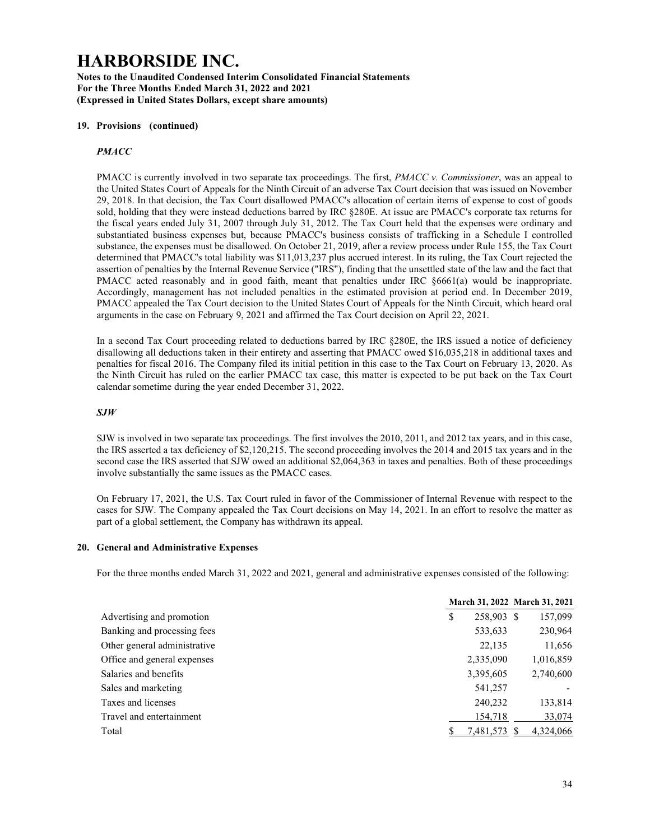Notes to the Unaudited Condensed Interim Consolidated Financial Statements For the Three Months Ended March 31, 2022 and 2021 (Expressed in United States Dollars, except share amounts)

#### 19. Provisions (continued)

### **PMACC**

PMACC is currently involved in two separate tax proceedings. The first, *PMACC v. Commissioner*, was an appeal to the United States Court of Appeals for the Ninth Circuit of an adverse Tax Court decision that was issued on November 29, 2018. In that decision, the Tax Court disallowed PMACC's allocation of certain items of expense to cost of goods sold, holding that they were instead deductions barred by IRC §280E. At issue are PMACC's corporate tax returns for the fiscal years ended July 31, 2007 through July 31, 2012. The Tax Court held that the expenses were ordinary and substantiated business expenses but, because PMACC's business consists of trafficking in a Schedule I controlled substance, the expenses must be disallowed. On October 21, 2019, after a review process under Rule 155, the Tax Court determined that PMACC's total liability was \$11,013,237 plus accrued interest. In its ruling, the Tax Court rejected the assertion of penalties by the Internal Revenue Service ("IRS"), finding that the unsettled state of the law and the fact that PMACC acted reasonably and in good faith, meant that penalties under IRC §6661(a) would be inappropriate. Accordingly, management has not included penalties in the estimated provision at period end. In December 2019, PMACC appealed the Tax Court decision to the United States Court of Appeals for the Ninth Circuit, which heard oral arguments in the case on February 9, 2021 and affirmed the Tax Court decision on April 22, 2021.

In a second Tax Court proceeding related to deductions barred by IRC §280E, the IRS issued a notice of deficiency disallowing all deductions taken in their entirety and asserting that PMACC owed \$16,035,218 in additional taxes and penalties for fiscal 2016. The Company filed its initial petition in this case to the Tax Court on February 13, 2020. As the Ninth Circuit has ruled on the earlier PMACC tax case, this matter is expected to be put back on the Tax Court calendar sometime during the year ended December 31, 2022.

#### SJW

SJW is involved in two separate tax proceedings. The first involves the 2010, 2011, and 2012 tax years, and in this case, the IRS asserted a tax deficiency of \$2,120,215. The second proceeding involves the 2014 and 2015 tax years and in the second case the IRS asserted that SJW owed an additional \$2,064,363 in taxes and penalties. Both of these proceedings involve substantially the same issues as the PMACC cases.

On February 17, 2021, the U.S. Tax Court ruled in favor of the Commissioner of Internal Revenue with respect to the cases for SJW. The Company appealed the Tax Court decisions on May 14, 2021. In an effort to resolve the matter as part of a global settlement, the Company has withdrawn its appeal.

#### 20. General and Administrative Expenses

For the three months ended March 31, 2022 and 2021, general and administrative expenses consisted of the following:

|                              |   |            | March 31, 2022 March 31, 2021 |
|------------------------------|---|------------|-------------------------------|
| Advertising and promotion    | S | 258,903 \$ | 157,099                       |
| Banking and processing fees  |   | 533,633    | 230,964                       |
| Other general administrative |   | 22,135     | 11,656                        |
| Office and general expenses  |   | 2,335,090  | 1,016,859                     |
| Salaries and benefits        |   | 3,395,605  | 2,740,600                     |
| Sales and marketing          |   | 541,257    |                               |
| Taxes and licenses           |   | 240,232    | 133,814                       |
| Travel and entertainment     |   | 154,718    | 33,074                        |
| Total                        |   | 7,481,573  | 4,324,066                     |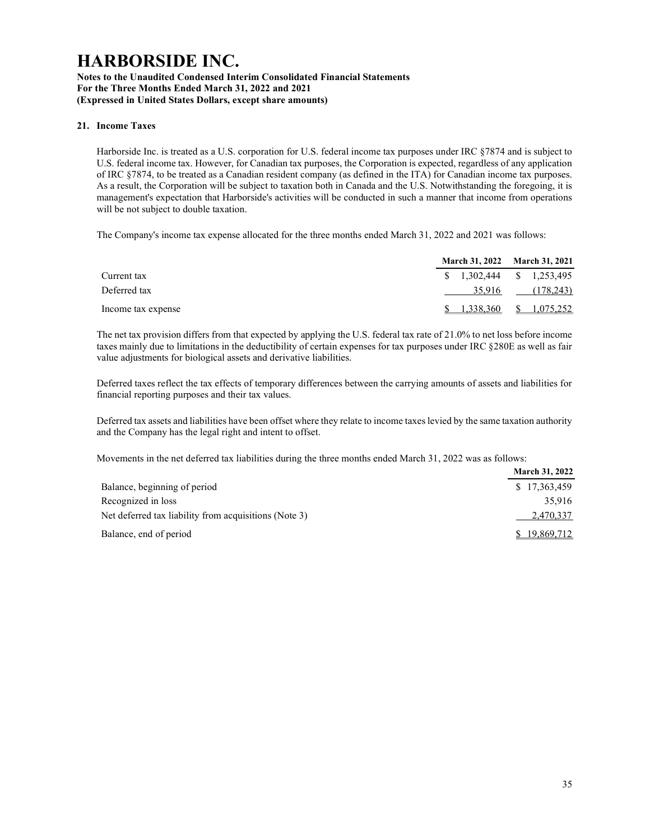### Notes to the Unaudited Condensed Interim Consolidated Financial Statements For the Three Months Ended March 31, 2022 and 2021 (Expressed in United States Dollars, except share amounts)

### 21. Income Taxes

Harborside Inc. is treated as a U.S. corporation for U.S. federal income tax purposes under IRC §7874 and is subject to U.S. federal income tax. However, for Canadian tax purposes, the Corporation is expected, regardless of any application of IRC §7874, to be treated as a Canadian resident company (as defined in the ITA) for Canadian income tax purposes. As a result, the Corporation will be subject to taxation both in Canada and the U.S. Notwithstanding the foregoing, it is management's expectation that Harborside's activities will be conducted in such a manner that income from operations will be not subject to double taxation.

The Company's income tax expense allocated for the three months ended March 31, 2022 and 2021 was follows:

|                    | March 31, 2022 March 31, 2021 |
|--------------------|-------------------------------|
| Current tax        | $$1,302,444$ $$1,253,495$     |
| Deferred tax       | 35,916 (178,243)              |
| Income tax expense | $$1,338,360$ $$1,075,252$     |

The net tax provision differs from that expected by applying the U.S. federal tax rate of 21.0% to net loss before income taxes mainly due to limitations in the deductibility of certain expenses for tax purposes under IRC §280E as well as fair value adjustments for biological assets and derivative liabilities.

Deferred taxes reflect the tax effects of temporary differences between the carrying amounts of assets and liabilities for financial reporting purposes and their tax values.

Deferred tax assets and liabilities have been offset where they relate to income taxes levied by the same taxation authority and the Company has the legal right and intent to offset.

Movements in the net deferred tax liabilities during the three months ended March 31, 2022 was as follows:

|                                                       | <b>March 31, 2022</b> |
|-------------------------------------------------------|-----------------------|
| Balance, beginning of period                          | \$17,363,459          |
| Recognized in loss                                    | 35,916                |
| Net deferred tax liability from acquisitions (Note 3) | 2,470,337             |
| Balance, end of period                                | \$19,869,712          |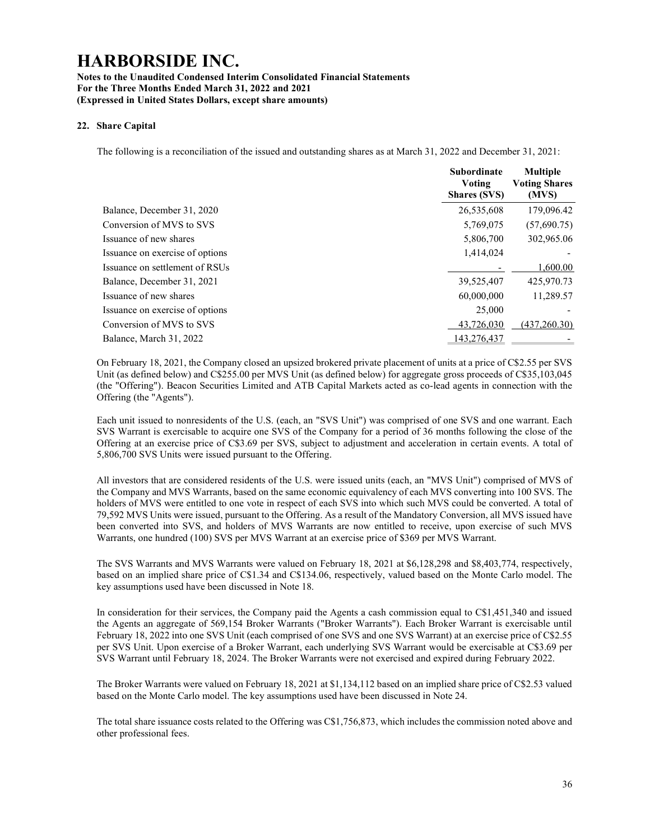### Notes to the Unaudited Condensed Interim Consolidated Financial Statements For the Three Months Ended March 31, 2022 and 2021 (Expressed in United States Dollars, except share amounts)

### 22. Share Capital

The following is a reconciliation of the issued and outstanding shares as at March 31, 2022 and December 31, 2021:

|                                 | <b>Subordinate</b><br>Voting<br><b>Shares (SVS)</b> | <b>Multiple</b><br><b>Voting Shares</b><br>(MVS) |
|---------------------------------|-----------------------------------------------------|--------------------------------------------------|
| Balance, December 31, 2020      | 26,535,608                                          | 179,096.42                                       |
| Conversion of MVS to SVS        | 5,769,075                                           | (57,690.75)                                      |
| Issuance of new shares          | 5,806,700                                           | 302,965.06                                       |
| Issuance on exercise of options | 1,414,024                                           |                                                  |
| Issuance on settlement of RSUs  |                                                     | 1,600.00                                         |
| Balance, December 31, 2021      | 39,525,407                                          | 425,970.73                                       |
| Issuance of new shares          | 60,000,000                                          | 11,289.57                                        |
| Issuance on exercise of options | 25,000                                              |                                                  |
| Conversion of MVS to SVS        | 43,726,030                                          | (437, 260.30)                                    |
| Balance, March 31, 2022         | 143,276,437                                         |                                                  |

On February 18, 2021, the Company closed an upsized brokered private placement of units at a price of C\$2.55 per SVS Unit (as defined below) and C\$255.00 per MVS Unit (as defined below) for aggregate gross proceeds of C\$35,103,045 (the "Offering"). Beacon Securities Limited and ATB Capital Markets acted as co-lead agents in connection with the Offering (the "Agents").

Each unit issued to nonresidents of the U.S. (each, an "SVS Unit") was comprised of one SVS and one warrant. Each SVS Warrant is exercisable to acquire one SVS of the Company for a period of 36 months following the close of the Offering at an exercise price of C\$3.69 per SVS, subject to adjustment and acceleration in certain events. A total of 5,806,700 SVS Units were issued pursuant to the Offering.

All investors that are considered residents of the U.S. were issued units (each, an "MVS Unit") comprised of MVS of the Company and MVS Warrants, based on the same economic equivalency of each MVS converting into 100 SVS. The holders of MVS were entitled to one vote in respect of each SVS into which such MVS could be converted. A total of 79,592 MVS Units were issued, pursuant to the Offering. As a result of the Mandatory Conversion, all MVS issued have been converted into SVS, and holders of MVS Warrants are now entitled to receive, upon exercise of such MVS Warrants, one hundred (100) SVS per MVS Warrant at an exercise price of \$369 per MVS Warrant.

The SVS Warrants and MVS Warrants were valued on February 18, 2021 at \$6,128,298 and \$8,403,774, respectively, based on an implied share price of C\$1.34 and C\$134.06, respectively, valued based on the Monte Carlo model. The key assumptions used have been discussed in Note 18.

In consideration for their services, the Company paid the Agents a cash commission equal to C\$1,451,340 and issued the Agents an aggregate of 569,154 Broker Warrants ("Broker Warrants"). Each Broker Warrant is exercisable until February 18, 2022 into one SVS Unit (each comprised of one SVS and one SVS Warrant) at an exercise price of C\$2.55 per SVS Unit. Upon exercise of a Broker Warrant, each underlying SVS Warrant would be exercisable at C\$3.69 per SVS Warrant until February 18, 2024. The Broker Warrants were not exercised and expired during February 2022.

The Broker Warrants were valued on February 18, 2021 at \$1,134,112 based on an implied share price of C\$2.53 valued based on the Monte Carlo model. The key assumptions used have been discussed in Note 24.

The total share issuance costs related to the Offering was C\$1,756,873, which includes the commission noted above and other professional fees.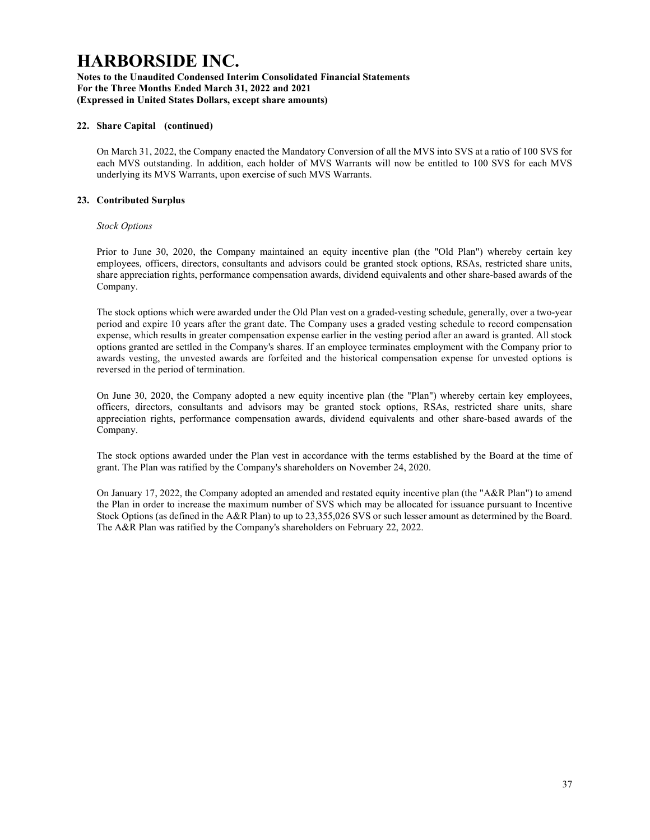### Notes to the Unaudited Condensed Interim Consolidated Financial Statements For the Three Months Ended March 31, 2022 and 2021 (Expressed in United States Dollars, except share amounts)

### 22. Share Capital (continued)

On March 31, 2022, the Company enacted the Mandatory Conversion of all the MVS into SVS at a ratio of 100 SVS for each MVS outstanding. In addition, each holder of MVS Warrants will now be entitled to 100 SVS for each MVS underlying its MVS Warrants, upon exercise of such MVS Warrants.

### 23. Contributed Surplus

#### Stock Options

Prior to June 30, 2020, the Company maintained an equity incentive plan (the "Old Plan") whereby certain key employees, officers, directors, consultants and advisors could be granted stock options, RSAs, restricted share units, share appreciation rights, performance compensation awards, dividend equivalents and other share-based awards of the Company.

The stock options which were awarded under the Old Plan vest on a graded-vesting schedule, generally, over a two-year period and expire 10 years after the grant date. The Company uses a graded vesting schedule to record compensation expense, which results in greater compensation expense earlier in the vesting period after an award is granted. All stock options granted are settled in the Company's shares. If an employee terminates employment with the Company prior to awards vesting, the unvested awards are forfeited and the historical compensation expense for unvested options is reversed in the period of termination.

On June 30, 2020, the Company adopted a new equity incentive plan (the "Plan") whereby certain key employees, officers, directors, consultants and advisors may be granted stock options, RSAs, restricted share units, share appreciation rights, performance compensation awards, dividend equivalents and other share-based awards of the Company.

The stock options awarded under the Plan vest in accordance with the terms established by the Board at the time of grant. The Plan was ratified by the Company's shareholders on November 24, 2020.

On January 17, 2022, the Company adopted an amended and restated equity incentive plan (the "A&R Plan") to amend the Plan in order to increase the maximum number of SVS which may be allocated for issuance pursuant to Incentive Stock Options (as defined in the A&R Plan) to up to 23,355,026 SVS or such lesser amount as determined by the Board. The A&R Plan was ratified by the Company's shareholders on February 22, 2022.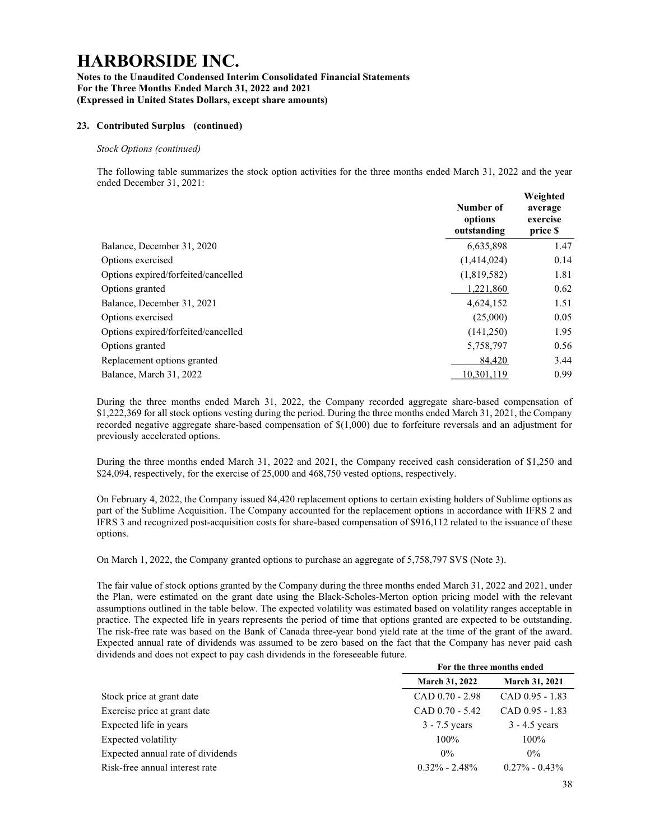#### Notes to the Unaudited Condensed Interim Consolidated Financial Statements For the Three Months Ended March 31, 2022 and 2021 (Expressed in United States Dollars, except share amounts)

### 23. Contributed Surplus (continued)

#### Stock Options (continued)

The following table summarizes the stock option activities for the three months ended March 31, 2022 and the year ended December 31, 2021:

|                                     | Number of<br>options<br>outstanding | Weighted<br>average<br>exercise<br>price \$ |
|-------------------------------------|-------------------------------------|---------------------------------------------|
| Balance, December 31, 2020          | 6,635,898                           | 1.47                                        |
| Options exercised                   | (1,414,024)                         | 0.14                                        |
| Options expired/forfeited/cancelled | (1,819,582)                         | 1.81                                        |
| Options granted                     | 1.221.860                           | 0.62                                        |
| Balance, December 31, 2021          | 4,624,152                           | 1.51                                        |
| Options exercised                   | (25,000)                            | 0.05                                        |
| Options expired/forfeited/cancelled | (141,250)                           | 1.95                                        |
| Options granted                     | 5,758,797                           | 0.56                                        |
| Replacement options granted         | 84,420                              | 3.44                                        |
| Balance, March 31, 2022             | 10.301.119                          | 0.99                                        |

During the three months ended March 31, 2022, the Company recorded aggregate share-based compensation of \$1,222,369 for all stock options vesting during the period. During the three months ended March 31, 2021, the Company recorded negative aggregate share-based compensation of \$(1,000) due to forfeiture reversals and an adjustment for previously accelerated options.

During the three months ended March 31, 2022 and 2021, the Company received cash consideration of \$1,250 and \$24,094, respectively, for the exercise of 25,000 and 468,750 vested options, respectively.

On February 4, 2022, the Company issued 84,420 replacement options to certain existing holders of Sublime options as part of the Sublime Acquisition. The Company accounted for the replacement options in accordance with IFRS 2 and IFRS 3 and recognized post-acquisition costs for share-based compensation of \$916,112 related to the issuance of these options.

On March 1, 2022, the Company granted options to purchase an aggregate of 5,758,797 SVS (Note 3).

The fair value of stock options granted by the Company during the three months ended March 31, 2022 and 2021, under the Plan, were estimated on the grant date using the Black-Scholes-Merton option pricing model with the relevant assumptions outlined in the table below. The expected volatility was estimated based on volatility ranges acceptable in practice. The expected life in years represents the period of time that options granted are expected to be outstanding. The risk-free rate was based on the Bank of Canada three-year bond yield rate at the time of the grant of the award. Expected annual rate of dividends was assumed to be zero based on the fact that the Company has never paid cash dividends and does not expect to pay cash dividends in the foreseeable future.

|                                   | For the three months ended |                       |  |  |
|-----------------------------------|----------------------------|-----------------------|--|--|
|                                   | <b>March 31, 2022</b>      | <b>March 31, 2021</b> |  |  |
| Stock price at grant date         | $CAD$ 0.70 - 2.98          | $CAD$ 0.95 - 1.83     |  |  |
| Exercise price at grant date      | $CAD$ 0.70 - 5.42          | $CAD$ 0.95 - 1.83     |  |  |
| Expected life in years            | $3 - 7.5$ years            | $3 - 4.5$ years       |  |  |
| Expected volatility               | $100\%$                    | $100\%$               |  |  |
| Expected annual rate of dividends | $0\%$                      | $0\%$                 |  |  |
| Risk-free annual interest rate    | $0.32\% - 2.48\%$          | $0.27\% - 0.43\%$     |  |  |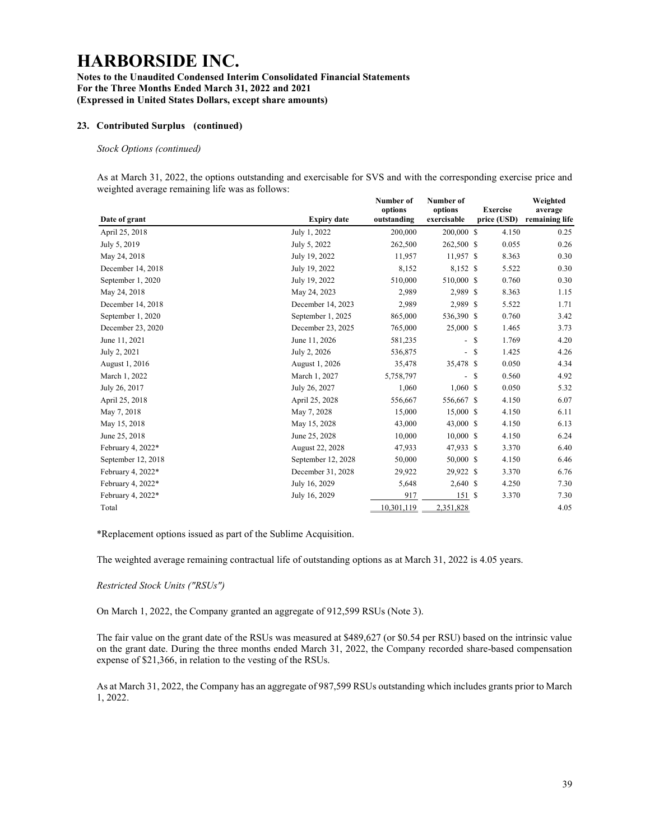### Notes to the Unaudited Condensed Interim Consolidated Financial Statements For the Three Months Ended March 31, 2022 and 2021 (Expressed in United States Dollars, except share amounts)

### 23. Contributed Surplus (continued)

#### Stock Options (continued)

As at March 31, 2022, the options outstanding and exercisable for SVS and with the corresponding exercise price and weighted average remaining life was as follows: Weighted

|                    |                    | Number of<br>options | Number of<br>options         | <b>Exercise</b>        | Weighted<br>average |
|--------------------|--------------------|----------------------|------------------------------|------------------------|---------------------|
| Date of grant      | <b>Expiry date</b> | outstanding          | exercisable                  | price (USD)            | remaining life      |
| April 25, 2018     | July 1, 2022       | 200,000              | 200,000 \$                   | 4.150                  | 0.25                |
| July 5, 2019       | July 5, 2022       | 262,500              | 262,500 \$                   | 0.055                  | 0.26                |
| May 24, 2018       | July 19, 2022      | 11,957               | 11,957 \$                    | 8.363                  | 0.30                |
| December 14, 2018  | July 19, 2022      | 8,152                | 8,152 \$                     | 5.522                  | 0.30                |
| September 1, 2020  | July 19, 2022      | 510,000              | 510,000 \$                   | 0.760                  | 0.30                |
| May 24, 2018       | May 24, 2023       | 2,989                | 2,989 \$                     | 8.363                  | 1.15                |
| December 14, 2018  | December 14, 2023  | 2,989                | 2,989 \$                     | 5.522                  | 1.71                |
| September 1, 2020  | September 1, 2025  | 865,000              | 536,390 \$                   | 0.760                  | 3.42                |
| December 23, 2020  | December 23, 2025  | 765,000              | 25,000 \$                    | 1.465                  | 3.73                |
| June 11, 2021      | June 11, 2026      | 581,235              | $\overline{\phantom{a}}$     | <sup>\$</sup><br>1.769 | 4.20                |
| July 2, 2021       | July 2, 2026       | 536,875              | $\overline{\phantom{a}}$     | 1.425<br>-S            | 4.26                |
| August 1, 2016     | August 1, 2026     | 35,478               | 35,478 \$                    | 0.050                  | 4.34                |
| March 1, 2022      | March 1, 2027      | 5,758,797            | $\qquad \qquad \blacksquare$ | <sup>\$</sup><br>0.560 | 4.92                |
| July 26, 2017      | July 26, 2027      | 1,060                | $1,060$ \$                   | 0.050                  | 5.32                |
| April 25, 2018     | April 25, 2028     | 556,667              | 556,667 \$                   | 4.150                  | 6.07                |
| May 7, 2018        | May 7, 2028        | 15,000               | 15,000 \$                    | 4.150                  | 6.11                |
| May 15, 2018       | May 15, 2028       | 43,000               | 43,000 \$                    | 4.150                  | 6.13                |
| June 25, 2018      | June 25, 2028      | 10,000               | 10,000 S                     | 4.150                  | 6.24                |
| February 4, 2022*  | August 22, 2028    | 47,933               | 47,933 \$                    | 3.370                  | 6.40                |
| September 12, 2018 | September 12, 2028 | 50,000               | 50,000 \$                    | 4.150                  | 6.46                |
| February 4, 2022*  | December 31, 2028  | 29,922               | 29,922 \$                    | 3.370                  | 6.76                |
| February 4, 2022*  | July 16, 2029      | 5,648                | 2,640 \$                     | 4.250                  | 7.30                |
| February 4, 2022*  | July 16, 2029      | 917                  | 151S                         | 3.370                  | 7.30                |
| Total              |                    | 10,301,119           | 2,351,828                    |                        | 4.05                |

\*Replacement options issued as part of the Sublime Acquisition.

The weighted average remaining contractual life of outstanding options as at March 31, 2022 is 4.05 years.

#### Restricted Stock Units ("RSUs")

On March 1, 2022, the Company granted an aggregate of 912,599 RSUs (Note 3).

The fair value on the grant date of the RSUs was measured at \$489,627 (or \$0.54 per RSU) based on the intrinsic value on the grant date. During the three months ended March 31, 2022, the Company recorded share-based compensation expense of \$21,366, in relation to the vesting of the RSUs.

As at March 31, 2022, the Company has an aggregate of 987,599 RSUs outstanding which includes grants prior to March 1, 2022.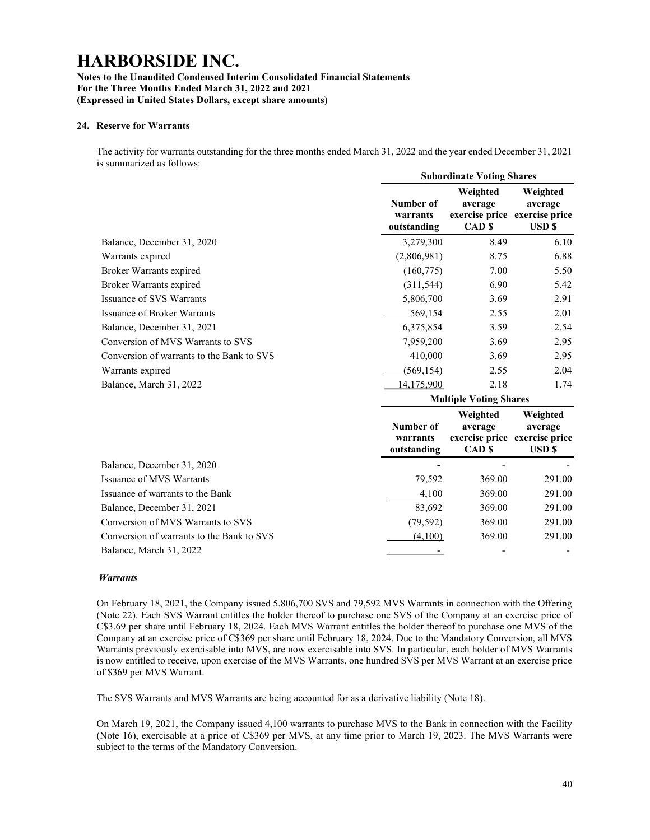### Notes to the Unaudited Condensed Interim Consolidated Financial Statements For the Three Months Ended March 31, 2022 and 2021 (Expressed in United States Dollars, except share amounts)

### 24. Reserve for Warrants

The activity for warrants outstanding for the three months ended March 31, 2022 and the year ended December 31, 2021 is summarized as follows:

|                                           |                                      | <b>Subordinate Voting Shares</b>         |                                                                                 |
|-------------------------------------------|--------------------------------------|------------------------------------------|---------------------------------------------------------------------------------|
|                                           | Number of<br>warrants<br>outstanding | Weighted<br>average<br>CAD <sub>S</sub>  | Weighted<br>average<br>exercise price exercise price<br><b>USD</b> <sub>S</sub> |
| Balance, December 31, 2020                | 3,279,300                            | 8.49                                     | 6.10                                                                            |
| Warrants expired                          | (2,806,981)                          | 8.75                                     | 6.88                                                                            |
| Broker Warrants expired                   | (160,775)                            | 7.00                                     | 5.50                                                                            |
| Broker Warrants expired                   | (311, 544)                           | 6.90                                     | 5.42                                                                            |
| <b>Issuance of SVS Warrants</b>           | 5,806,700                            | 3.69                                     | 2.91                                                                            |
| Issuance of Broker Warrants               | 569,154                              | 2.55                                     | 2.01                                                                            |
| Balance, December 31, 2021                | 6,375,854                            | 3.59                                     | 2.54                                                                            |
| Conversion of MVS Warrants to SVS         | 7,959,200                            | 3.69                                     | 2.95                                                                            |
| Conversion of warrants to the Bank to SVS | 410,000                              | 3.69                                     | 2.95                                                                            |
| Warrants expired                          | (569, 154)                           | 2.55                                     | 2.04                                                                            |
| Balance, March 31, 2022                   | 14,175,900                           | 2.18                                     | 1.74                                                                            |
|                                           |                                      | <b>Multiple Voting Shares</b>            |                                                                                 |
|                                           | Number of<br>warrants<br>outstanding | Weighted<br>average<br>CAD <sub>\$</sub> | Weighted<br>average<br>exercise price exercise price<br><b>USD \$</b>           |
| Balance, December 31, 2020                |                                      |                                          |                                                                                 |
| Issuance of MVS Warrants                  | 79,592                               | 369.00                                   | 291.00                                                                          |
| Issuance of warrants to the Bank          | 4.100                                | 369.00                                   | 291.00                                                                          |
| Balance, December 31, 2021                | 83,692                               | 369.00                                   | 291.00                                                                          |
| Conversion of MVS Warrants to SVS         | (79, 592)                            | 369.00                                   | 291.00                                                                          |
| Conversion of warrants to the Bank to SVS | (4,100)                              | 369.00                                   | 291.00                                                                          |
| Balance, March 31, 2022                   |                                      |                                          |                                                                                 |

### **Warrants**

On February 18, 2021, the Company issued 5,806,700 SVS and 79,592 MVS Warrants in connection with the Offering (Note 22). Each SVS Warrant entitles the holder thereof to purchase one SVS of the Company at an exercise price of C\$3.69 per share until February 18, 2024. Each MVS Warrant entitles the holder thereof to purchase one MVS of the Company at an exercise price of C\$369 per share until February 18, 2024. Due to the Mandatory Conversion, all MVS Warrants previously exercisable into MVS, are now exercisable into SVS. In particular, each holder of MVS Warrants is now entitled to receive, upon exercise of the MVS Warrants, one hundred SVS per MVS Warrant at an exercise price of \$369 per MVS Warrant.

The SVS Warrants and MVS Warrants are being accounted for as a derivative liability (Note 18).

On March 19, 2021, the Company issued 4,100 warrants to purchase MVS to the Bank in connection with the Facility (Note 16), exercisable at a price of C\$369 per MVS, at any time prior to March 19, 2023. The MVS Warrants were subject to the terms of the Mandatory Conversion.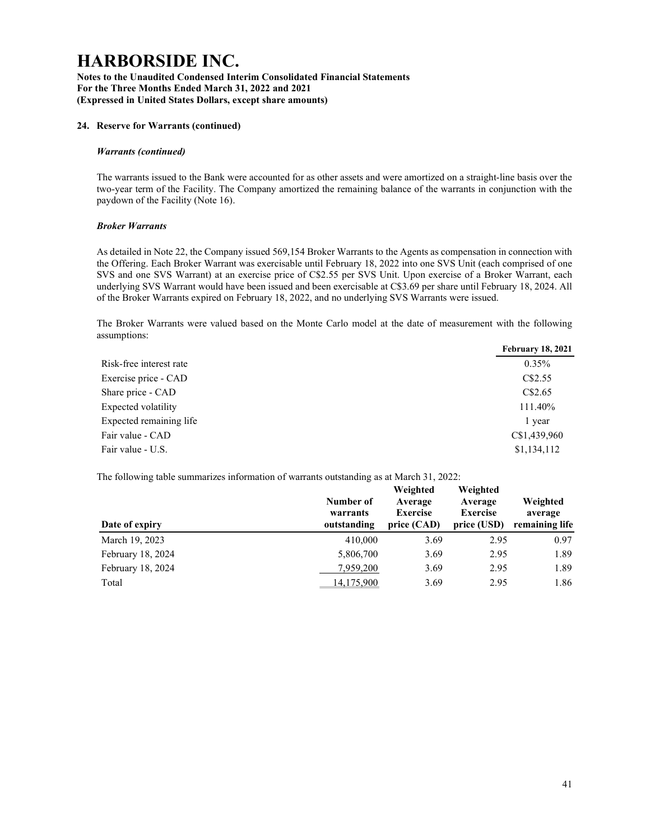Notes to the Unaudited Condensed Interim Consolidated Financial Statements For the Three Months Ended March 31, 2022 and 2021 (Expressed in United States Dollars, except share amounts)

### 24. Reserve for Warrants (continued)

### Warrants (continued)

The warrants issued to the Bank were accounted for as other assets and were amortized on a straight-line basis over the two-year term of the Facility. The Company amortized the remaining balance of the warrants in conjunction with the paydown of the Facility (Note 16).

### Broker Warrants

As detailed in Note 22, the Company issued 569,154 Broker Warrants to the Agents as compensation in connection with the Offering. Each Broker Warrant was exercisable until February 18, 2022 into one SVS Unit (each comprised of one SVS and one SVS Warrant) at an exercise price of C\$2.55 per SVS Unit. Upon exercise of a Broker Warrant, each underlying SVS Warrant would have been issued and been exercisable at C\$3.69 per share until February 18, 2024. All of the Broker Warrants expired on February 18, 2022, and no underlying SVS Warrants were issued.

The Broker Warrants were valued based on the Monte Carlo model at the date of measurement with the following assumptions:

| <b>February 18, 2021</b> |
|--------------------------|
| $0.35\%$                 |
| C\$2.55                  |
| CS2.65                   |
| 111.40%                  |
| l year                   |
| C\$1,439,960             |
| \$1,134,112              |
|                          |

The following table summarizes information of warrants outstanding as at March 31, 2022:

| Date of expiry    | Number of<br>warrants<br>outstanding | Weighted<br>Average<br><b>Exercise</b><br>price (CAD) | Weighted<br>Average<br><b>Exercise</b><br>price (USD) | Weighted<br>average<br>remaining life |
|-------------------|--------------------------------------|-------------------------------------------------------|-------------------------------------------------------|---------------------------------------|
| March 19, 2023    | 410,000                              | 3.69                                                  | 2.95                                                  | 0.97                                  |
| February 18, 2024 | 5,806,700                            | 3.69                                                  | 2.95                                                  | 1.89                                  |
| February 18, 2024 | 7,959,200                            | 3.69                                                  | 2.95                                                  | 1.89                                  |
| Total             | 14,175,900                           | 3.69                                                  | 2.95                                                  | 1.86                                  |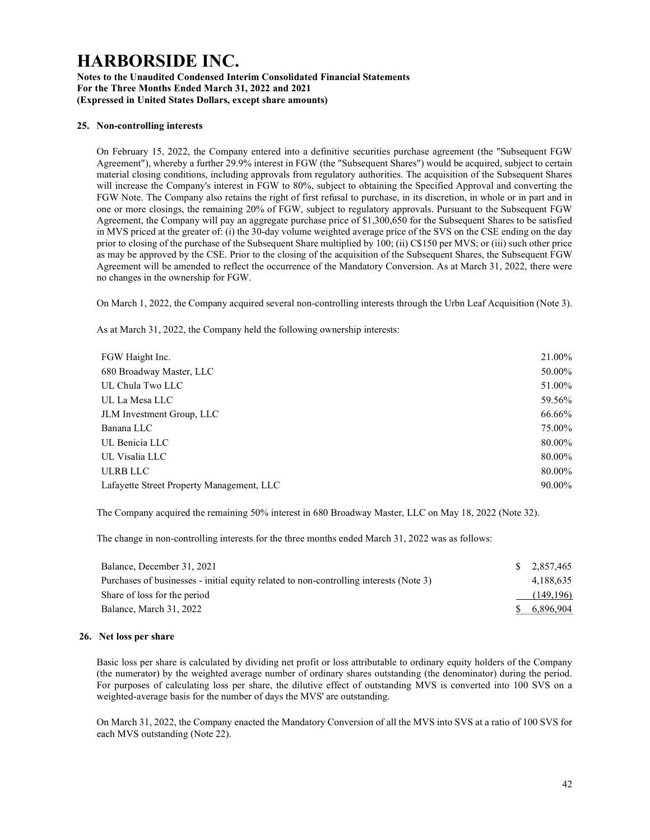#### Notes to the Unaudited Condensed Interim Consolidated Financial Statements For the Three Months Ended March 31, 2022 and 2021 (Expressed in United States Dollars, except share amounts)

#### 25. Non-controlling interests

On February 15, 2022, the Company entered into a definitive securities purchase agreement (the "Subsequent FGW Agreement"), whereby a further 29.9% interest in FGW (the "Subsequent Shares") would be acquired, subject to certain material closing conditions, including approvals from regulatory authorities. The acquisition of the Subsequent Shares will increase the Company's interest in FGW to 80%, subject to obtaining the Specified Approval and converting the FGW Note. The Company also retains the right of first refusal to purchase, in its discretion, in whole or in part and in one or more closings, the remaining 20% of FGW, subject to regulatory approvals. Pursuant to the Subsequent FGW Agreement, the Company will pay an aggregate purchase price of \$1,300,650 for the Subsequent Shares to be satisfied in MVS priced at the greater of: (i) the 30-day volume weighted average price of the SVS on the CSE ending on the day prior to closing of the purchase of the Subsequent Share multiplied by 100; (ii) C\$150 per MVS; or (iii) such other price as may be approved by the CSE. Prior to the closing of the acquisition of the Subsequent Shares, the Subsequent FGW Agreement will be amended to reflect the occurrence of the Mandatory Conversion. As at March 31, 2022, there were no changes in the ownership for FGW.

On March 1, 2022, the Company acquired several non-controlling interests through the Urbn Leaf Acquisition (Note 3).

As at March 31, 2022, the Company held the following ownership interests:

| FGW Haight Inc.                           | 21.00% |
|-------------------------------------------|--------|
| 680 Broadway Master, LLC                  | 50.00% |
| UL Chula Two LLC                          | 51.00% |
| UL La Mesa LLC                            | 59.56% |
| JLM Investment Group, LLC                 | 66.66% |
| Banana LLC                                | 75.00% |
| UL Benicia LLC                            | 80.00% |
| UL Visalia LLC                            | 80.00% |
| <b>ULRB LLC</b>                           | 80.00% |
| Lafayette Street Property Management, LLC | 90.00% |

The Company acquired the remaining 50% interest in 680 Broadway Master, LLC on May 18, 2022 (Note 32).

The change in non-controlling interests for the three months ended March 31, 2022 was as follows:

| Balance, December 31, 2021                                                             | \$ 2.857,465 |
|----------------------------------------------------------------------------------------|--------------|
| Purchases of businesses - initial equity related to non-controlling interests (Note 3) | 4.188.635    |
| Share of loss for the period                                                           | (149,196)    |
| Balance, March 31, 2022                                                                | \$ 6.896,904 |

#### 26. Net loss per share

Basic loss per share is calculated by dividing net profit or loss attributable to ordinary equity holders of the Company (the numerator) by the weighted average number of ordinary shares outstanding (the denominator) during the period. For purposes of calculating loss per share, the dilutive effect of outstanding MVS is converted into 100 SVS on a weighted-average basis for the number of days the MVS' are outstanding.

On March 31, 2022, the Company enacted the Mandatory Conversion of all the MVS into SVS at a ratio of 100 SVS for each MVS outstanding (Note 22).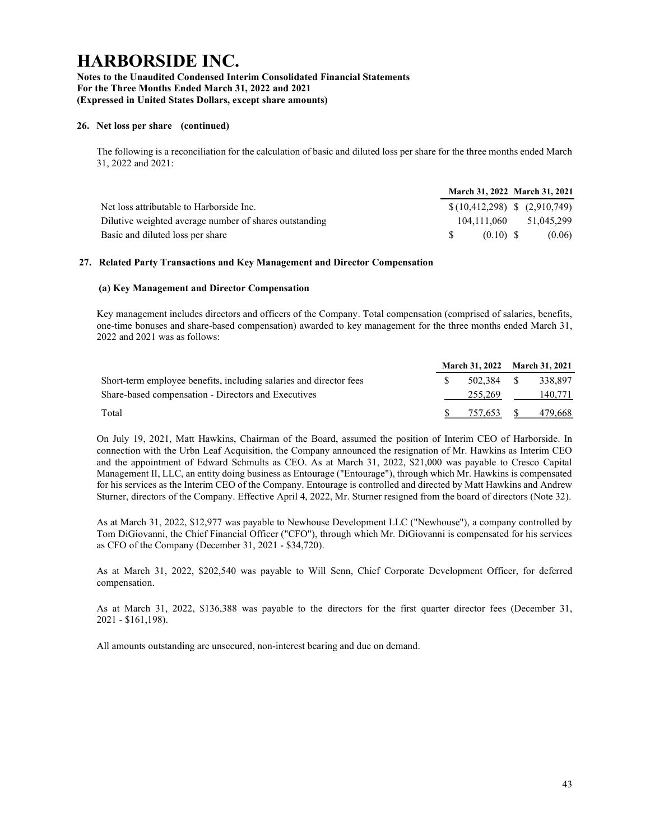### Notes to the Unaudited Condensed Interim Consolidated Financial Statements For the Three Months Ended March 31, 2022 and 2021 (Expressed in United States Dollars, except share amounts)

### 26. Net loss per share (continued)

The following is a reconciliation for the calculation of basic and diluted loss per share for the three months ended March 31, 2022 and 2021:

|                                                        | March 31, 2022 March 31, 2021    |            |
|--------------------------------------------------------|----------------------------------|------------|
| Net loss attributable to Harborside Inc.               | $$(10,412,298)$ \$ $(2,910,749)$ |            |
| Dilutive weighted average number of shares outstanding | 104.111.060                      | 51.045.299 |
| Basic and diluted loss per share                       | $(0.10)$ S                       | (0.06)     |

#### 27. Related Party Transactions and Key Management and Director Compensation

#### (a) Key Management and Director Compensation

Key management includes directors and officers of the Company. Total compensation (comprised of salaries, benefits, one-time bonuses and share-based compensation) awarded to key management for the three months ended March 31, 2022 and 2021 was as follows:

|                                                                    |      |            | March 31, 2022 March 31, 2021 |                    |  |
|--------------------------------------------------------------------|------|------------|-------------------------------|--------------------|--|
| Short-term employee benefits, including salaries and director fees | -SS- | 502.384 \$ |                               | 338.897            |  |
| Share-based compensation - Directors and Executives                |      | 255,269    |                               | 140.771            |  |
| Total                                                              |      |            |                               | 757,653 \$ 479,668 |  |

On July 19, 2021, Matt Hawkins, Chairman of the Board, assumed the position of Interim CEO of Harborside. In connection with the Urbn Leaf Acquisition, the Company announced the resignation of Mr. Hawkins as Interim CEO and the appointment of Edward Schmults as CEO. As at March 31, 2022, \$21,000 was payable to Cresco Capital Management II, LLC, an entity doing business as Entourage ("Entourage"), through which Mr. Hawkins is compensated for his services as the Interim CEO of the Company. Entourage is controlled and directed by Matt Hawkins and Andrew Sturner, directors of the Company. Effective April 4, 2022, Mr. Sturner resigned from the board of directors (Note 32).

As at March 31, 2022, \$12,977 was payable to Newhouse Development LLC ("Newhouse"), a company controlled by Tom DiGiovanni, the Chief Financial Officer ("CFO"), through which Mr. DiGiovanni is compensated for his services as CFO of the Company (December 31, 2021 - \$34,720).

As at March 31, 2022, \$202,540 was payable to Will Senn, Chief Corporate Development Officer, for deferred compensation.

As at March 31, 2022, \$136,388 was payable to the directors for the first quarter director fees (December 31, 2021 - \$161,198).

All amounts outstanding are unsecured, non-interest bearing and due on demand.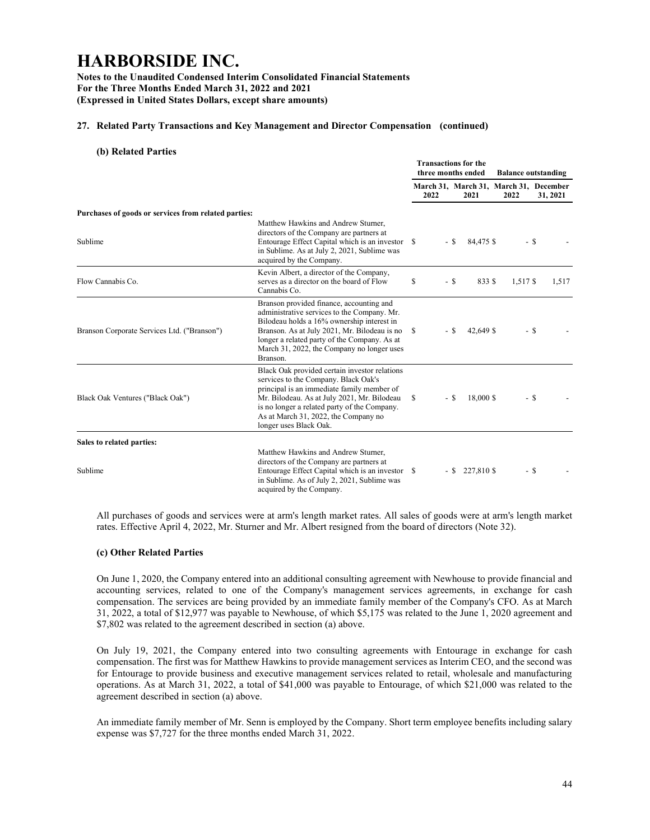Notes to the Unaudited Condensed Interim Consolidated Financial Statements For the Three Months Ended March 31, 2022 and 2021 (Expressed in United States Dollars, except share amounts)

### 27. Related Party Transactions and Key Management and Director Compensation (continued)

(b) Related Parties

|                                                      |                                                                                                                                                                                                                                                                                                      | <b>Transactions for the</b><br>three months ended |        | <b>Balance outstanding</b> |                                                |      |          |
|------------------------------------------------------|------------------------------------------------------------------------------------------------------------------------------------------------------------------------------------------------------------------------------------------------------------------------------------------------------|---------------------------------------------------|--------|----------------------------|------------------------------------------------|------|----------|
|                                                      |                                                                                                                                                                                                                                                                                                      |                                                   | 2022   | 2021                       | March 31, March 31, March 31, December<br>2022 |      | 31, 2021 |
| Purchases of goods or services from related parties: |                                                                                                                                                                                                                                                                                                      |                                                   |        |                            |                                                |      |          |
| Sublime                                              | Matthew Hawkins and Andrew Sturner.<br>directors of the Company are partners at<br>Entourage Effect Capital which is an investor \$<br>in Sublime. As at July 2, 2021, Sublime was<br>acquired by the Company.                                                                                       |                                                   | $-$ S  | 84,475 \$                  |                                                | - \$ |          |
| Flow Cannabis Co.                                    | Kevin Albert, a director of the Company,<br>serves as a director on the board of Flow<br>Cannabis Co.                                                                                                                                                                                                | \$                                                | - \$   | 833 S                      | 1,517 \$                                       |      | 1,517    |
| Branson Corporate Services Ltd. ("Branson")          | Branson provided finance, accounting and<br>administrative services to the Company. Mr.<br>Bilodeau holds a 16% ownership interest in<br>Branson. As at July 2021, Mr. Bilodeau is no<br>longer a related party of the Company. As at<br>March 31, 2022, the Company no longer uses<br>Branson.      | S                                                 | $-$ S  | 42,649 \$                  |                                                | - \$ |          |
| Black Oak Ventures ("Black Oak")                     | Black Oak provided certain investor relations<br>services to the Company. Black Oak's<br>principal is an immediate family member of<br>Mr. Bilodeau. As at July 2021, Mr. Bilodeau<br>is no longer a related party of the Company.<br>As at March 31, 2022, the Company no<br>longer uses Black Oak. | S                                                 | $-$ \$ | 18,000 \$                  |                                                | - \$ |          |
| Sales to related parties:                            |                                                                                                                                                                                                                                                                                                      |                                                   |        |                            |                                                |      |          |
| Sublime                                              | Matthew Hawkins and Andrew Sturner.<br>directors of the Company are partners at<br>Entourage Effect Capital which is an investor \$<br>in Sublime. As of July 2, 2021, Sublime was<br>acquired by the Company.                                                                                       |                                                   |        | $-$ \$ 227,810 \$          |                                                | - \$ |          |

All purchases of goods and services were at arm's length market rates. All sales of goods were at arm's length market rates. Effective April 4, 2022, Mr. Sturner and Mr. Albert resigned from the board of directors (Note 32).

#### (c) Other Related Parties

On June 1, 2020, the Company entered into an additional consulting agreement with Newhouse to provide financial and accounting services, related to one of the Company's management services agreements, in exchange for cash compensation. The services are being provided by an immediate family member of the Company's CFO. As at March 31, 2022, a total of \$12,977 was payable to Newhouse, of which \$5,175 was related to the June 1, 2020 agreement and \$7,802 was related to the agreement described in section (a) above.

On July 19, 2021, the Company entered into two consulting agreements with Entourage in exchange for cash compensation. The first was for Matthew Hawkins to provide management services as Interim CEO, and the second was for Entourage to provide business and executive management services related to retail, wholesale and manufacturing operations. As at March 31, 2022, a total of \$41,000 was payable to Entourage, of which \$21,000 was related to the agreement described in section (a) above.

An immediate family member of Mr. Senn is employed by the Company. Short term employee benefits including salary expense was \$7,727 for the three months ended March 31, 2022.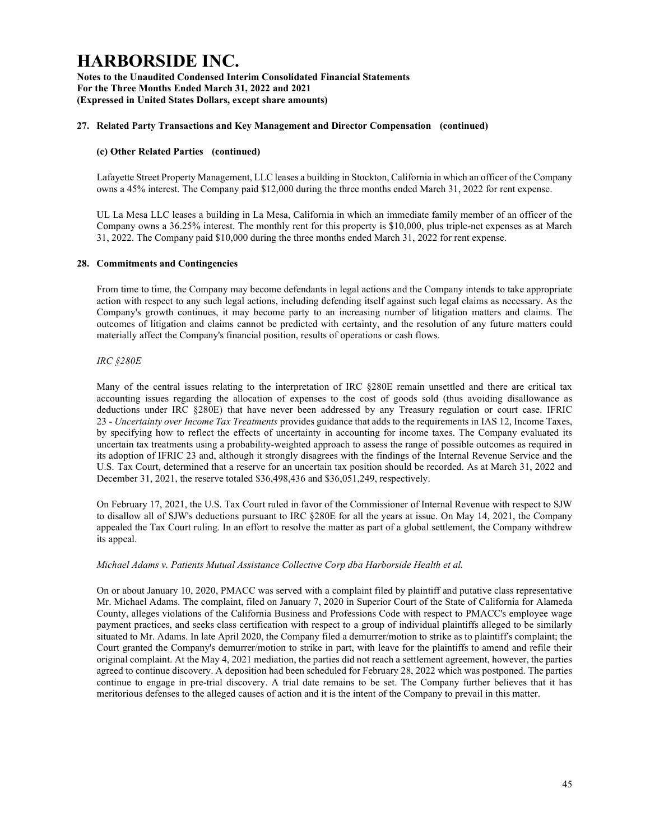Notes to the Unaudited Condensed Interim Consolidated Financial Statements For the Three Months Ended March 31, 2022 and 2021 (Expressed in United States Dollars, except share amounts)

### 27. Related Party Transactions and Key Management and Director Compensation (continued)

### (c) Other Related Parties (continued)

Lafayette Street Property Management, LLC leases a building in Stockton, California in which an officer of the Company owns a 45% interest. The Company paid \$12,000 during the three months ended March 31, 2022 for rent expense.

UL La Mesa LLC leases a building in La Mesa, California in which an immediate family member of an officer of the Company owns a 36.25% interest. The monthly rent for this property is \$10,000, plus triple-net expenses as at March 31, 2022. The Company paid \$10,000 during the three months ended March 31, 2022 for rent expense.

#### 28. Commitments and Contingencies

From time to time, the Company may become defendants in legal actions and the Company intends to take appropriate action with respect to any such legal actions, including defending itself against such legal claims as necessary. As the Company's growth continues, it may become party to an increasing number of litigation matters and claims. The outcomes of litigation and claims cannot be predicted with certainty, and the resolution of any future matters could materially affect the Company's financial position, results of operations or cash flows.

### IRC §280E

Many of the central issues relating to the interpretation of IRC §280E remain unsettled and there are critical tax accounting issues regarding the allocation of expenses to the cost of goods sold (thus avoiding disallowance as deductions under IRC §280E) that have never been addressed by any Treasury regulation or court case. IFRIC 23 - Uncertainty over Income Tax Treatments provides guidance that adds to the requirements in IAS 12, Income Taxes, by specifying how to reflect the effects of uncertainty in accounting for income taxes. The Company evaluated its uncertain tax treatments using a probability-weighted approach to assess the range of possible outcomes as required in its adoption of IFRIC 23 and, although it strongly disagrees with the findings of the Internal Revenue Service and the U.S. Tax Court, determined that a reserve for an uncertain tax position should be recorded. As at March 31, 2022 and December 31, 2021, the reserve totaled \$36,498,436 and \$36,051,249, respectively.

On February 17, 2021, the U.S. Tax Court ruled in favor of the Commissioner of Internal Revenue with respect to SJW to disallow all of SJW's deductions pursuant to IRC §280E for all the years at issue. On May 14, 2021, the Company appealed the Tax Court ruling. In an effort to resolve the matter as part of a global settlement, the Company withdrew its appeal.

#### Michael Adams v. Patients Mutual Assistance Collective Corp dba Harborside Health et al.

On or about January 10, 2020, PMACC was served with a complaint filed by plaintiff and putative class representative Mr. Michael Adams. The complaint, filed on January 7, 2020 in Superior Court of the State of California for Alameda County, alleges violations of the California Business and Professions Code with respect to PMACC's employee wage payment practices, and seeks class certification with respect to a group of individual plaintiffs alleged to be similarly situated to Mr. Adams. In late April 2020, the Company filed a demurrer/motion to strike as to plaintiff's complaint; the Court granted the Company's demurrer/motion to strike in part, with leave for the plaintiffs to amend and refile their original complaint. At the May 4, 2021 mediation, the parties did not reach a settlement agreement, however, the parties agreed to continue discovery. A deposition had been scheduled for February 28, 2022 which was postponed. The parties continue to engage in pre-trial discovery. A trial date remains to be set. The Company further believes that it has meritorious defenses to the alleged causes of action and it is the intent of the Company to prevail in this matter.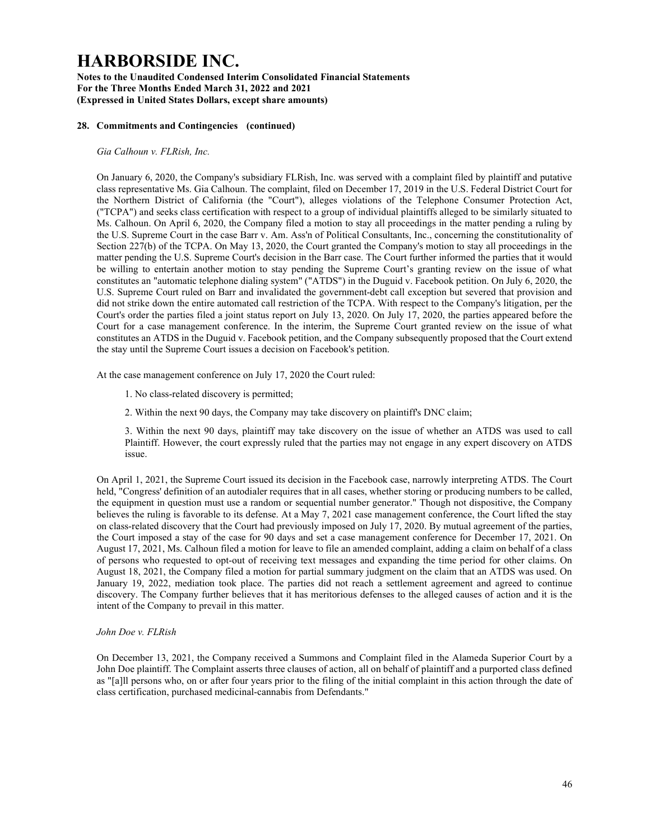Notes to the Unaudited Condensed Interim Consolidated Financial Statements For the Three Months Ended March 31, 2022 and 2021 (Expressed in United States Dollars, except share amounts)

### 28. Commitments and Contingencies (continued)

Gia Calhoun v. FLRish, Inc.

On January 6, 2020, the Company's subsidiary FLRish, Inc. was served with a complaint filed by plaintiff and putative class representative Ms. Gia Calhoun. The complaint, filed on December 17, 2019 in the U.S. Federal District Court for the Northern District of California (the "Court"), alleges violations of the Telephone Consumer Protection Act, ("TCPA") and seeks class certification with respect to a group of individual plaintiffs alleged to be similarly situated to Ms. Calhoun. On April 6, 2020, the Company filed a motion to stay all proceedings in the matter pending a ruling by the U.S. Supreme Court in the case Barr v. Am. Ass'n of Political Consultants, Inc., concerning the constitutionality of Section 227(b) of the TCPA. On May 13, 2020, the Court granted the Company's motion to stay all proceedings in the matter pending the U.S. Supreme Court's decision in the Barr case. The Court further informed the parties that it would be willing to entertain another motion to stay pending the Supreme Court's granting review on the issue of what constitutes an "automatic telephone dialing system" ("ATDS") in the Duguid v. Facebook petition. On July 6, 2020, the U.S. Supreme Court ruled on Barr and invalidated the government-debt call exception but severed that provision and did not strike down the entire automated call restriction of the TCPA. With respect to the Company's litigation, per the Court's order the parties filed a joint status report on July 13, 2020. On July 17, 2020, the parties appeared before the Court for a case management conference. In the interim, the Supreme Court granted review on the issue of what constitutes an ATDS in the Duguid v. Facebook petition, and the Company subsequently proposed that the Court extend the stay until the Supreme Court issues a decision on Facebook's petition.

At the case management conference on July 17, 2020 the Court ruled:

- 1. No class-related discovery is permitted;
- 2. Within the next 90 days, the Company may take discovery on plaintiff's DNC claim;

3. Within the next 90 days, plaintiff may take discovery on the issue of whether an ATDS was used to call Plaintiff. However, the court expressly ruled that the parties may not engage in any expert discovery on ATDS issue.

On April 1, 2021, the Supreme Court issued its decision in the Facebook case, narrowly interpreting ATDS. The Court held, "Congress' definition of an autodialer requires that in all cases, whether storing or producing numbers to be called, the equipment in question must use a random or sequential number generator." Though not dispositive, the Company believes the ruling is favorable to its defense. At a May 7, 2021 case management conference, the Court lifted the stay on class-related discovery that the Court had previously imposed on July 17, 2020. By mutual agreement of the parties, the Court imposed a stay of the case for 90 days and set a case management conference for December 17, 2021. On August 17, 2021, Ms. Calhoun filed a motion for leave to file an amended complaint, adding a claim on behalf of a class of persons who requested to opt-out of receiving text messages and expanding the time period for other claims. On August 18, 2021, the Company filed a motion for partial summary judgment on the claim that an ATDS was used. On January 19, 2022, mediation took place. The parties did not reach a settlement agreement and agreed to continue discovery. The Company further believes that it has meritorious defenses to the alleged causes of action and it is the intent of the Company to prevail in this matter.

#### John Doe v. FLRish

On December 13, 2021, the Company received a Summons and Complaint filed in the Alameda Superior Court by a John Doe plaintiff. The Complaint asserts three clauses of action, all on behalf of plaintiff and a purported class defined as "[a]ll persons who, on or after four years prior to the filing of the initial complaint in this action through the date of class certification, purchased medicinal-cannabis from Defendants."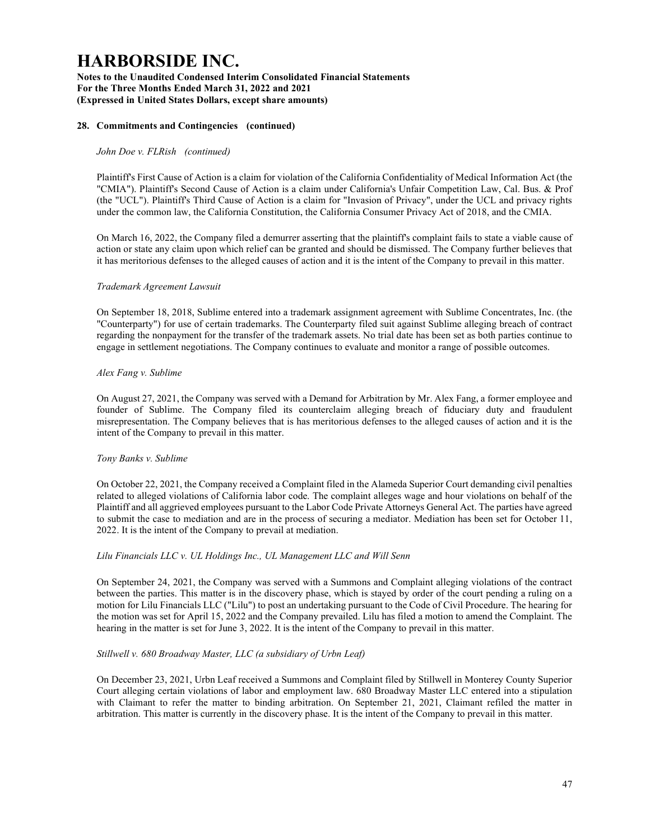Notes to the Unaudited Condensed Interim Consolidated Financial Statements For the Three Months Ended March 31, 2022 and 2021 (Expressed in United States Dollars, except share amounts)

### 28. Commitments and Contingencies (continued)

### John Doe v. FLRish (continued)

Plaintiff's First Cause of Action is a claim for violation of the California Confidentiality of Medical Information Act (the "CMIA"). Plaintiff's Second Cause of Action is a claim under California's Unfair Competition Law, Cal. Bus. & Prof (the "UCL"). Plaintiff's Third Cause of Action is a claim for "Invasion of Privacy", under the UCL and privacy rights under the common law, the California Constitution, the California Consumer Privacy Act of 2018, and the CMIA.

On March 16, 2022, the Company filed a demurrer asserting that the plaintiff's complaint fails to state a viable cause of action or state any claim upon which relief can be granted and should be dismissed. The Company further believes that it has meritorious defenses to the alleged causes of action and it is the intent of the Company to prevail in this matter.

#### Trademark Agreement Lawsuit

On September 18, 2018, Sublime entered into a trademark assignment agreement with Sublime Concentrates, Inc. (the "Counterparty") for use of certain trademarks. The Counterparty filed suit against Sublime alleging breach of contract regarding the nonpayment for the transfer of the trademark assets. No trial date has been set as both parties continue to engage in settlement negotiations. The Company continues to evaluate and monitor a range of possible outcomes.

#### Alex Fang v. Sublime

On August 27, 2021, the Company was served with a Demand for Arbitration by Mr. Alex Fang, a former employee and founder of Sublime. The Company filed its counterclaim alleging breach of fiduciary duty and fraudulent misrepresentation. The Company believes that is has meritorious defenses to the alleged causes of action and it is the intent of the Company to prevail in this matter.

#### Tony Banks v. Sublime

On October 22, 2021, the Company received a Complaint filed in the Alameda Superior Court demanding civil penalties related to alleged violations of California labor code. The complaint alleges wage and hour violations on behalf of the Plaintiff and all aggrieved employees pursuant to the Labor Code Private Attorneys General Act. The parties have agreed to submit the case to mediation and are in the process of securing a mediator. Mediation has been set for October 11, 2022. It is the intent of the Company to prevail at mediation.

#### Lilu Financials LLC v. UL Holdings Inc., UL Management LLC and Will Senn

On September 24, 2021, the Company was served with a Summons and Complaint alleging violations of the contract between the parties. This matter is in the discovery phase, which is stayed by order of the court pending a ruling on a motion for Lilu Financials LLC ("Lilu") to post an undertaking pursuant to the Code of Civil Procedure. The hearing for the motion was set for April 15, 2022 and the Company prevailed. Lilu has filed a motion to amend the Complaint. The hearing in the matter is set for June 3, 2022. It is the intent of the Company to prevail in this matter.

#### Stillwell v. 680 Broadway Master, LLC (a subsidiary of Urbn Leaf)

On December 23, 2021, Urbn Leaf received a Summons and Complaint filed by Stillwell in Monterey County Superior Court alleging certain violations of labor and employment law. 680 Broadway Master LLC entered into a stipulation with Claimant to refer the matter to binding arbitration. On September 21, 2021, Claimant refiled the matter in arbitration. This matter is currently in the discovery phase. It is the intent of the Company to prevail in this matter.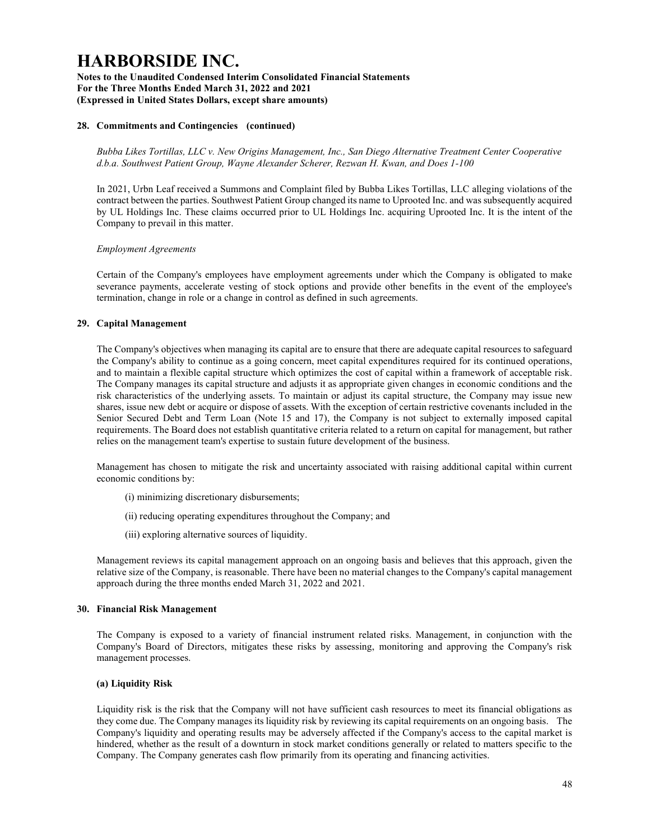Notes to the Unaudited Condensed Interim Consolidated Financial Statements For the Three Months Ended March 31, 2022 and 2021 (Expressed in United States Dollars, except share amounts)

### 28. Commitments and Contingencies (continued)

Bubba Likes Tortillas, LLC v. New Origins Management, Inc., San Diego Alternative Treatment Center Cooperative d.b.a. Southwest Patient Group, Wayne Alexander Scherer, Rezwan H. Kwan, and Does 1-100

In 2021, Urbn Leaf received a Summons and Complaint filed by Bubba Likes Tortillas, LLC alleging violations of the contract between the parties. Southwest Patient Group changed its name to Uprooted Inc. and was subsequently acquired by UL Holdings Inc. These claims occurred prior to UL Holdings Inc. acquiring Uprooted Inc. It is the intent of the Company to prevail in this matter.

#### Employment Agreements

Certain of the Company's employees have employment agreements under which the Company is obligated to make severance payments, accelerate vesting of stock options and provide other benefits in the event of the employee's termination, change in role or a change in control as defined in such agreements.

#### 29. Capital Management

The Company's objectives when managing its capital are to ensure that there are adequate capital resources to safeguard the Company's ability to continue as a going concern, meet capital expenditures required for its continued operations, and to maintain a flexible capital structure which optimizes the cost of capital within a framework of acceptable risk. The Company manages its capital structure and adjusts it as appropriate given changes in economic conditions and the risk characteristics of the underlying assets. To maintain or adjust its capital structure, the Company may issue new shares, issue new debt or acquire or dispose of assets. With the exception of certain restrictive covenants included in the Senior Secured Debt and Term Loan (Note 15 and 17), the Company is not subject to externally imposed capital requirements. The Board does not establish quantitative criteria related to a return on capital for management, but rather relies on the management team's expertise to sustain future development of the business.

Management has chosen to mitigate the risk and uncertainty associated with raising additional capital within current economic conditions by:

- (i) minimizing discretionary disbursements;
- (ii) reducing operating expenditures throughout the Company; and
- (iii) exploring alternative sources of liquidity.

Management reviews its capital management approach on an ongoing basis and believes that this approach, given the relative size of the Company, is reasonable. There have been no material changes to the Company's capital management approach during the three months ended March 31, 2022 and 2021.

#### 30. Financial Risk Management

The Company is exposed to a variety of financial instrument related risks. Management, in conjunction with the Company's Board of Directors, mitigates these risks by assessing, monitoring and approving the Company's risk management processes.

#### (a) Liquidity Risk

Liquidity risk is the risk that the Company will not have sufficient cash resources to meet its financial obligations as they come due. The Company manages its liquidity risk by reviewing its capital requirements on an ongoing basis. The Company's liquidity and operating results may be adversely affected if the Company's access to the capital market is hindered, whether as the result of a downturn in stock market conditions generally or related to matters specific to the Company. The Company generates cash flow primarily from its operating and financing activities.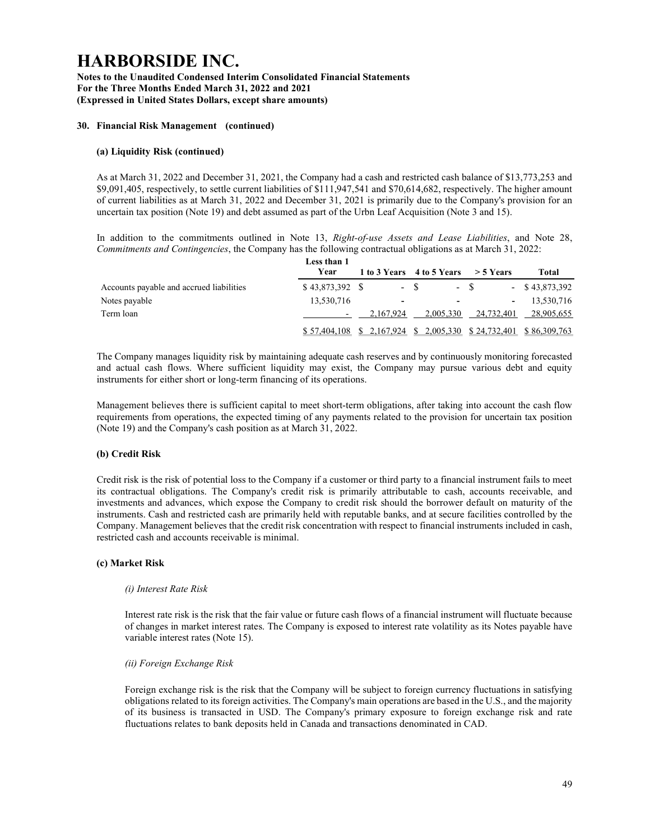Notes to the Unaudited Condensed Interim Consolidated Financial Statements For the Three Months Ended March 31, 2022 and 2021 (Expressed in United States Dollars, except share amounts)

### 30. Financial Risk Management (continued)

#### (a) Liquidity Risk (continued)

As at March 31, 2022 and December 31, 2021, the Company had a cash and restricted cash balance of \$13,773,253 and \$9,091,405, respectively, to settle current liabilities of \$111,947,541 and \$70,614,682, respectively. The higher amount of current liabilities as at March 31, 2022 and December 31, 2021 is primarily due to the Company's provision for an uncertain tax position (Note 19) and debt assumed as part of the Urbn Leaf Acquisition (Note 3 and 15).

In addition to the commitments outlined in Note 13, Right-of-use Assets and Lease Liabilities, and Note 28, Commitments and Contingencies, the Company has the following contractual obligations as at March 31, 2022:

|                                          | Less than 1  |                          |                                                       |             |                   |
|------------------------------------------|--------------|--------------------------|-------------------------------------------------------|-------------|-------------------|
|                                          | Year         |                          | 1 to 3 Years 4 to 5 Years                             | $>$ 5 Years | Total             |
| Accounts payable and accrued liabilities |              |                          | $- S$                                                 | $- S$       | $-$ \$ 43,873,392 |
| Notes payable                            | 13,530,716   | $\overline{\phantom{0}}$ | -                                                     |             | 13.530.716        |
| Term loan                                |              | 2.167.924                | 2.005.330                                             | 24,732,401  | 28,905,655        |
|                                          | \$57,404,108 |                          | $$2,167,924$ $$2,005,330$ $$24,732,401$ $$86,309,763$ |             |                   |

The Company manages liquidity risk by maintaining adequate cash reserves and by continuously monitoring forecasted and actual cash flows. Where sufficient liquidity may exist, the Company may pursue various debt and equity instruments for either short or long-term financing of its operations.

Management believes there is sufficient capital to meet short-term obligations, after taking into account the cash flow requirements from operations, the expected timing of any payments related to the provision for uncertain tax position (Note 19) and the Company's cash position as at March 31, 2022.

## (b) Credit Risk

Credit risk is the risk of potential loss to the Company if a customer or third party to a financial instrument fails to meet its contractual obligations. The Company's credit risk is primarily attributable to cash, accounts receivable, and investments and advances, which expose the Company to credit risk should the borrower default on maturity of the instruments. Cash and restricted cash are primarily held with reputable banks, and at secure facilities controlled by the Company. Management believes that the credit risk concentration with respect to financial instruments included in cash, restricted cash and accounts receivable is minimal.

#### (c) Market Risk

#### (i) Interest Rate Risk

Interest rate risk is the risk that the fair value or future cash flows of a financial instrument will fluctuate because of changes in market interest rates. The Company is exposed to interest rate volatility as its Notes payable have variable interest rates (Note 15).

#### (ii) Foreign Exchange Risk

Foreign exchange risk is the risk that the Company will be subject to foreign currency fluctuations in satisfying obligations related to its foreign activities. The Company's main operations are based in the U.S., and the majority of its business is transacted in USD. The Company's primary exposure to foreign exchange risk and rate fluctuations relates to bank deposits held in Canada and transactions denominated in CAD.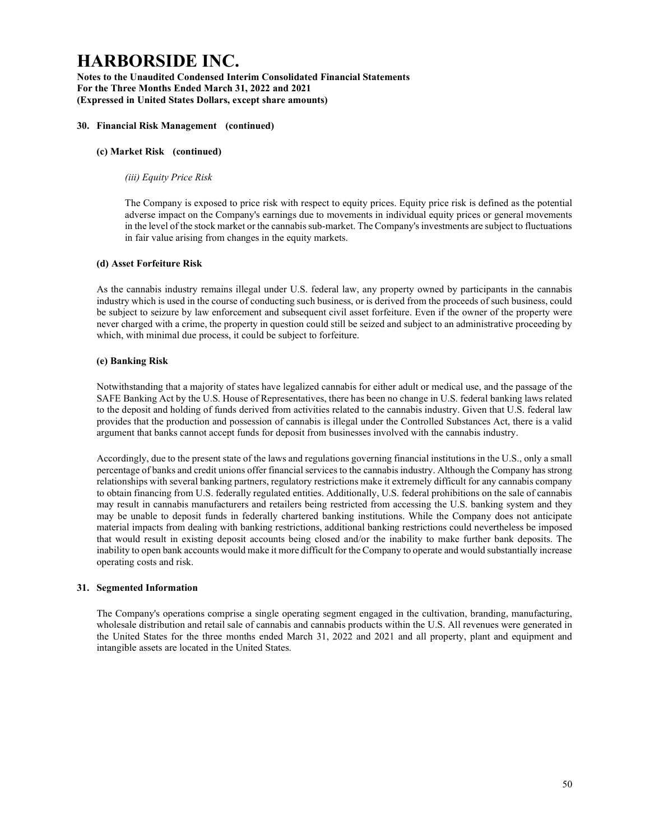Notes to the Unaudited Condensed Interim Consolidated Financial Statements For the Three Months Ended March 31, 2022 and 2021 (Expressed in United States Dollars, except share amounts)

### 30. Financial Risk Management (continued)

### (c) Market Risk (continued)

#### (iii) Equity Price Risk

The Company is exposed to price risk with respect to equity prices. Equity price risk is defined as the potential adverse impact on the Company's earnings due to movements in individual equity prices or general movements in the level of the stock market or the cannabis sub-market. The Company's investments are subject to fluctuations in fair value arising from changes in the equity markets.

### (d) Asset Forfeiture Risk

As the cannabis industry remains illegal under U.S. federal law, any property owned by participants in the cannabis industry which is used in the course of conducting such business, or is derived from the proceeds of such business, could be subject to seizure by law enforcement and subsequent civil asset forfeiture. Even if the owner of the property were never charged with a crime, the property in question could still be seized and subject to an administrative proceeding by which, with minimal due process, it could be subject to forfeiture.

### (e) Banking Risk

Notwithstanding that a majority of states have legalized cannabis for either adult or medical use, and the passage of the SAFE Banking Act by the U.S. House of Representatives, there has been no change in U.S. federal banking laws related to the deposit and holding of funds derived from activities related to the cannabis industry. Given that U.S. federal law provides that the production and possession of cannabis is illegal under the Controlled Substances Act, there is a valid argument that banks cannot accept funds for deposit from businesses involved with the cannabis industry.

Accordingly, due to the present state of the laws and regulations governing financial institutions in the U.S., only a small percentage of banks and credit unions offer financial services to the cannabis industry. Although the Company has strong relationships with several banking partners, regulatory restrictions make it extremely difficult for any cannabis company to obtain financing from U.S. federally regulated entities. Additionally, U.S. federal prohibitions on the sale of cannabis may result in cannabis manufacturers and retailers being restricted from accessing the U.S. banking system and they may be unable to deposit funds in federally chartered banking institutions. While the Company does not anticipate material impacts from dealing with banking restrictions, additional banking restrictions could nevertheless be imposed that would result in existing deposit accounts being closed and/or the inability to make further bank deposits. The inability to open bank accounts would make it more difficult for the Company to operate and would substantially increase operating costs and risk.

#### 31. Segmented Information

The Company's operations comprise a single operating segment engaged in the cultivation, branding, manufacturing, wholesale distribution and retail sale of cannabis and cannabis products within the U.S. All revenues were generated in the United States for the three months ended March 31, 2022 and 2021 and all property, plant and equipment and intangible assets are located in the United States.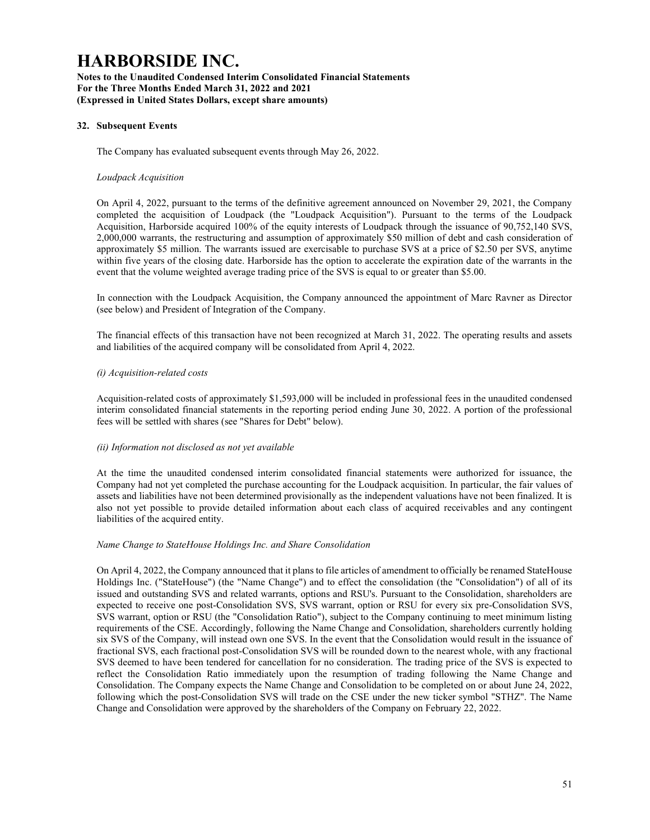Notes to the Unaudited Condensed Interim Consolidated Financial Statements For the Three Months Ended March 31, 2022 and 2021 (Expressed in United States Dollars, except share amounts)

### 32. Subsequent Events

The Company has evaluated subsequent events through May 26, 2022.

#### Loudpack Acquisition

On April 4, 2022, pursuant to the terms of the definitive agreement announced on November 29, 2021, the Company completed the acquisition of Loudpack (the "Loudpack Acquisition"). Pursuant to the terms of the Loudpack Acquisition, Harborside acquired 100% of the equity interests of Loudpack through the issuance of 90,752,140 SVS, 2,000,000 warrants, the restructuring and assumption of approximately \$50 million of debt and cash consideration of approximately \$5 million. The warrants issued are exercisable to purchase SVS at a price of \$2.50 per SVS, anytime within five years of the closing date. Harborside has the option to accelerate the expiration date of the warrants in the event that the volume weighted average trading price of the SVS is equal to or greater than \$5.00.

In connection with the Loudpack Acquisition, the Company announced the appointment of Marc Ravner as Director (see below) and President of Integration of the Company.

The financial effects of this transaction have not been recognized at March 31, 2022. The operating results and assets and liabilities of the acquired company will be consolidated from April 4, 2022.

#### (i) Acquisition-related costs

Acquisition-related costs of approximately \$1,593,000 will be included in professional fees in the unaudited condensed interim consolidated financial statements in the reporting period ending June 30, 2022. A portion of the professional fees will be settled with shares (see "Shares for Debt" below).

#### (ii) Information not disclosed as not yet available

At the time the unaudited condensed interim consolidated financial statements were authorized for issuance, the Company had not yet completed the purchase accounting for the Loudpack acquisition. In particular, the fair values of assets and liabilities have not been determined provisionally as the independent valuations have not been finalized. It is also not yet possible to provide detailed information about each class of acquired receivables and any contingent liabilities of the acquired entity.

#### Name Change to StateHouse Holdings Inc. and Share Consolidation

On April 4, 2022, the Company announced that it plans to file articles of amendment to officially be renamed StateHouse Holdings Inc. ("StateHouse") (the "Name Change") and to effect the consolidation (the "Consolidation") of all of its issued and outstanding SVS and related warrants, options and RSU's. Pursuant to the Consolidation, shareholders are expected to receive one post-Consolidation SVS, SVS warrant, option or RSU for every six pre-Consolidation SVS, SVS warrant, option or RSU (the "Consolidation Ratio"), subject to the Company continuing to meet minimum listing requirements of the CSE. Accordingly, following the Name Change and Consolidation, shareholders currently holding six SVS of the Company, will instead own one SVS. In the event that the Consolidation would result in the issuance of fractional SVS, each fractional post-Consolidation SVS will be rounded down to the nearest whole, with any fractional SVS deemed to have been tendered for cancellation for no consideration. The trading price of the SVS is expected to reflect the Consolidation Ratio immediately upon the resumption of trading following the Name Change and Consolidation. The Company expects the Name Change and Consolidation to be completed on or about June 24, 2022, following which the post-Consolidation SVS will trade on the CSE under the new ticker symbol "STHZ". The Name Change and Consolidation were approved by the shareholders of the Company on February 22, 2022.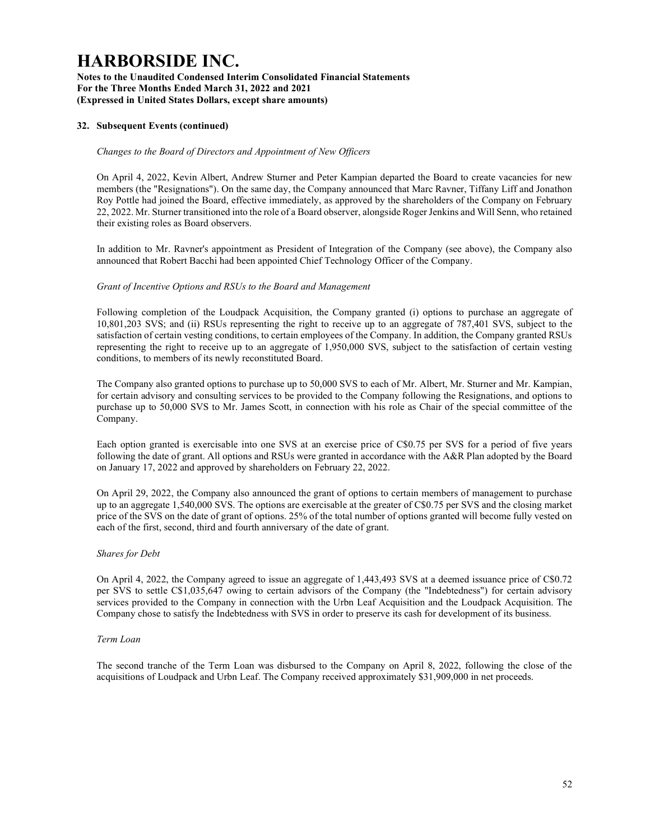Notes to the Unaudited Condensed Interim Consolidated Financial Statements For the Three Months Ended March 31, 2022 and 2021 (Expressed in United States Dollars, except share amounts)

### 32. Subsequent Events (continued)

### Changes to the Board of Directors and Appointment of New Officers

On April 4, 2022, Kevin Albert, Andrew Sturner and Peter Kampian departed the Board to create vacancies for new members (the "Resignations"). On the same day, the Company announced that Marc Ravner, Tiffany Liff and Jonathon Roy Pottle had joined the Board, effective immediately, as approved by the shareholders of the Company on February 22, 2022. Mr. Sturner transitioned into the role of a Board observer, alongside Roger Jenkins and Will Senn, who retained their existing roles as Board observers.

In addition to Mr. Ravner's appointment as President of Integration of the Company (see above), the Company also announced that Robert Bacchi had been appointed Chief Technology Officer of the Company.

### Grant of Incentive Options and RSUs to the Board and Management

Following completion of the Loudpack Acquisition, the Company granted (i) options to purchase an aggregate of 10,801,203 SVS; and (ii) RSUs representing the right to receive up to an aggregate of 787,401 SVS, subject to the satisfaction of certain vesting conditions, to certain employees of the Company. In addition, the Company granted RSUs representing the right to receive up to an aggregate of 1,950,000 SVS, subject to the satisfaction of certain vesting conditions, to members of its newly reconstituted Board.

The Company also granted options to purchase up to 50,000 SVS to each of Mr. Albert, Mr. Sturner and Mr. Kampian, for certain advisory and consulting services to be provided to the Company following the Resignations, and options to purchase up to 50,000 SVS to Mr. James Scott, in connection with his role as Chair of the special committee of the Company.

Each option granted is exercisable into one SVS at an exercise price of C\$0.75 per SVS for a period of five years following the date of grant. All options and RSUs were granted in accordance with the A&R Plan adopted by the Board on January 17, 2022 and approved by shareholders on February 22, 2022.

On April 29, 2022, the Company also announced the grant of options to certain members of management to purchase up to an aggregate 1,540,000 SVS. The options are exercisable at the greater of C\$0.75 per SVS and the closing market price of the SVS on the date of grant of options. 25% of the total number of options granted will become fully vested on each of the first, second, third and fourth anniversary of the date of grant.

#### Shares for Debt

On April 4, 2022, the Company agreed to issue an aggregate of 1,443,493 SVS at a deemed issuance price of C\$0.72 per SVS to settle C\$1,035,647 owing to certain advisors of the Company (the "Indebtedness") for certain advisory services provided to the Company in connection with the Urbn Leaf Acquisition and the Loudpack Acquisition. The Company chose to satisfy the Indebtedness with SVS in order to preserve its cash for development of its business.

#### Term Loan

The second tranche of the Term Loan was disbursed to the Company on April 8, 2022, following the close of the acquisitions of Loudpack and Urbn Leaf. The Company received approximately \$31,909,000 in net proceeds.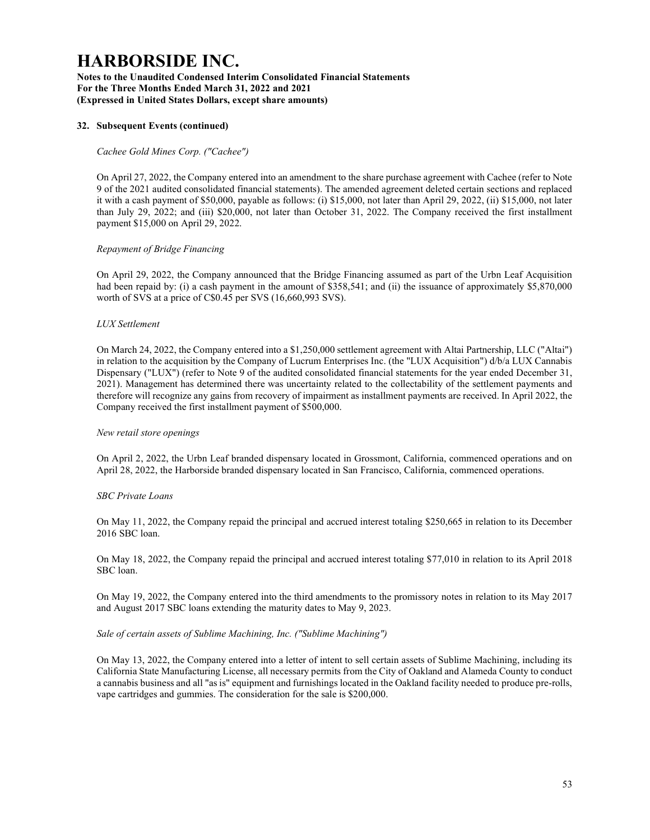Notes to the Unaudited Condensed Interim Consolidated Financial Statements For the Three Months Ended March 31, 2022 and 2021 (Expressed in United States Dollars, except share amounts)

### 32. Subsequent Events (continued)

### Cachee Gold Mines Corp. ("Cachee")

On April 27, 2022, the Company entered into an amendment to the share purchase agreement with Cachee (refer to Note 9 of the 2021 audited consolidated financial statements). The amended agreement deleted certain sections and replaced it with a cash payment of \$50,000, payable as follows: (i) \$15,000, not later than April 29, 2022, (ii) \$15,000, not later than July 29, 2022; and (iii) \$20,000, not later than October 31, 2022. The Company received the first installment payment \$15,000 on April 29, 2022.

#### Repayment of Bridge Financing

On April 29, 2022, the Company announced that the Bridge Financing assumed as part of the Urbn Leaf Acquisition had been repaid by: (i) a cash payment in the amount of \$358,541; and (ii) the issuance of approximately \$5,870,000 worth of SVS at a price of C\$0.45 per SVS (16,660,993 SVS).

#### LUX Settlement

On March 24, 2022, the Company entered into a \$1,250,000 settlement agreement with Altai Partnership, LLC ("Altai") in relation to the acquisition by the Company of Lucrum Enterprises Inc. (the "LUX Acquisition") d/b/a LUX Cannabis Dispensary ("LUX") (refer to Note 9 of the audited consolidated financial statements for the year ended December 31, 2021). Management has determined there was uncertainty related to the collectability of the settlement payments and therefore will recognize any gains from recovery of impairment as installment payments are received. In April 2022, the Company received the first installment payment of \$500,000.

#### New retail store openings

On April 2, 2022, the Urbn Leaf branded dispensary located in Grossmont, California, commenced operations and on April 28, 2022, the Harborside branded dispensary located in San Francisco, California, commenced operations.

## SBC Private Loans

On May 11, 2022, the Company repaid the principal and accrued interest totaling \$250,665 in relation to its December 2016 SBC loan.

On May 18, 2022, the Company repaid the principal and accrued interest totaling \$77,010 in relation to its April 2018 SBC loan.

On May 19, 2022, the Company entered into the third amendments to the promissory notes in relation to its May 2017 and August 2017 SBC loans extending the maturity dates to May 9, 2023.

#### Sale of certain assets of Sublime Machining, Inc. ("Sublime Machining")

On May 13, 2022, the Company entered into a letter of intent to sell certain assets of Sublime Machining, including its California State Manufacturing License, all necessary permits from the City of Oakland and Alameda County to conduct a cannabis business and all "as is" equipment and furnishings located in the Oakland facility needed to produce pre-rolls, vape cartridges and gummies. The consideration for the sale is \$200,000.